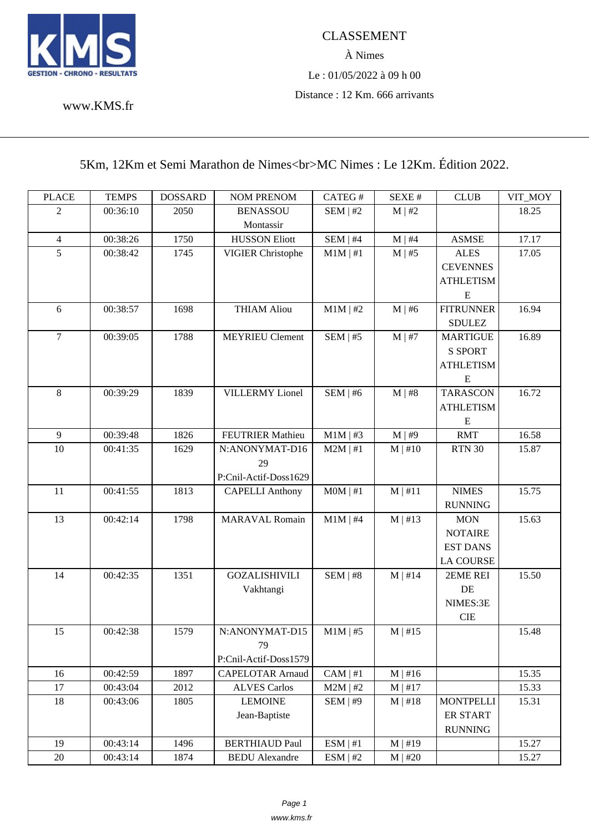

www.KMS.fr

## [5Km, 12K](www.KMS.fr)m et Semi Marathon de Nimes<br/> hypersic Nimes : Le 12Km. Édition 2022.

| <b>PLACE</b>     | <b>TEMPS</b>         | <b>DOSSARD</b> | <b>NOM PRENOM</b>                                | CATEG#        | SEXE#        | <b>CLUB</b>                  | VIT_MOY |
|------------------|----------------------|----------------|--------------------------------------------------|---------------|--------------|------------------------------|---------|
| $\overline{2}$   | 00:36:10             | 2050           | <b>BENASSOU</b>                                  | $SEM$   #2    | M   #2       |                              | 18.25   |
|                  |                      |                | Montassir                                        |               |              |                              |         |
| $\overline{4}$   | 00:38:26             | 1750           | <b>HUSSON Eliott</b>                             | $SEM$   #4    | $M \mid #4$  | <b>ASMSE</b>                 | 17.17   |
| 5                | 00:38:42             | 1745           | <b>VIGIER Christophe</b>                         | $M1M \mid #1$ | $M \mid #5$  | <b>ALES</b>                  | 17.05   |
|                  |                      |                |                                                  |               |              | <b>CEVENNES</b>              |         |
|                  |                      |                |                                                  |               |              | <b>ATHLETISM</b>             |         |
|                  |                      |                |                                                  |               |              | ${\bf E}$                    |         |
| 6                | 00:38:57             | 1698           | <b>THIAM Aliou</b>                               | $M1M$   #2    | $M \mid #6$  | <b>FITRUNNER</b>             | 16.94   |
|                  |                      |                |                                                  |               |              | <b>SDULEZ</b>                |         |
| $\boldsymbol{7}$ | 00:39:05             | 1788           | <b>MEYRIEU Clement</b>                           | $SEM$   #5    | $M \mid #7$  | <b>MARTIGUE</b>              | 16.89   |
|                  |                      |                |                                                  |               |              | <b>S SPORT</b>               |         |
|                  |                      |                |                                                  |               |              | <b>ATHLETISM</b>             |         |
|                  |                      |                |                                                  |               |              | E                            |         |
| $8\,$            | 00:39:29             | 1839           | <b>VILLERMY</b> Lionel                           | SEM   #6      | $M \mid #8$  | <b>TARASCON</b>              | 16.72   |
|                  |                      |                |                                                  |               |              | <b>ATHLETISM</b>             |         |
|                  |                      |                |                                                  |               |              | E                            |         |
| 9                | 00:39:48             | 1826           | <b>FEUTRIER Mathieu</b>                          | $M1M$   #3    | $M \mid #9$  | <b>RMT</b>                   | 16.58   |
| 10               | 00:41:35             | 1629           | N:ANONYMAT-D16                                   | $M2M$   #1    | $M \mid #10$ | <b>RTN 30</b>                | 15.87   |
|                  |                      |                | 29                                               |               |              |                              |         |
|                  |                      |                | P:Cnil-Actif-Doss1629                            |               |              |                              |         |
| 11               | 00:41:55             | 1813           | <b>CAPELLI Anthony</b>                           | $MOM$   #1    | M   #11      | <b>NIMES</b>                 | 15.75   |
|                  |                      |                |                                                  |               |              | <b>RUNNING</b>               |         |
| 13               | 00:42:14             | 1798           | <b>MARAVAL Romain</b>                            | $M1M$   #4    | $M \mid #13$ | <b>MON</b>                   | 15.63   |
|                  |                      |                |                                                  |               |              | <b>NOTAIRE</b>               |         |
|                  |                      |                |                                                  |               |              | <b>EST DANS</b>              |         |
|                  |                      |                |                                                  |               |              | <b>LA COURSE</b>             |         |
| 14               | 00:42:35             | 1351           | <b>GOZALISHIVILI</b>                             | $SEM$   #8    | $M \mid #14$ | 2EME REI                     | 15.50   |
|                  |                      |                | Vakhtangi                                        |               |              | DE                           |         |
|                  |                      |                |                                                  |               |              | NIMES:3E                     |         |
|                  |                      |                |                                                  |               |              | <b>CIE</b>                   |         |
| 15               | 00:42:38             | 1579           | N:ANONYMAT-D15                                   | $M1M$   #5    | $M \mid #15$ |                              | 15.48   |
|                  |                      |                | 79                                               |               |              |                              |         |
| 16               |                      | 1897           | P:Cnil-Actif-Doss1579<br><b>CAPELOTAR Arnaud</b> | $CAM \mid #1$ |              |                              |         |
|                  | 00:42:59<br>00:43:04 |                | <b>ALVES Carlos</b>                              | $M2M$   #2    | $M \mid #16$ |                              | 15.35   |
| 17               |                      | 2012<br>1805   | <b>LEMOINE</b>                                   |               | $M$   #17    |                              | 15.33   |
| 18               | 00:43:06             |                | Jean-Baptiste                                    | SEM   #9      | $M \mid #18$ | <b>MONTPELLI</b><br>ER START | 15.31   |
|                  |                      |                |                                                  |               |              | <b>RUNNING</b>               |         |
| 19               | 00:43:14             | 1496           | <b>BERTHIAUD Paul</b>                            | ESM   #1      | $M \mid #19$ |                              | 15.27   |
| 20               | 00:43:14             | 1874           | <b>BEDU</b> Alexandre                            |               |              |                              | 15.27   |
|                  |                      |                |                                                  | ESM   #2      | $M \mid #20$ |                              |         |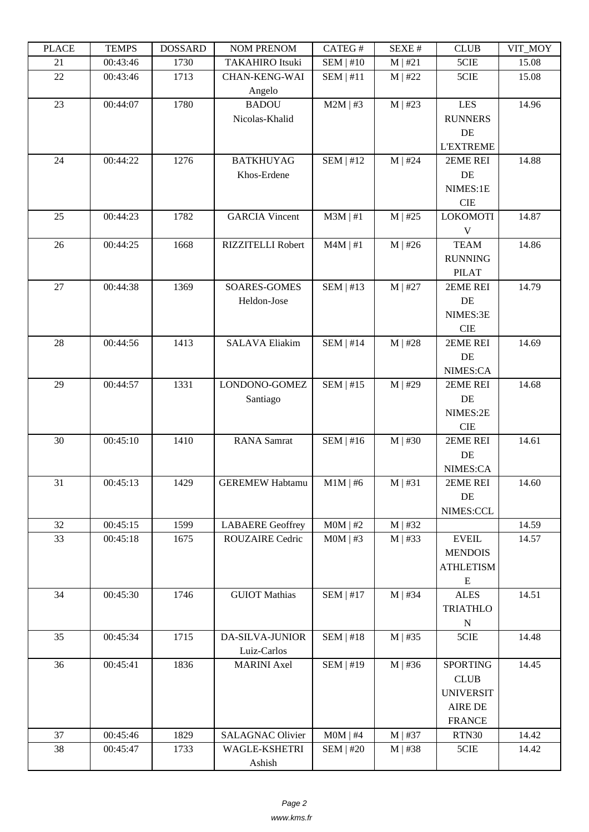| i lati | ט וואדד ו | חשממחת | <b>INOINET IVERFOINE</b> | $CALU \pi$       | NL/NL π      | <b>CLOD</b>      | VII IVIUI |
|--------|-----------|--------|--------------------------|------------------|--------------|------------------|-----------|
| 21     | 00:43:46  | 1730   | <b>TAKAHIRO Itsuki</b>   | $SEM$   #10      | M   #21      | 5CIE             | 15.08     |
| 22     | 00:43:46  | 1713   | <b>CHAN-KENG-WAI</b>     | $SEM$   #11      | $M$   #22    | 5CIE             | 15.08     |
|        |           |        | Angelo                   |                  |              |                  |           |
| 23     | 00:44:07  | 1780   | <b>BADOU</b>             | $M2M$   #3       | M   #23      | <b>LES</b>       | 14.96     |
|        |           |        | Nicolas-Khalid           |                  |              | <b>RUNNERS</b>   |           |
|        |           |        |                          |                  |              | DE               |           |
|        |           |        |                          |                  |              | <b>L'EXTREME</b> |           |
| 24     | 00:44:22  | 1276   | <b>BATKHUYAG</b>         | SEM   #12        | $M$   #24    | 2EME REI         | 14.88     |
|        |           |        | Khos-Erdene              |                  |              | DE               |           |
|        |           |        |                          |                  |              | NIMES:1E         |           |
|        |           |        |                          |                  |              | <b>CIE</b>       |           |
| 25     | 00:44:23  | 1782   | <b>GARCIA Vincent</b>    | $M3M \mid #1$    | $M$   #25    | <b>LOKOMOTI</b>  | 14.87     |
|        |           |        |                          |                  |              | V                |           |
| 26     | 00:44:25  | 1668   | RIZZITELLI Robert        | $M4M$   #1       | $M$   #26    | <b>TEAM</b>      | 14.86     |
|        |           |        |                          |                  |              | <b>RUNNING</b>   |           |
|        |           |        |                          |                  |              | <b>PILAT</b>     |           |
| 27     | 00:44:38  | 1369   | <b>SOARES-GOMES</b>      | SEM   #13        | $M$   #27    | 2EME REI         | 14.79     |
|        |           |        | Heldon-Jose              |                  |              | DE               |           |
|        |           |        |                          |                  |              | NIMES:3E         |           |
|        |           |        |                          |                  |              | $\rm CIE$        |           |
| 28     | 00:44:56  | 1413   | <b>SALAVA Eliakim</b>    | $SEM$   #14      | $M$   #28    | 2EME REI         | 14.69     |
|        |           |        |                          |                  |              | DE               |           |
|        |           |        |                          |                  |              | NIMES:CA         |           |
| 29     | 00:44:57  | 1331   | LONDONO-GOMEZ            | SEM   #15        | $M$   #29    | 2EME REI         | 14.68     |
|        |           |        | Santiago                 |                  |              | DE               |           |
|        |           |        |                          |                  |              | NIMES:2E         |           |
|        |           |        |                          |                  |              | $\rm CIE$        |           |
| 30     | 00:45:10  | 1410   | <b>RANA</b> Samrat       | SEM   #16        | $M$   #30    | 2EME REI         | 14.61     |
|        |           |        |                          |                  |              | DE               |           |
|        |           |        |                          |                  |              | NIMES:CA         |           |
| 31     | 00:45:13  | 1429   | <b>GEREMEW Habtamu</b>   | $M1M$   #6       | M   #31      | 2EME REI         | 14.60     |
|        |           |        |                          |                  |              | DE               |           |
|        |           |        |                          |                  |              | NIMES:CCL        |           |
| 32     | 00:45:15  | 1599   | <b>LABAERE</b> Geoffrey  | $MOM$   #2       | M   #32      |                  | 14.59     |
| 33     | 00:45:18  | 1675   | ROUZAIRE Cedric          | $MOM$   #3       | $M \mid #33$ | <b>EVEIL</b>     | 14.57     |
|        |           |        |                          |                  |              | <b>MENDOIS</b>   |           |
|        |           |        |                          |                  |              | <b>ATHLETISM</b> |           |
|        |           |        |                          |                  |              | ${\bf E}$        |           |
| 34     | 00:45:30  | 1746   | <b>GUIOT Mathias</b>     | $SEM$   #17      | $M$   #34    | <b>ALES</b>      | 14.51     |
|        |           |        |                          |                  |              | <b>TRIATHLO</b>  |           |
|        |           |        |                          |                  |              | $\mathbf N$      |           |
| 35     | 00:45:34  | 1715   | <b>DA-SILVA-JUNIOR</b>   | SEM   #18        | $M$   #35    | $5{\rm CIE}$     | 14.48     |
|        |           |        | Luiz-Carlos              |                  |              |                  |           |
| 36     | 00:45:41  | 1836   | <b>MARINI</b> Axel       | <b>SEM   #19</b> | $M$   #36    | <b>SPORTING</b>  | 14.45     |
|        |           |        |                          |                  |              | CLUB             |           |
|        |           |        |                          |                  |              | <b>UNIVERSIT</b> |           |
|        |           |        |                          |                  |              | AIRE DE          |           |
|        |           |        |                          |                  |              | <b>FRANCE</b>    |           |
| 37     | 00:45:46  | 1829   | <b>SALAGNAC Olivier</b>  | $MOM$   #4       | $M$   #37    | RTN30            | 14.42     |
| 38     |           |        | WAGLE-KSHETRI            | <b>SEM   #20</b> |              |                  |           |
|        | 00:45:47  | 1733   |                          |                  | $M$   #38    | 5CIE             | 14.42     |
|        |           |        | Ashish                   |                  |              |                  |           |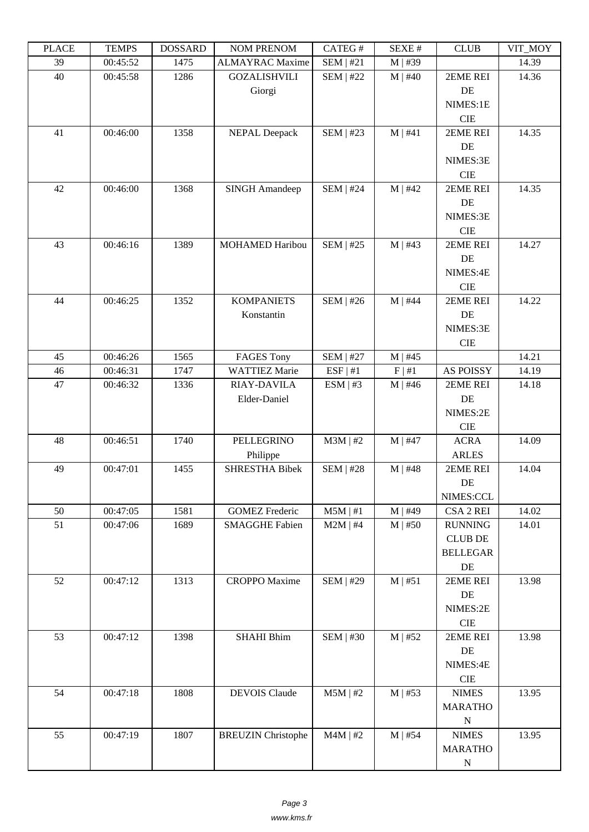| i lati | 1 LIVII D | חשממחת | <b>INOINET IVERFOINE</b>  | $CALU \pi$       | л سد         | <b>CLOD</b>      | $V11$ $N1$ |
|--------|-----------|--------|---------------------------|------------------|--------------|------------------|------------|
| 39     | 00:45:52  | 1475   | <b>ALMAYRAC Maxime</b>    | $SEM$   #21      | $M \mid #39$ |                  | 14.39      |
| 40     | 00:45:58  | 1286   | <b>GOZALISHVILI</b>       | SEM   #22        | $M \mid #40$ | 2EME REI         | 14.36      |
|        |           |        | Giorgi                    |                  |              | DE               |            |
|        |           |        |                           |                  |              | NIMES:1E         |            |
|        |           |        |                           |                  |              | <b>CIE</b>       |            |
| 41     | 00:46:00  | 1358   | <b>NEPAL Deepack</b>      | SEM   #23        | M   #41      | 2EME REI         | 14.35      |
|        |           |        |                           |                  |              | DE               |            |
|        |           |        |                           |                  |              | NIMES:3E         |            |
|        |           |        |                           |                  |              | $\rm CIE$        |            |
| 42     | 00:46:00  | 1368   | <b>SINGH Amandeep</b>     | <b>SEM   #24</b> | $M$   #42    | 2EME REI         | 14.35      |
|        |           |        |                           |                  |              | DE               |            |
|        |           |        |                           |                  |              | NIMES:3E         |            |
|        |           |        |                           |                  |              | <b>CIE</b>       |            |
| 43     | 00:46:16  | 1389   | MOHAMED Haribou           | $SEM$   #25      | $M$   #43    | 2EME REI         | 14.27      |
|        |           |        |                           |                  |              | DE               |            |
|        |           |        |                           |                  |              | NIMES:4E         |            |
|        |           |        |                           |                  |              | <b>CIE</b>       |            |
| 44     | 00:46:25  | 1352   | <b>KOMPANIETS</b>         | SEM   #26        | $M$   #44    | 2EME REI         | 14.22      |
|        |           |        | Konstantin                |                  |              | DE               |            |
|        |           |        |                           |                  |              | NIMES:3E         |            |
|        |           |        |                           |                  |              | CIE              |            |
| 45     | 00:46:26  | 1565   | <b>FAGES Tony</b>         | SEM   #27        | $M$   #45    |                  | 14.21      |
| 46     | 00:46:31  | 1747   | <b>WATTIEZ Marie</b>      | ESF   #1         | F   #1       | <b>AS POISSY</b> | 14.19      |
| 47     | 00:46:32  | 1336   | <b>RIAY-DAVILA</b>        | ESM   #3         | $M \mid #46$ | 2EME REI         | 14.18      |
|        |           |        | Elder-Daniel              |                  |              | DE               |            |
|        |           |        |                           |                  |              | NIMES:2E         |            |
|        |           |        |                           |                  |              | $\rm CIE$        |            |
| 48     | 00:46:51  | 1740   | PELLEGRINO                | $M3M$   #2       | $M$   #47    | <b>ACRA</b>      | 14.09      |
|        |           |        | Philippe                  |                  |              | <b>ARLES</b>     |            |
| 49     | 00:47:01  | 1455   | <b>SHRESTHA Bibek</b>     | <b>SEM   #28</b> | $M$   #48    | 2EME REI         | 14.04      |
|        |           |        |                           |                  |              | DE               |            |
|        |           |        |                           |                  |              | NIMES:CCL        |            |
| 50     | 00:47:05  | 1581   | <b>GOMEZ Frederic</b>     | $M5M$   #1       | $M$   #49    | CSA 2 REI        | 14.02      |
| 51     | 00:47:06  | 1689   | <b>SMAGGHE Fabien</b>     | $M2M$   #4       | $M$   #50    | <b>RUNNING</b>   | 14.01      |
|        |           |        |                           |                  |              | <b>CLUB DE</b>   |            |
|        |           |        |                           |                  |              | <b>BELLEGAR</b>  |            |
|        |           |        |                           |                  |              | $\rm DE$         |            |
| 52     | 00:47:12  | 1313   | <b>CROPPO</b> Maxime      | <b>SEM   #29</b> | M   #51      | 2EME REI         | 13.98      |
|        |           |        |                           |                  |              | DE               |            |
|        |           |        |                           |                  |              | NIMES:2E         |            |
|        |           |        |                           |                  |              | $\rm CIE$        |            |
| 53     | 00:47:12  | 1398   | <b>SHAHI Bhim</b>         | <b>SEM   #30</b> | $M$   #52    | 2EME REI         | 13.98      |
|        |           |        |                           |                  |              | DE               |            |
|        |           |        |                           |                  |              | NIMES:4E         |            |
|        |           |        |                           |                  |              | $\rm CIE$        |            |
| 54     | 00:47:18  | 1808   | <b>DEVOIS Claude</b>      | $M5M$   #2       | $M$   #53    | <b>NIMES</b>     | 13.95      |
|        |           |        |                           |                  |              |                  |            |
|        |           |        |                           |                  |              | <b>MARATHO</b>   |            |
|        |           |        |                           |                  |              | ${\bf N}$        |            |
| 55     | 00:47:19  | 1807   | <b>BREUZIN Christophe</b> | $M4M$   #2       | $M$   #54    | <b>NIMES</b>     | 13.95      |
|        |           |        |                           |                  |              | <b>MARATHO</b>   |            |
|        |           |        |                           |                  |              | ${\bf N}$        |            |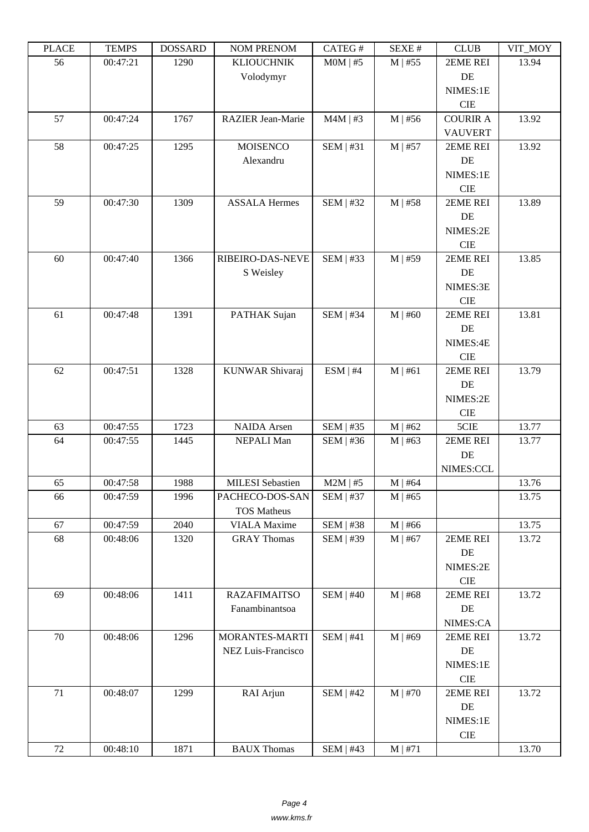| ם המדו | <u>ה דואים ד</u> | חשממחת | <b>TAQIMET IZETAQIME</b>              | $CALU \pi$       | л سد         | <b>CEOD</b>     | $V11$ $V1$ |
|--------|------------------|--------|---------------------------------------|------------------|--------------|-----------------|------------|
| 56     | 00:47:21         | 1290   | <b>KLIOUCHNIK</b>                     | $MOM$   #5       | $M$   #55    | 2EME REI        | 13.94      |
|        |                  |        | Volodymyr                             |                  |              | DE              |            |
|        |                  |        |                                       |                  |              | NIMES:1E        |            |
|        |                  |        |                                       |                  |              | $\rm CIE$       |            |
| 57     | 00:47:24         | 1767   | RAZIER Jean-Marie                     | $M4M$   #3       | $M$   #56    | <b>COURIR A</b> | 13.92      |
|        |                  |        |                                       |                  |              | <b>VAUVERT</b>  |            |
| 58     | 00:47:25         | 1295   | <b>MOISENCO</b>                       | SEM   #31        | $M$   #57    | 2EME REI        | 13.92      |
|        |                  |        | Alexandru                             |                  |              | DE              |            |
|        |                  |        |                                       |                  |              | NIMES:1E        |            |
|        |                  |        |                                       |                  |              | <b>CIE</b>      |            |
| 59     | 00:47:30         | 1309   | <b>ASSALA Hermes</b>                  | <b>SEM   #32</b> | $M$   #58    | 2EME REI        | 13.89      |
|        |                  |        |                                       |                  |              | DE              |            |
|        |                  |        |                                       |                  |              | NIMES:2E        |            |
|        |                  |        |                                       |                  |              | <b>CIE</b>      |            |
| 60     | 00:47:40         | 1366   | RIBEIRO-DAS-NEVE                      | <b>SEM   #33</b> | $M$   #59    | 2EME REI        | 13.85      |
|        |                  |        | S Weisley                             |                  |              | DE              |            |
|        |                  |        |                                       |                  |              | NIMES:3E        |            |
|        |                  |        |                                       |                  |              | <b>CIE</b>      |            |
| 61     | 00:47:48         | 1391   | PATHAK Sujan                          | <b>SEM   #34</b> | $M$   #60    | 2EME REI        | 13.81      |
|        |                  |        |                                       |                  |              | DE              |            |
|        |                  |        |                                       |                  |              | NIMES:4E        |            |
|        |                  |        |                                       |                  |              | $\rm CIE$       |            |
| 62     | 00:47:51         | 1328   | KUNWAR Shivaraj                       | ESM   #4         | M   #61      | 2EME REI        | 13.79      |
|        |                  |        |                                       |                  |              | DE              |            |
|        |                  |        |                                       |                  |              | NIMES:2E        |            |
|        |                  |        |                                       |                  |              | <b>CIE</b>      |            |
| 63     | 00:47:55         | 1723   | <b>NAIDA</b> Arsen                    | SEM   #35        | $M$   #62    | 5CIE            | 13.77      |
| 64     | 00:47:55         | 1445   | NEPALI Man                            | SEM   #36        | $M$   #63    | 2EME REI        | 13.77      |
|        |                  |        |                                       |                  |              | DE              |            |
|        |                  |        |                                       |                  |              | NIMES:CCL       |            |
| 65     | 00:47:58         | 1988   | <b>MILESI</b> Sebastien               | $M2M$   #5       | $M$   #64    |                 | 13.76      |
| 66     | 00:47:59         | 1996   | PACHECO-DOS-SAN<br><b>TOS Matheus</b> | $SEM$   #37      | $M$   #65    |                 | 13.75      |
| 67     | 00:47:59         | 2040   | <b>VIALA</b> Maxime                   | <b>SEM   #38</b> | $M$   #66    |                 | 13.75      |
| 68     | 00:48:06         | 1320   | <b>GRAY Thomas</b>                    | <b>SEM   #39</b> | $M \mid #67$ | 2EME REI        | 13.72      |
|        |                  |        |                                       |                  |              | DE              |            |
|        |                  |        |                                       |                  |              | NIMES:2E        |            |
|        |                  |        |                                       |                  |              | $\rm CIE$       |            |
| 69     | 00:48:06         | 1411   | <b>RAZAFIMAITSO</b>                   | SEM   #40        | M   #68      | 2EME REI        | 13.72      |
|        |                  |        | Fanambinantsoa                        |                  |              | DE              |            |
|        |                  |        |                                       |                  |              | NIMES:CA        |            |
| 70     | 00:48:06         | 1296   | MORANTES-MARTI                        | SEM   #41        | M   #69      | 2EME REI        | 13.72      |
|        |                  |        | NEZ Luis-Francisco                    |                  |              | DE              |            |
|        |                  |        |                                       |                  |              | NIMES:1E        |            |
|        |                  |        |                                       |                  |              | ${\rm CIE}$     |            |
| 71     | 00:48:07         | 1299   | RAI Arjun                             | $SEM$   #42      | $M$   #70    | 2EME REI        | 13.72      |
|        |                  |        |                                       |                  |              | DE              |            |
|        |                  |        |                                       |                  |              | NIMES:1E        |            |
|        |                  |        |                                       |                  |              | ${\rm CIE}$     |            |
| $72\,$ | 00:48:10         | 1871   | <b>BAUX Thomas</b>                    | SEM   #43        | $M$   #71    |                 | 13.70      |
|        |                  |        |                                       |                  |              |                 |            |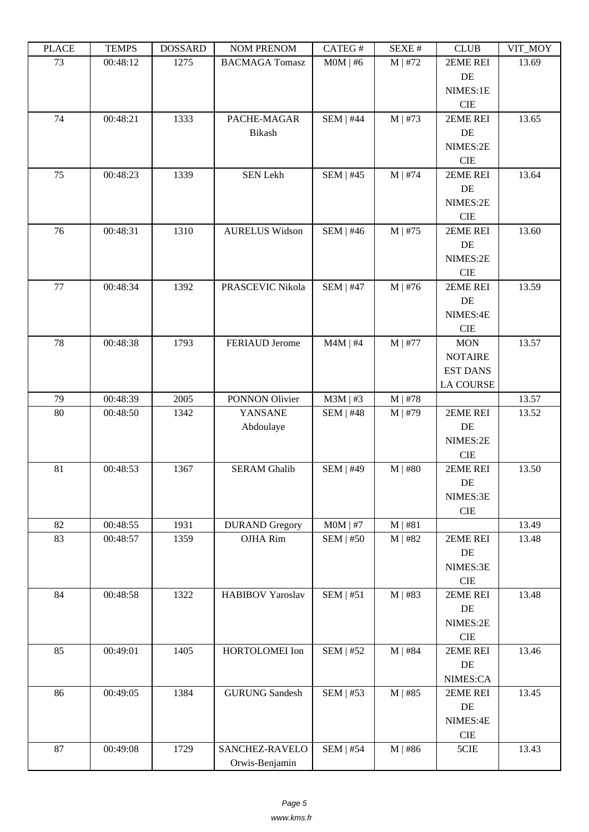| ם המדו | T ETAIT D | <b>DOPPULP</b> | <b>INUMER IN THE PROPE</b> | $CALU \pi$       | π ברגבוט             | <b>CEOD</b>      | $V11$ $V1$ |
|--------|-----------|----------------|----------------------------|------------------|----------------------|------------------|------------|
| 73     | 00:48:12  | 1275           | <b>BACMAGA Tomasz</b>      | $MOM$   #6       | $M$   #72            | 2EME REI         | 13.69      |
|        |           |                |                            |                  |                      | $\rm DE$         |            |
|        |           |                |                            |                  |                      | NIMES:1E         |            |
|        |           |                |                            |                  |                      | <b>CIE</b>       |            |
| 74     | 00:48:21  | 1333           | PACHE-MAGAR                | <b>SEM   #44</b> | $M$   #73            | 2EME REI         | 13.65      |
|        |           |                | Bikash                     |                  |                      | DE               |            |
|        |           |                |                            |                  |                      | NIMES:2E         |            |
|        |           |                |                            |                  |                      | <b>CIE</b>       |            |
| 75     | 00:48:23  | 1339           | SEN Lekh                   | <b>SEM   #45</b> | $\overline{M}$   #74 | 2EME REI         | 13.64      |
|        |           |                |                            |                  |                      | DE               |            |
|        |           |                |                            |                  |                      | NIMES:2E         |            |
|        |           |                |                            |                  |                      | <b>CIE</b>       |            |
| 76     | 00:48:31  | 1310           | <b>AURELUS Widson</b>      | SEM   #46        | $M$   #75            | 2EME REI         | 13.60      |
|        |           |                |                            |                  |                      | DE               |            |
|        |           |                |                            |                  |                      | NIMES:2E         |            |
|        |           |                |                            |                  |                      | $\rm CIE$        |            |
| 77     | 00:48:34  | 1392           | PRASCEVIC Nikola           | <b>SEM   #47</b> | $M$   #76            | 2EME REI         | 13.59      |
|        |           |                |                            |                  |                      | DE               |            |
|        |           |                |                            |                  |                      | NIMES:4E         |            |
|        |           |                |                            |                  |                      | <b>CIE</b>       |            |
| 78     | 00:48:38  | 1793           | FERIAUD Jerome             | $M4M$   #4       | $M$   #77            | <b>MON</b>       | 13.57      |
|        |           |                |                            |                  |                      |                  |            |
|        |           |                |                            |                  |                      | <b>NOTAIRE</b>   |            |
|        |           |                |                            |                  |                      | <b>EST DANS</b>  |            |
|        |           |                |                            |                  |                      | <b>LA COURSE</b> |            |
| 79     | 00:48:39  | 2005           | PONNON Olivier             | $M3M$   #3       | $M$   #78            |                  | 13.57      |
| 80     | 00:48:50  | 1342           | YANSANE                    | <b>SEM   #48</b> | $M \mid #79$         | 2EME REI         | 13.52      |
|        |           |                | Abdoulaye                  |                  |                      | $\rm DE$         |            |
|        |           |                |                            |                  |                      | NIMES:2E         |            |
|        |           |                |                            |                  |                      | $\rm CIE$        |            |
| 81     | 00:48:53  | 1367           | <b>SERAM Ghalib</b>        | <b>SEM   #49</b> | $M$   #80            | 2EME REI         | 13.50      |
|        |           |                |                            |                  |                      | DE               |            |
|        |           |                |                            |                  |                      | NIMES:3E         |            |
|        |           |                |                            |                  |                      | <b>CIE</b>       |            |
| 82     | 00:48:55  | 1931           | <b>DURAND</b> Gregory      | $MOM$   #7       | M   #81              |                  | 13.49      |
| 83     | 00:48:57  | 1359           | OJHA Rim                   | SEM   #50        | $M$   #82            | 2EME REI         | 13.48      |
|        |           |                |                            |                  |                      | DE               |            |
|        |           |                |                            |                  |                      | NIMES:3E         |            |
|        |           |                |                            |                  |                      | $\rm CIE$        |            |
| 84     | 00:48:58  | 1322           | <b>HABIBOV Yaroslav</b>    | SEM   $#51$      | $M$   #83            | 2EME REI         | 13.48      |
|        |           |                |                            |                  |                      | DE               |            |
|        |           |                |                            |                  |                      | NIMES:2E         |            |
|        |           |                |                            |                  |                      | $\rm CIE$        |            |
| 85     | 00:49:01  | 1405           | HORTOLOMEI Ion             | SEM   #52        | $M$   #84            | 2EME REI         | 13.46      |
|        |           |                |                            |                  |                      | DE               |            |
|        |           |                |                            |                  |                      | NIMES:CA         |            |
| 86     | 00:49:05  | 1384           | <b>GURUNG</b> Sandesh      | SEM   #53        | $M$   #85            | 2EME REI         | 13.45      |
|        |           |                |                            |                  |                      | $\rm DE$         |            |
|        |           |                |                            |                  |                      | NIMES:4E         |            |
|        |           |                |                            |                  |                      | $\rm CIE$        |            |
| 87     | 00:49:08  | 1729           | SANCHEZ-RAVELO             | SEM   #54        | $M$   #86            | 5CIE             | 13.43      |
|        |           |                | Orwis-Benjamin             |                  |                      |                  |            |
|        |           |                |                            |                  |                      |                  |            |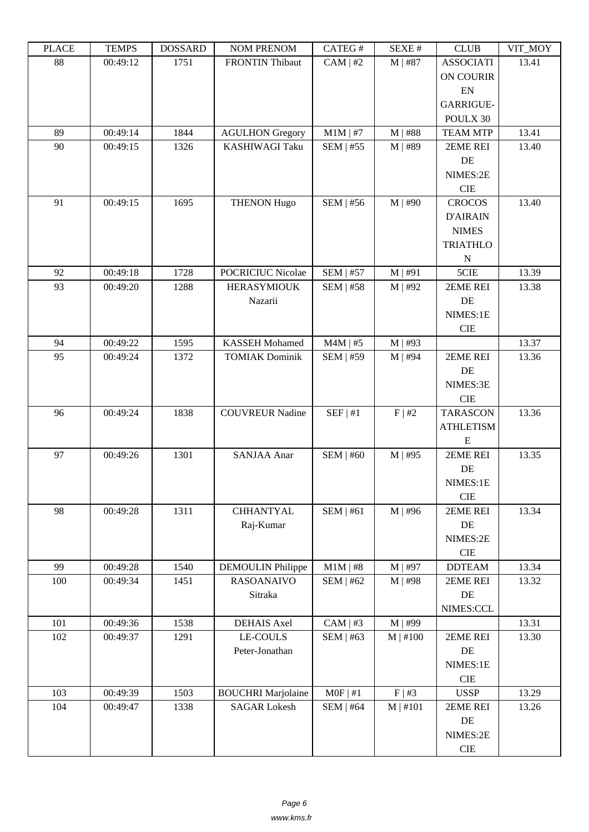| ם המדו | <u>ה דואים ד</u> | <b>DOPPULP</b> | <b>INUINE LINEINUINE</b>  | $CALLO$ $\pi$    | π ברגבוט             | <b>CEOD</b>      | $V11$ $V1$ |
|--------|------------------|----------------|---------------------------|------------------|----------------------|------------------|------------|
| 88     | 00:49:12         | 1751           | <b>FRONTIN Thibaut</b>    | $CAM \mid #2$    | $M$   #87            | <b>ASSOCIATI</b> | 13.41      |
|        |                  |                |                           |                  |                      | <b>ON COURIR</b> |            |
|        |                  |                |                           |                  |                      | EN               |            |
|        |                  |                |                           |                  |                      | GARRIGUE-        |            |
|        |                  |                |                           |                  |                      | POULX 30         |            |
| 89     | 00:49:14         | 1844           | <b>AGULHON Gregory</b>    | $M1M$   #7       | $M$   #88            | <b>TEAM MTP</b>  | 13.41      |
| 90     | 00:49:15         | 1326           | KASHIWAGI Taku            | <b>SEM   #55</b> | $M$   #89            | 2EME REI         | 13.40      |
|        |                  |                |                           |                  |                      | DE               |            |
|        |                  |                |                           |                  |                      | NIMES:2E         |            |
|        |                  |                |                           |                  |                      | <b>CIE</b>       |            |
| 91     | 00:49:15         | 1695           | <b>THENON Hugo</b>        | SEM   #56        | $\overline{M}$   #90 | <b>CROCOS</b>    | 13.40      |
|        |                  |                |                           |                  |                      | <b>D'AIRAIN</b>  |            |
|        |                  |                |                           |                  |                      | <b>NIMES</b>     |            |
|        |                  |                |                           |                  |                      | <b>TRIATHLO</b>  |            |
|        |                  |                |                           |                  |                      | $\mathbf N$      |            |
| 92     | 00:49:18         | 1728           | <b>POCRICIUC Nicolae</b>  | <b>SEM   #57</b> | M   #91              | 5CIE             | 13.39      |
| 93     | 00:49:20         | 1288           | <b>HERASYMIOUK</b>        | <b>SEM   #58</b> | $M$   #92            | 2EME REI         | 13.38      |
|        |                  |                | Nazarii                   |                  |                      | DE               |            |
|        |                  |                |                           |                  |                      | NIMES:1E         |            |
|        |                  |                |                           |                  |                      | <b>CIE</b>       |            |
| 94     | 00:49:22         | 1595           | <b>KASSEH</b> Mohamed     | $M4M$   #5       | $M$   #93            |                  | 13.37      |
| 95     | 00:49:24         | 1372           | <b>TOMIAK Dominik</b>     | <b>SEM   #59</b> | $M$   #94            | 2EME REI         | 13.36      |
|        |                  |                |                           |                  |                      | DE               |            |
|        |                  |                |                           |                  |                      | NIMES:3E         |            |
|        |                  |                |                           |                  |                      | <b>CIE</b>       |            |
| 96     | 00:49:24         | 1838           | <b>COUVREUR Nadine</b>    | SEF   #1         | F   #2               | <b>TARASCON</b>  | 13.36      |
|        |                  |                |                           |                  |                      | <b>ATHLETISM</b> |            |
| 97     | 00:49:26         | 1301           | <b>SANJAA Anar</b>        | <b>SEM   #60</b> | $M$   #95            | E<br>2EME REI    | 13.35      |
|        |                  |                |                           |                  |                      | DE               |            |
|        |                  |                |                           |                  |                      | NIMES:1E         |            |
|        |                  |                |                           |                  |                      | <b>CIE</b>       |            |
| 98     | 00:49:28         | 1311           | <b>CHHANTYAL</b>          | SEM   #61        | $M$   #96            | 2EME REI         | 13.34      |
|        |                  |                | Raj-Kumar                 |                  |                      | DE               |            |
|        |                  |                |                           |                  |                      | NIMES:2E         |            |
|        |                  |                |                           |                  |                      | ${\rm CIE}$      |            |
| 99     | 00:49:28         | 1540           | <b>DEMOULIN Philippe</b>  | $M1M$   #8       | M   #97              | <b>DDTEAM</b>    | 13.34      |
| 100    | 00:49:34         | 1451           | <b>RASOANAIVO</b>         | SEM   #62        | $M$   #98            | 2EME REI         | 13.32      |
|        |                  |                | Sitraka                   |                  |                      | DE               |            |
|        |                  |                |                           |                  |                      | NIMES:CCL        |            |
| 101    | 00:49:36         | 1538           | <b>DEHAIS</b> Axel        | $CAM \mid #3$    | M   #99              |                  | 13.31      |
| 102    | 00:49:37         | 1291           | <b>LE-COULS</b>           | <b>SEM   #63</b> | $M \mid #100$        | 2EME REI         | 13.30      |
|        |                  |                | Peter-Jonathan            |                  |                      | DE               |            |
|        |                  |                |                           |                  |                      | NIMES:1E         |            |
|        |                  |                |                           |                  |                      | $\rm CIE$        |            |
| 103    | 00:49:39         | 1503           | <b>BOUCHRI</b> Marjolaine | $MOF$   #1       | $F \mid #3$          | <b>USSP</b>      | 13.29      |
| 104    | 00:49:47         | 1338           | <b>SAGAR Lokesh</b>       | <b>SEM   #64</b> | M   #101             | 2EME REI         | 13.26      |
|        |                  |                |                           |                  |                      | DE               |            |
|        |                  |                |                           |                  |                      | NIMES:2E         |            |
|        |                  |                |                           |                  |                      | ${\rm CIE}$      |            |
|        |                  |                |                           |                  |                      |                  |            |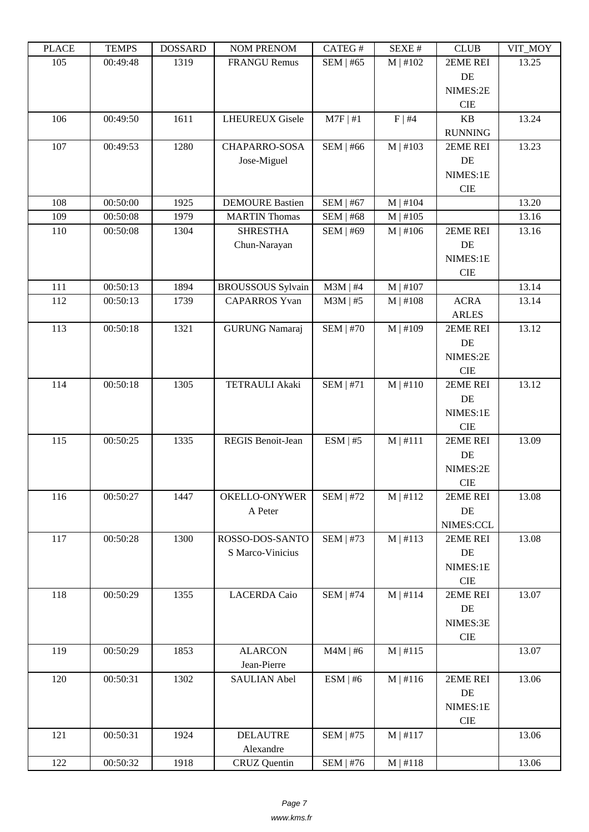| ם המדו | ט וואדד ו | חשממחת | <b>INUINE LINEINUINE</b> | $CALU \pi$       | л سد          | <b>CLOD</b>    | $V11$ $V1$ |
|--------|-----------|--------|--------------------------|------------------|---------------|----------------|------------|
| 105    | 00:49:48  | 1319   | <b>FRANGU Remus</b>      | <b>SEM   #65</b> | $M$   #102    | 2EME REI       | 13.25      |
|        |           |        |                          |                  |               | $\rm DE$       |            |
|        |           |        |                          |                  |               | NIMES:2E       |            |
|        |           |        |                          |                  |               | <b>CIE</b>     |            |
| 106    | 00:49:50  | 1611   | <b>LHEUREUX Gisele</b>   | $M7F$   #1       | F   #4        | <b>KB</b>      | 13.24      |
|        |           |        |                          |                  |               | <b>RUNNING</b> |            |
| 107    | 00:49:53  | 1280   | <b>CHAPARRO-SOSA</b>     | SEM   #66        | M   #103      | 2EME REI       | 13.23      |
|        |           |        | Jose-Miguel              |                  |               | DE             |            |
|        |           |        |                          |                  |               | NIMES:1E       |            |
|        |           |        |                          |                  |               | <b>CIE</b>     |            |
| 108    | 00:50:00  | 1925   | <b>DEMOURE Bastien</b>   | <b>SEM   #67</b> | $M$   #104    |                | 13.20      |
| 109    | 00:50:08  | 1979   | <b>MARTIN Thomas</b>     | <b>SEM   #68</b> | $M$   #105    |                | 13.16      |
| 110    | 00:50:08  | 1304   | <b>SHRESTHA</b>          | SEM   #69        | M   #106      | 2EME REI       | 13.16      |
|        |           |        | Chun-Narayan             |                  |               | DE             |            |
|        |           |        |                          |                  |               | NIMES:1E       |            |
|        |           |        |                          |                  |               | <b>CIE</b>     |            |
| 111    | 00:50:13  | 1894   | <b>BROUSSOUS Sylvain</b> | $M3M$   #4       | $M$   #107    |                | 13.14      |
| 112    | 00:50:13  | 1739   | <b>CAPARROS Yvan</b>     | $M3M$   #5       | $M \mid #108$ | <b>ACRA</b>    | 13.14      |
|        |           |        |                          |                  |               | <b>ARLES</b>   |            |
| 113    | 00:50:18  | 1321   | <b>GURUNG</b> Namaraj    | <b>SEM   #70</b> | $M$   #109    | 2EME REI       | 13.12      |
|        |           |        |                          |                  |               | DE             |            |
|        |           |        |                          |                  |               | NIMES:2E       |            |
|        |           |        |                          |                  |               | <b>CIE</b>     |            |
| 114    | 00:50:18  | 1305   | TETRAULI Akaki           | <b>SEM   #71</b> | $M \mid #110$ | 2EME REI       | 13.12      |
|        |           |        |                          |                  |               | DE             |            |
|        |           |        |                          |                  |               | NIMES:1E       |            |
|        |           |        |                          |                  |               | $\rm CIE$      |            |
| 115    | 00:50:25  | 1335   | REGIS Benoit-Jean        | ESM   #5         | $M$   #111    | 2EME REI       | 13.09      |
|        |           |        |                          |                  |               | $\rm DE$       |            |
|        |           |        |                          |                  |               | NIMES:2E       |            |
|        |           |        |                          |                  |               | <b>CIE</b>     |            |
| 116    | 00:50:27  | 1447   | OKELLO-ONYWER            | SEM   #72        | M   #112      | 2EME REI       | 13.08      |
|        |           |        | A Peter                  |                  |               | DE             |            |
|        |           |        |                          |                  |               | NIMES:CCL      |            |
| 117    | 00:50:28  | 1300   | ROSSO-DOS-SANTO          | SEM   $#73$      | M   #113      | 2EME REI       | 13.08      |
|        |           |        | S Marco-Vinicius         |                  |               | DE             |            |
|        |           |        |                          |                  |               | NIMES:1E       |            |
|        |           |        |                          |                  |               | $\rm CIE$      |            |
| 118    | 00:50:29  | 1355   | <b>LACERDA</b> Caio      | <b>SEM   #74</b> | $M$   #114    | 2EME REI       | 13.07      |
|        |           |        |                          |                  |               | DE             |            |
|        |           |        |                          |                  |               | NIMES:3E       |            |
|        |           |        |                          |                  |               | $\rm CIE$      |            |
| 119    | 00:50:29  | 1853   | <b>ALARCON</b>           | $M4M$   #6       | $M \mid #115$ |                | 13.07      |
|        |           |        | Jean-Pierre              |                  |               |                |            |
| 120    | 00:50:31  | 1302   | SAULIAN Abel             | ESM   #6         | M   #116      | 2EME REI       | 13.06      |
|        |           |        |                          |                  |               | DE             |            |
|        |           |        |                          |                  |               | NIMES:1E       |            |
|        |           |        |                          |                  |               | CIE            |            |
| 121    | 00:50:31  | 1924   | <b>DELAUTRE</b>          | <b>SEM   #75</b> | $M$   #117    |                | 13.06      |
|        |           |        | Alexandre                |                  |               |                |            |
| 122    | 00:50:32  | 1918   | <b>CRUZ</b> Quentin      | <b>SEM   #76</b> | M   #118      |                | 13.06      |
|        |           |        |                          |                  |               |                |            |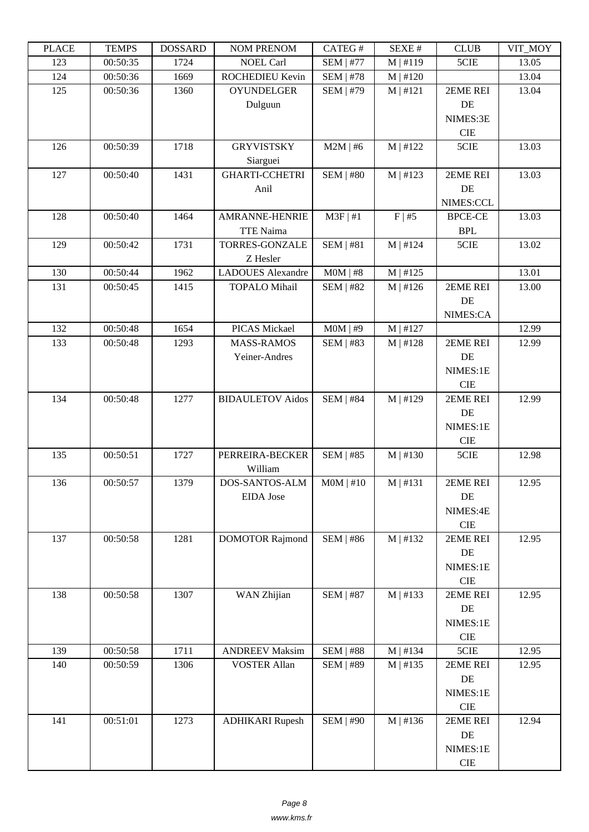| LLAUD | <b>TERTI D</b> | <b>UUUNGUU</b> | NUM TNENUM               | $CALU\pi$        | υL/VL π    | CLUD           | VII_MUI |
|-------|----------------|----------------|--------------------------|------------------|------------|----------------|---------|
| 123   | 00:50:35       | 1724           | <b>NOEL Carl</b>         | <b>SEM   #77</b> | $M$   #119 | 5CIE           | 13.05   |
| 124   | 00:50:36       | 1669           | ROCHEDIEU Kevin          | <b>SEM   #78</b> | M   #120   |                | 13.04   |
| 125   | 00:50:36       | 1360           | <b>OYUNDELGER</b>        | SEM   #79        | $M$   #121 | 2EME REI       | 13.04   |
|       |                |                | Dulguun                  |                  |            | DE             |         |
|       |                |                |                          |                  |            | NIMES:3E       |         |
|       |                |                |                          |                  |            | <b>CIE</b>     |         |
| 126   | 00:50:39       | 1718           | <b>GRYVISTSKY</b>        | $M2M$   #6       | M   #122   | 5CIE           | 13.03   |
|       |                |                | Siarguei                 |                  |            |                |         |
| 127   | 00:50:40       | 1431           | <b>GHARTI-CCHETRI</b>    | <b>SEM   #80</b> | M   #123   | 2EME REI       | 13.03   |
|       |                |                | Anil                     |                  |            | DE             |         |
|       |                |                |                          |                  |            | NIMES:CCL      |         |
| 128   | 00:50:40       | 1464           | <b>AMRANNE-HENRIE</b>    | $M3F$   #1       | $F$   #5   | <b>BPCE-CE</b> | 13.03   |
|       |                |                | <b>TTE Naima</b>         |                  |            | <b>BPL</b>     |         |
| 129   | 00:50:42       | 1731           | <b>TORRES-GONZALE</b>    | <b>SEM   #81</b> | $M$   #124 | 5CIE           | 13.02   |
|       |                |                | Z Hesler                 |                  |            |                |         |
| 130   | 00:50:44       | 1962           | <b>LADOUES</b> Alexandre | $MOM$   #8       | M   #125   |                | 13.01   |
| 131   | 00:50:45       | 1415           | <b>TOPALO Mihail</b>     | <b>SEM   #82</b> | M   #126   | 2EME REI       | 13.00   |
|       |                |                |                          |                  |            | DE             |         |
|       |                |                |                          |                  |            | NIMES:CA       |         |
| 132   | 00:50:48       | 1654           | <b>PICAS Mickael</b>     | $MOM$   #9       | M   #127   |                | 12.99   |
| 133   | 00:50:48       | 1293           | <b>MASS-RAMOS</b>        | <b>SEM   #83</b> | M   #128   | 2EME REI       | 12.99   |
|       |                |                | Yeiner-Andres            |                  |            | DE             |         |
|       |                |                |                          |                  |            | NIMES:1E       |         |
|       |                |                |                          |                  |            | <b>CIE</b>     |         |
| 134   | 00:50:48       | 1277           | <b>BIDAULETOV Aidos</b>  | <b>SEM   #84</b> | M   #129   | 2EME REI       | 12.99   |
|       |                |                |                          |                  |            | DE             |         |
|       |                |                |                          |                  |            | NIMES:1E       |         |
|       |                |                |                          |                  |            | <b>CIE</b>     |         |
| 135   | 00:50:51       | 1727           | PERREIRA-BECKER          | <b>SEM   #85</b> | M   #130   | 5CIE           | 12.98   |
|       |                |                | William                  |                  |            |                |         |
| 136   | 00:50:57       | 1379           | DOS-SANTOS-ALM           | $MOM$   #10      | M   #131   | 2EME REI       | 12.95   |
|       |                |                | EIDA Jose                |                  |            | DE             |         |
|       |                |                |                          |                  |            | NIMES:4E       |         |
|       |                |                |                          |                  |            | <b>CIE</b>     |         |
| 137   | 00:50:58       | 1281           | <b>DOMOTOR Rajmond</b>   | <b>SEM   #86</b> | M   #132   | 2EME REI       | 12.95   |
|       |                |                |                          |                  |            | DE             |         |
|       |                |                |                          |                  |            | NIMES:1E       |         |
|       |                |                |                          |                  |            | <b>CIE</b>     |         |
| 138   | 00:50:58       | 1307           | WAN Zhijian              | <b>SEM   #87</b> | M   #133   | 2EME REI       | 12.95   |
|       |                |                |                          |                  |            | DE             |         |
|       |                |                |                          |                  |            | NIMES:1E       |         |
|       |                |                |                          |                  |            | $\rm CIE$      |         |
| 139   | 00:50:58       | 1711           | <b>ANDREEV Maksim</b>    | <b>SEM   #88</b> | $M$   #134 | 5CIE           | 12.95   |
| 140   | 00:50:59       | 1306           | <b>VOSTER Allan</b>      | <b>SEM   #89</b> | M   #135   | 2EME REI       | 12.95   |
|       |                |                |                          |                  |            | $\rm DE$       |         |
|       |                |                |                          |                  |            | NIMES:1E       |         |
|       |                |                |                          |                  |            | <b>CIE</b>     |         |
| 141   | 00:51:01       | 1273           | <b>ADHIKARI Rupesh</b>   | <b>SEM   #90</b> | M   #136   | 2EME REI       | 12.94   |
|       |                |                |                          |                  |            | $\rm DE$       |         |
|       |                |                |                          |                  |            | NIMES:1E       |         |
|       |                |                |                          |                  |            | <b>CIE</b>     |         |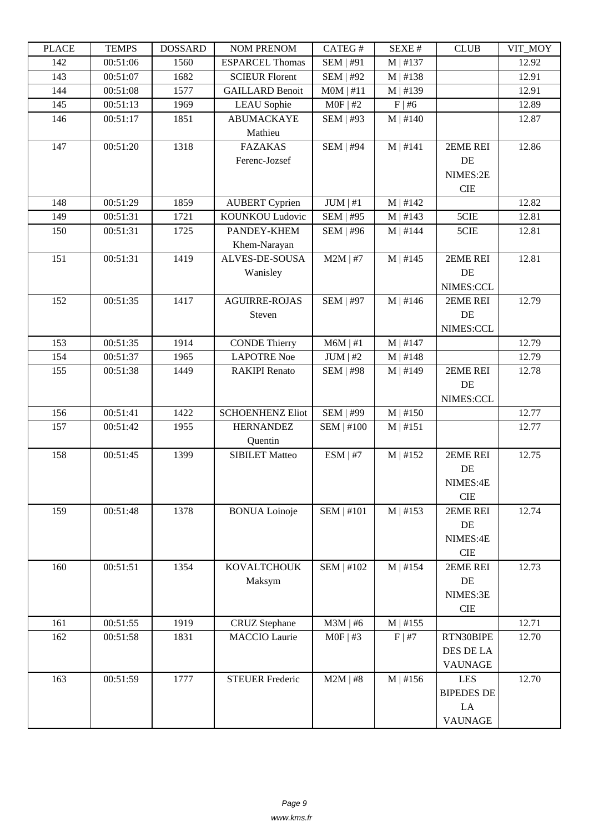| LLAUD | L TIMIT D | <b>UUUUUUU</b> | NUM TNENUM              | <b>CATLO</b> T    | יד בב/גבוט    | CLUD              | VII_MUI |
|-------|-----------|----------------|-------------------------|-------------------|---------------|-------------------|---------|
| 142   | 00:51:06  | 1560           | <b>ESPARCEL Thomas</b>  | SEM   #91         | $M$   #137    |                   | 12.92   |
| 143   | 00:51:07  | 1682           | <b>SCIEUR Florent</b>   | <b>SEM   #92</b>  | M   #138      |                   | 12.91   |
| 144   | 00:51:08  | 1577           | <b>GAILLARD Benoit</b>  | $MOM$   #11       | M   #139      |                   | 12.91   |
| 145   | 00:51:13  | 1969           | <b>LEAU</b> Sophie      | $MOF$   #2        | $F \mid #6$   |                   | 12.89   |
| 146   | 00:51:17  | 1851           | ABUMACKAYE              | SEM   #93         | M   #140      |                   | 12.87   |
|       |           |                | Mathieu                 |                   |               |                   |         |
| 147   | 00:51:20  | 1318           | <b>FAZAKAS</b>          | <b>SEM   #94</b>  | $M$   #141    | 2EME REI          | 12.86   |
|       |           |                | Ferenc-Jozsef           |                   |               | DE                |         |
|       |           |                |                         |                   |               | NIMES:2E          |         |
|       |           |                |                         |                   |               | <b>CIE</b>        |         |
| 148   | 00:51:29  | 1859           | <b>AUBERT</b> Cyprien   | JUM   #1          | M   #142      |                   | 12.82   |
| 149   | 00:51:31  | 1721           | KOUNKOU Ludovic         | SEM   #95         | M   #143      | 5CIE              | 12.81   |
| 150   | 00:51:31  | 1725           | PANDEY-KHEM             | <b>SEM   #96</b>  | $M$   #144    | 5CIE              | 12.81   |
|       |           |                | Khem-Narayan            |                   |               |                   |         |
| 151   | 00:51:31  | 1419           | ALVES-DE-SOUSA          | $M2M$   #7        | M   #145      | 2EME REI          | 12.81   |
|       |           |                | Wanisley                |                   |               | DE                |         |
|       |           |                |                         |                   |               | NIMES:CCL         |         |
| 152   | 00:51:35  | 1417           | <b>AGUIRRE-ROJAS</b>    | <b>SEM   #97</b>  | M   #146      | 2EME REI          | 12.79   |
|       |           |                | Steven                  |                   |               | DE                |         |
|       |           |                |                         |                   |               | NIMES:CCL         |         |
| 153   | 00:51:35  | 1914           | <b>CONDE Thierry</b>    | $M6M$   #1        | $M$   #147    |                   | 12.79   |
| 154   | 00:51:37  | 1965           | <b>LAPOTRE Noe</b>      | $JUM$   #2        | M   #148      |                   | 12.79   |
|       | 00:51:38  | 1449           | <b>RAKIPI</b> Renato    |                   |               | 2EME REI          |         |
| 155   |           |                |                         | <b>SEM   #98</b>  | M   #149      |                   | 12.78   |
|       |           |                |                         |                   |               | DE                |         |
| 156   | 00:51:41  | 1422           | <b>SCHOENHENZ Eliot</b> |                   |               | NIMES:CCL         | 12.77   |
|       |           |                |                         | <b>SEM   #99</b>  | $M \mid #150$ |                   |         |
| 157   | 00:51:42  | 1955           | <b>HERNANDEZ</b>        | <b>SEM   #100</b> | M   #151      |                   | 12.77   |
|       |           |                | Quentin                 |                   |               |                   |         |
| 158   | 00:51:45  | 1399           | <b>SIBILET Matteo</b>   | $ESM$   #7        | M   #152      | 2EME REI          | 12.75   |
|       |           |                |                         |                   |               | DE                |         |
|       |           |                |                         |                   |               | NIMES:4E          |         |
|       |           |                |                         |                   |               | <b>CIE</b>        |         |
| 159   | 00:51:48  | 1378           | <b>BONUA</b> Loinoje    | <b>SEM   #101</b> | M   #153      | 2EME REI          | 12.74   |
|       |           |                |                         |                   |               | DE                |         |
|       |           |                |                         |                   |               | NIMES:4E          |         |
|       |           |                |                         |                   |               | <b>CIE</b>        |         |
| 160   | 00:51:51  | 1354           | <b>KOVALTCHOUK</b>      | <b>SEM   #102</b> | $M$   #154    | 2EME REI          | 12.73   |
|       |           |                | Maksym                  |                   |               | DE                |         |
|       |           |                |                         |                   |               | NIMES:3E          |         |
|       |           |                |                         |                   |               | <b>CIE</b>        |         |
| 161   | 00:51:55  | 1919           | CRUZ Stephane           | $M3M$   #6        | M   #155      |                   | 12.71   |
| 162   | 00:51:58  | 1831           | <b>MACCIO</b> Laurie    | $MOF$   #3        | F   #7        | RTN30BIPE         | 12.70   |
|       |           |                |                         |                   |               | DES DE LA         |         |
|       |           |                |                         |                   |               | <b>VAUNAGE</b>    |         |
| 163   | 00:51:59  | 1777           | <b>STEUER Frederic</b>  | $M2M$   #8        | M   #156      | LES               | 12.70   |
|       |           |                |                         |                   |               | <b>BIPEDES DE</b> |         |
|       |           |                |                         |                   |               | LA                |         |
|       |           |                |                         |                   |               | <b>VAUNAGE</b>    |         |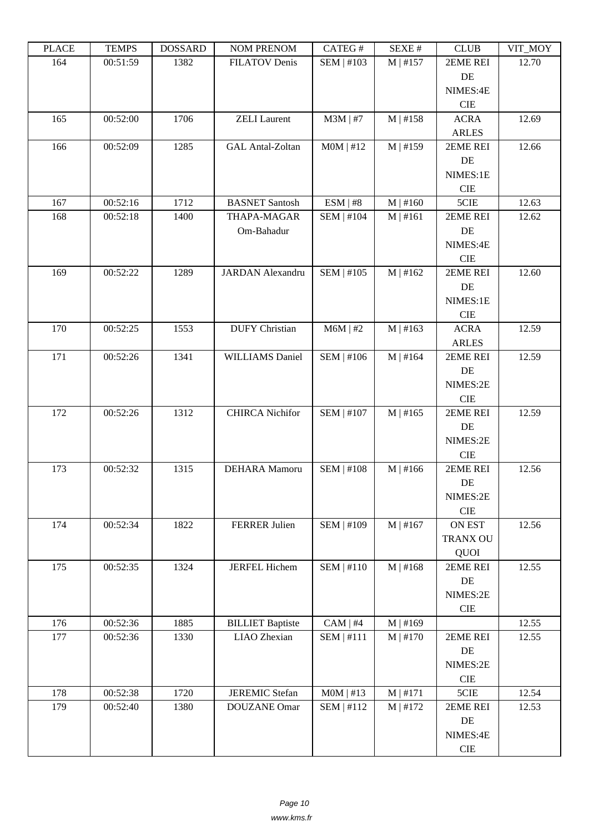| LEACE | L LIVII J | <b>UUUUUUU</b> | <b>INUIVI I INEINUIVI</b> | CATLO T           | DL/AL π       | CLUD            | VII_MUI |
|-------|-----------|----------------|---------------------------|-------------------|---------------|-----------------|---------|
| 164   | 00:51:59  | 1382           | <b>FILATOV Denis</b>      | SEM   #103        | $M$   #157    | 2EME REI        | 12.70   |
|       |           |                |                           |                   |               | DE              |         |
|       |           |                |                           |                   |               | NIMES:4E        |         |
|       |           |                |                           |                   |               | <b>CIE</b>      |         |
| 165   | 00:52:00  | 1706           | <b>ZELI</b> Laurent       | $M3M$   #7        | $M \mid #158$ | <b>ACRA</b>     | 12.69   |
|       |           |                |                           |                   |               |                 |         |
|       |           |                |                           |                   |               | <b>ARLES</b>    |         |
| 166   | 00:52:09  | 1285           | <b>GAL Antal-Zoltan</b>   | $MOM$   #12       | M   #159      | 2EME REI        | 12.66   |
|       |           |                |                           |                   |               | DE              |         |
|       |           |                |                           |                   |               | NIMES:1E        |         |
|       |           |                |                           |                   |               | <b>CIE</b>      |         |
| 167   | 00:52:16  | 1712           | <b>BASNET Santosh</b>     | ESM   #8          | $M \mid #160$ | 5CIE            | 12.63   |
| 168   | 00:52:18  | 1400           | THAPA-MAGAR               | <b>SEM   #104</b> | M   #161      | 2EME REI        | 12.62   |
|       |           |                | Om-Bahadur                |                   |               | DE              |         |
|       |           |                |                           |                   |               | NIMES:4E        |         |
|       |           |                |                           |                   |               | <b>CIE</b>      |         |
| 169   | 00:52:22  | 1289           | <b>JARDAN</b> Alexandru   | <b>SEM   #105</b> | M   #162      | 2EME REI        | 12.60   |
|       |           |                |                           |                   |               | DE              |         |
|       |           |                |                           |                   |               | NIMES:1E        |         |
|       |           |                |                           |                   |               | <b>CIE</b>      |         |
| 170   | 00:52:25  | 1553           | <b>DUFY</b> Christian     | $M6M$   #2        | M   #163      | <b>ACRA</b>     | 12.59   |
|       |           |                |                           |                   |               |                 |         |
|       |           |                |                           |                   |               | <b>ARLES</b>    |         |
| 171   | 00:52:26  | 1341           | <b>WILLIAMS</b> Daniel    | SEM   #106        | M   #164      | 2EME REI        | 12.59   |
|       |           |                |                           |                   |               | DE              |         |
|       |           |                |                           |                   |               | NIMES:2E        |         |
|       |           |                |                           |                   |               | <b>CIE</b>      |         |
| 172   | 00:52:26  | 1312           | <b>CHIRCA</b> Nichifor    | <b>SEM   #107</b> | M   #165      | 2EME REI        | 12.59   |
|       |           |                |                           |                   |               | DE              |         |
|       |           |                |                           |                   |               | NIMES:2E        |         |
|       |           |                |                           |                   |               | <b>CIE</b>      |         |
| 173   | 00:52:32  | 1315           | DEHARA Mamoru             | <b>SEM   #108</b> | M   #166      | 2EME REI        | 12.56   |
|       |           |                |                           |                   |               | DE              |         |
|       |           |                |                           |                   |               | NIMES:2E        |         |
|       |           |                |                           |                   |               | CIE             |         |
| 174   | 00:52:34  | 1822           | <b>FERRER Julien</b>      | <b>SEM   #109</b> | $M \mid #167$ | ON EST          | 12.56   |
|       |           |                |                           |                   |               | <b>TRANX OU</b> |         |
|       |           |                |                           |                   |               |                 |         |
|       |           |                |                           |                   |               | QUOI            |         |
| 175   | 00:52:35  | 1324           | <b>JERFEL Hichem</b>      | <b>SEM   #110</b> | M   #168      | 2EME REI        | 12.55   |
|       |           |                |                           |                   |               | $\rm DE$        |         |
|       |           |                |                           |                   |               | NIMES:2E        |         |
|       |           |                |                           |                   |               | CIE             |         |
| 176   | 00:52:36  | 1885           | <b>BILLIET Baptiste</b>   | $CAM \mid #4$     | M   #169      |                 | 12.55   |
| 177   | 00:52:36  | 1330           | LIAO Zhexian              | <b>SEM</b>   #111 | $M \mid #170$ | 2EME REI        | 12.55   |
|       |           |                |                           |                   |               | DE              |         |
|       |           |                |                           |                   |               | NIMES:2E        |         |
|       |           |                |                           |                   |               | CIE             |         |
| 178   | 00:52:38  | 1720           | <b>JEREMIC Stefan</b>     | $MOM$   #13       | M   #171      | 5CIE            | 12.54   |
| 179   | 00:52:40  | 1380           | DOUZANE Omar              | SEM   #112        | M   #172      | 2EME REI        | 12.53   |
|       |           |                |                           |                   |               | DE              |         |
|       |           |                |                           |                   |               | NIMES:4E        |         |
|       |           |                |                           |                   |               |                 |         |
|       |           |                |                           |                   |               | ${\rm CIE}$     |         |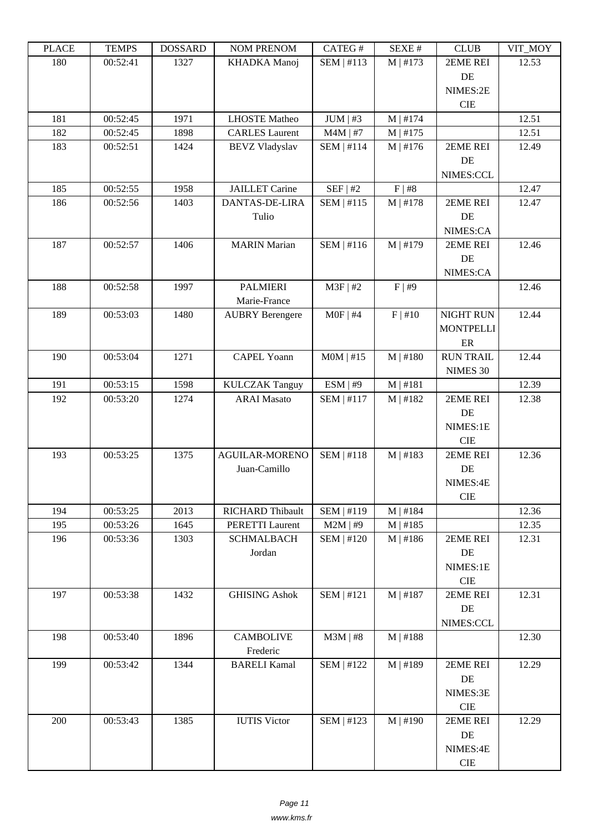| LEUCE | L LIVIII IJ | <u> שעורוממטען</u> | <b>NUMERICAY</b>       | CALU              | יד שבלש       | CLUD             | VII_MUI |
|-------|-------------|--------------------|------------------------|-------------------|---------------|------------------|---------|
| 180   | 00:52:41    | 1327               | KHADKA Manoj           | SEM   #113        | M   #173      | 2EME REI         | 12.53   |
|       |             |                    |                        |                   |               | DE               |         |
|       |             |                    |                        |                   |               | NIMES:2E         |         |
|       |             |                    |                        |                   |               | <b>CIE</b>       |         |
| 181   | 00:52:45    | 1971               | <b>LHOSTE Matheo</b>   | $JUM$   #3        | $M \mid #174$ |                  | 12.51   |
| 182   | 00:52:45    | 1898               | <b>CARLES</b> Laurent  | $M4M$   #7        | M   #175      |                  | 12.51   |
| 183   | 00:52:51    | 1424               | <b>BEVZ Vladyslav</b>  | SEM   #114        | M   #176      | 2EME REI         | 12.49   |
|       |             |                    |                        |                   |               | DE               |         |
|       |             |                    |                        |                   |               | NIMES:CCL        |         |
| 185   | 00:52:55    | 1958               | <b>JAILLET</b> Carine  | $SEF$   #2        | F   #8        |                  | 12.47   |
| 186   | 00:52:56    | 1403               | <b>DANTAS-DE-LIRA</b>  | SEM   #115        | $M \mid #178$ | 2EME REI         | 12.47   |
|       |             |                    | Tulio                  |                   |               | DE               |         |
|       |             |                    |                        |                   |               | NIMES:CA         |         |
| 187   | 00:52:57    | 1406               | <b>MARIN</b> Marian    | SEM   #116        | M   #179      | 2EME REI         | 12.46   |
|       |             |                    |                        |                   |               | DE               |         |
|       |             |                    |                        |                   |               | NIMES:CA         |         |
| 188   | 00:52:58    | 1997               | <b>PALMIERI</b>        | $M3F$   #2        | F   #9        |                  | 12.46   |
|       |             |                    | Marie-France           |                   |               |                  |         |
| 189   | 00:53:03    | 1480               | <b>AUBRY Berengere</b> | $MOF$   #4        | F   #10       | <b>NIGHT RUN</b> | 12.44   |
|       |             |                    |                        |                   |               | <b>MONTPELLI</b> |         |
|       |             |                    |                        |                   |               | ER               |         |
| 190   | 00:53:04    | 1271               | <b>CAPEL Yoann</b>     | $MOM$   #15       | $M \mid #180$ | <b>RUN TRAIL</b> | 12.44   |
|       |             |                    |                        |                   |               | NIMES 30         |         |
| 191   | 00:53:15    | 1598               | <b>KULCZAK Tanguy</b>  | ESM   #9          | M   #181      |                  | 12.39   |
| 192   | 00:53:20    | 1274               | <b>ARAI</b> Masato     | SEM   #117        | M   #182      | 2EME REI         | 12.38   |
|       |             |                    |                        |                   |               | DE               |         |
|       |             |                    |                        |                   |               | NIMES:1E         |         |
|       |             |                    |                        |                   |               | <b>CIE</b>       |         |
| 193   | 00:53:25    | 1375               | <b>AGUILAR-MORENO</b>  | <b>SEM   #118</b> | M   #183      | 2EME REI         | 12.36   |
|       |             |                    | Juan-Camillo           |                   |               | DE               |         |
|       |             |                    |                        |                   |               | NIMES:4E         |         |
|       |             |                    |                        |                   |               | <b>CIE</b>       |         |
| 194   | 00:53:25    | 2013               | RICHARD Thibault       | SEM   #119        | M   #184      |                  | 12.36   |
| 195   | 00:53:26    | 1645               | <b>PERETTI Laurent</b> | $M2M$   #9        | $M \mid #185$ |                  | 12.35   |
| 196   | 00:53:36    | 1303               | <b>SCHMALBACH</b>      | SEM   #120        | M   #186      | 2EME REI         | 12.31   |
|       |             |                    | Jordan                 |                   |               | DE               |         |
|       |             |                    |                        |                   |               | NIMES:1E         |         |
|       |             |                    |                        |                   |               | CIE              |         |
| 197   | 00:53:38    | 1432               | <b>GHISING Ashok</b>   | SEM   #121        | M   #187      | 2EME REI         | 12.31   |
|       |             |                    |                        |                   |               | DE               |         |
|       |             |                    |                        |                   |               | NIMES:CCL        |         |
| 198   | 00:53:40    | 1896               | <b>CAMBOLIVE</b>       | $M3M$   #8        | M   #188      |                  | 12.30   |
|       |             |                    | Frederic               |                   |               |                  |         |
| 199   | 00:53:42    | 1344               | <b>BARELI Kamal</b>    | <b>SEM   #122</b> | M   #189      | 2EME REI         | 12.29   |
|       |             |                    |                        |                   |               | DE               |         |
|       |             |                    |                        |                   |               | NIMES:3E         |         |
|       |             |                    |                        |                   |               | CIE              |         |
| 200   | 00:53:43    | 1385               | <b>IUTIS Victor</b>    | SEM   #123        | $M$   #190    | 2EME REI         | 12.29   |
|       |             |                    |                        |                   |               | $\rm DE$         |         |
|       |             |                    |                        |                   |               | NIMES:4E         |         |
|       |             |                    |                        |                   |               | CIE              |         |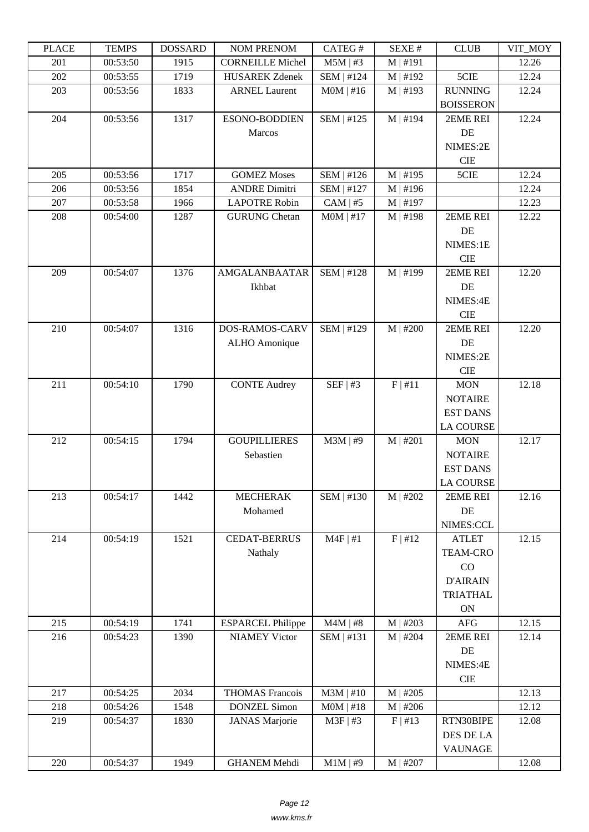| LLACE | L LIVIII IJ | <b>UUDDAINU</b> | I'VUNI I INLIVUNI        | CALU              | ד בר⁄זבט   | CLUD             | YII_MUI |
|-------|-------------|-----------------|--------------------------|-------------------|------------|------------------|---------|
| 201   | 00:53:50    | 1915            | <b>CORNEILLE Michel</b>  | $M5M$   #3        | M   #191   |                  | 12.26   |
| 202   | 00:53:55    | 1719            | <b>HUSAREK Zdenek</b>    | SEM   #124        | M   #192   | 5CIE             | 12.24   |
| 203   | 00:53:56    | 1833            | <b>ARNEL Laurent</b>     | $MOM$   #16       | M   #193   | <b>RUNNING</b>   | 12.24   |
|       |             |                 |                          |                   |            | <b>BOISSERON</b> |         |
| 204   | 00:53:56    | 1317            | <b>ESONO-BODDIEN</b>     | SEM   #125        | $M$   #194 | 2EME REI         | 12.24   |
|       |             |                 | Marcos                   |                   |            | DE               |         |
|       |             |                 |                          |                   |            | NIMES:2E         |         |
|       |             |                 |                          |                   |            | <b>CIE</b>       |         |
| 205   | 00:53:56    | 1717            | <b>GOMEZ Moses</b>       | SEM   #126        | $M$   #195 | 5CIE             | 12.24   |
| 206   | 00:53:56    | 1854            | <b>ANDRE Dimitri</b>     | SEM   #127        | $M$   #196 |                  | 12.24   |
| 207   | 00:53:58    | 1966            | <b>LAPOTRE Robin</b>     | $CAM \mid #5$     | $M$   #197 |                  | 12.23   |
| 208   | 00:54:00    | 1287            | <b>GURUNG Chetan</b>     | $MOM$   #17       | M   #198   | 2EME REI         | 12.22   |
|       |             |                 |                          |                   |            | DE               |         |
|       |             |                 |                          |                   |            | NIMES:1E         |         |
|       |             |                 |                          |                   |            | <b>CIE</b>       |         |
| 209   | 00:54:07    | 1376            | <b>AMGALANBAATAR</b>     | <b>SEM   #128</b> | M   #199   | 2EME REI         | 12.20   |
|       |             |                 | Ikhbat                   |                   |            | DE               |         |
|       |             |                 |                          |                   |            | NIMES:4E         |         |
|       |             |                 |                          |                   |            | <b>CIE</b>       |         |
| 210   | 00:54:07    | 1316            | <b>DOS-RAMOS-CARV</b>    | SEM   #129        | $M$   #200 | 2EME REI         | 12.20   |
|       |             |                 | <b>ALHO</b> Amonique     |                   |            | DE               |         |
|       |             |                 |                          |                   |            | NIMES:2E         |         |
|       |             |                 |                          |                   |            | <b>CIE</b>       |         |
| 211   | 00:54:10    | 1790            | <b>CONTE Audrey</b>      | SEF   #3          | F   #11    | <b>MON</b>       | 12.18   |
|       |             |                 |                          |                   |            | <b>NOTAIRE</b>   |         |
|       |             |                 |                          |                   |            | <b>EST DANS</b>  |         |
|       |             |                 |                          |                   |            | <b>LA COURSE</b> |         |
| 212   | 00:54:15    | 1794            | <b>GOUPILLIERES</b>      | $M3M$   #9        | $M$   #201 | <b>MON</b>       | 12.17   |
|       |             |                 | Sebastien                |                   |            | <b>NOTAIRE</b>   |         |
|       |             |                 |                          |                   |            | <b>EST DANS</b>  |         |
|       |             |                 |                          |                   |            | <b>LA COURSE</b> |         |
| 213   | 00:54:17    | 1442            | <b>MECHERAK</b>          | SEM   #130        | M   #202   | 2EME REI         | 12.16   |
|       |             |                 | Mohamed                  |                   |            | DE               |         |
|       |             |                 |                          |                   |            | NIMES:CCL        |         |
| 214   | 00:54:19    | 1521            | <b>CEDAT-BERRUS</b>      | $M4F$   #1        | F   #12    | <b>ATLET</b>     | 12.15   |
|       |             |                 | Nathaly                  |                   |            | <b>TEAM-CRO</b>  |         |
|       |             |                 |                          |                   |            | CO               |         |
|       |             |                 |                          |                   |            | <b>D'AIRAIN</b>  |         |
|       |             |                 |                          |                   |            | <b>TRIATHAL</b>  |         |
|       |             |                 |                          |                   |            | ON               |         |
| 215   | 00:54:19    | 1741            | <b>ESPARCEL Philippe</b> | $M4M$   #8        | $M$   #203 | AFG              | 12.15   |
| 216   | 00:54:23    | 1390            | <b>NIAMEY Victor</b>     | SEM   #131        | M   #204   | 2EME REI         | 12.14   |
|       |             |                 |                          |                   |            | $\rm DE$         |         |
|       |             |                 |                          |                   |            | NIMES:4E         |         |
|       |             |                 |                          |                   |            | CIE              |         |
| 217   | 00:54:25    | 2034            | <b>THOMAS Francois</b>   | $M3M$   #10       | $M$   #205 |                  | 12.13   |
| 218   | 00:54:26    | 1548            | <b>DONZEL Simon</b>      | $MOM$   #18       | M   #206   |                  | 12.12   |
| 219   | 00:54:37    | 1830            | <b>JANAS Marjorie</b>    | $M3F$ #3          | F   #13    | RTN30BIPE        | 12.08   |
|       |             |                 |                          |                   |            | DES DE LA        |         |
|       |             |                 |                          |                   |            | <b>VAUNAGE</b>   |         |
| 220   | 00:54:37    | 1949            | <b>GHANEM Mehdi</b>      | $M1M$   #9        | $M$   #207 |                  | 12.08   |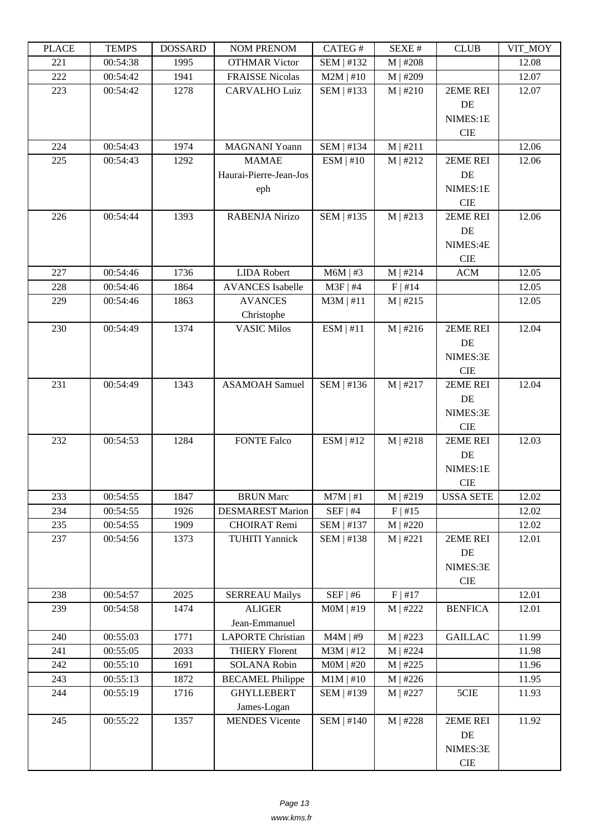| LEUCE | L LIVII I J | <b><i>ANURGOA</i></b> | I VUNI I I NETVUNI       | <b>CATLOT</b>     | υL/ΛL π    | CLUD                     | VII_WIO I |
|-------|-------------|-----------------------|--------------------------|-------------------|------------|--------------------------|-----------|
| 221   | 00:54:38    | 1995                  | <b>OTHMAR Victor</b>     | SEM   #132        | $M$   #208 |                          | 12.08     |
| 222   | 00:54:42    | 1941                  | <b>FRAISSE Nicolas</b>   | $M2M$   #10       | M   #209   |                          | 12.07     |
| 223   | 00:54:42    | 1278                  | <b>CARVALHO Luiz</b>     | SEM   #133        | M   #210   | 2EME REI                 | 12.07     |
|       |             |                       |                          |                   |            | DE                       |           |
|       |             |                       |                          |                   |            | NIMES:1E                 |           |
|       |             |                       |                          |                   |            | <b>CIE</b>               |           |
| 224   | 00:54:43    | 1974                  | <b>MAGNANI Yoann</b>     | SEM   #134        | M   #211   |                          | 12.06     |
| 225   | 00:54:43    | 1292                  | <b>MAMAE</b>             | ESM   #10         | M   #212   | 2EME REI                 | 12.06     |
|       |             |                       | Haurai-Pierre-Jean-Jos   |                   |            | DE                       |           |
|       |             |                       | eph                      |                   |            | NIMES:1E                 |           |
|       |             |                       |                          |                   |            | <b>CIE</b>               |           |
| 226   | 00:54:44    | 1393                  | RABENJA Nirizo           | SEM   #135        | M   #213   | 2EME REI                 | 12.06     |
|       |             |                       |                          |                   |            | DE                       |           |
|       |             |                       |                          |                   |            | NIMES:4E                 |           |
| 227   | 00:54:46    | 1736                  | <b>LIDA Robert</b>       | $M6M$   #3        | M   #214   | <b>CIE</b><br><b>ACM</b> | 12.05     |
| 228   | 00:54:46    | 1864                  | <b>AVANCES</b> Isabelle  | $M3F$   #4        | F   #14    |                          | 12.05     |
| 229   | 00:54:46    | 1863                  | <b>AVANCES</b>           | $M3M$   #11       | M   #215   |                          | 12.05     |
|       |             |                       | Christophe               |                   |            |                          |           |
| 230   | 00:54:49    | 1374                  | <b>VASIC Milos</b>       | ESM   #11         | M   #216   | 2EME REI                 | 12.04     |
|       |             |                       |                          |                   |            | DE                       |           |
|       |             |                       |                          |                   |            | NIMES:3E                 |           |
|       |             |                       |                          |                   |            | <b>CIE</b>               |           |
| 231   | 00:54:49    | 1343                  | <b>ASAMOAH Samuel</b>    | SEM   #136        | M   #217   | 2EME REI                 | 12.04     |
|       |             |                       |                          |                   |            | DE                       |           |
|       |             |                       |                          |                   |            | NIMES:3E                 |           |
|       |             |                       |                          |                   |            | <b>CIE</b>               |           |
| 232   | 00:54:53    | 1284                  | <b>FONTE Falco</b>       | ESM   #12         | M   #218   | 2EME REI                 | 12.03     |
|       |             |                       |                          |                   |            | DE                       |           |
|       |             |                       |                          |                   |            | NIMES:1E                 |           |
|       |             |                       |                          |                   |            | <b>CIE</b>               |           |
| 233   | 00:54:55    | 1847                  | <b>BRUN Marc</b>         | $M7M$   #1        | M   #219   | <b>USSA SETE</b>         | 12.02     |
| 234   | 00:54:55    | 1926                  | <b>DESMAREST Marion</b>  | $SEF$   #4        | $F$   #15  |                          | 12.02     |
| 235   | 00:54:55    | 1909                  | CHOIRAT Remi             | SEM   #137        | M   #220   |                          | 12.02     |
| 237   | 00:54:56    | 1373                  | <b>TUHITI Yannick</b>    | SEM   #138        | M   #221   | 2EME REI                 | 12.01     |
|       |             |                       |                          |                   |            | DE                       |           |
|       |             |                       |                          |                   |            | NIMES:3E                 |           |
|       |             |                       |                          |                   |            | CIE                      |           |
| 238   | 00:54:57    | 2025                  | <b>SERREAU Mailys</b>    | SEF   #6          | F   #17    |                          | 12.01     |
| 239   | 00:54:58    | 1474                  | <b>ALIGER</b>            | $MOM$   #19       | M   #222   | <b>BENFICA</b>           | 12.01     |
|       |             |                       | Jean-Emmanuel            |                   |            |                          |           |
| 240   | 00:55:03    | 1771                  | <b>LAPORTE Christian</b> | $M4M$   #9        | M   #223   | <b>GAILLAC</b>           | 11.99     |
| 241   | 00:55:05    | 2033                  | <b>THIERY Florent</b>    | $M3M$   #12       | $M$   #224 |                          | 11.98     |
| 242   | 00:55:10    | 1691                  | <b>SOLANA Robin</b>      | $MOM$   #20       | $M$   #225 |                          | 11.96     |
| 243   | 00:55:13    | 1872                  | <b>BECAMEL Philippe</b>  | $M1M$   #10       | M   #226   |                          | 11.95     |
| 244   | 00:55:19    | 1716                  | <b>GHYLLEBERT</b>        | SEM   #139        | M   #227   | 5CIE                     | 11.93     |
|       |             |                       | James-Logan              |                   |            |                          |           |
| 245   | 00:55:22    | 1357                  | <b>MENDES</b> Vicente    | <b>SEM   #140</b> | M   #228   | 2EME REI                 | 11.92     |
|       |             |                       |                          |                   |            | $\rm DE$                 |           |
|       |             |                       |                          |                   |            | NIMES:3E                 |           |
|       |             |                       |                          |                   |            | <b>CIE</b>               |           |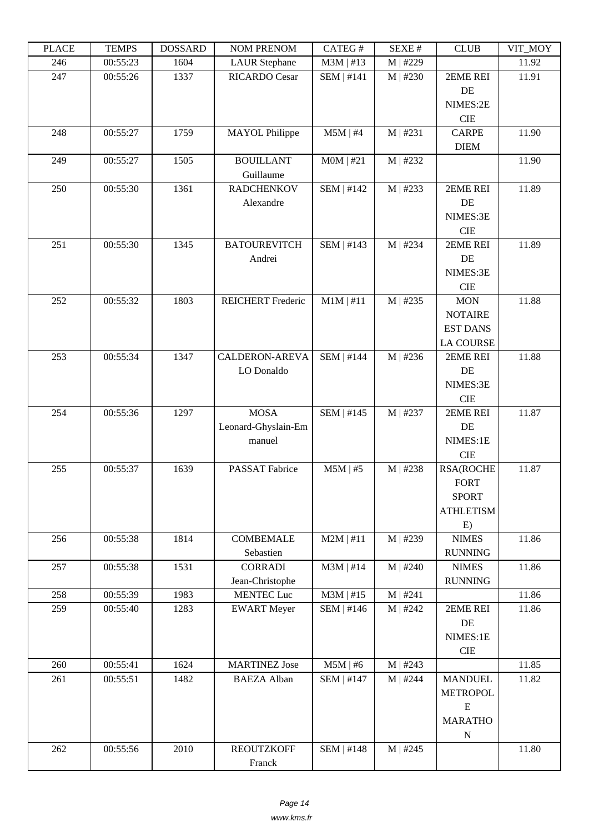| i lati | 1 LIVII D | חשממחת | TAARTEE LATERAART        | $CALU \pi$        | л سد       | <b>ULUD</b>                      | $V11$ $V1$ |
|--------|-----------|--------|--------------------------|-------------------|------------|----------------------------------|------------|
| 246    | 00:55:23  | 1604   | <b>LAUR Stephane</b>     | $M3M$   #13       | $M$   #229 |                                  | 11.92      |
| 247    | 00:55:26  | 1337   | RICARDO Cesar            | SEM   #141        | M   #230   | 2EME REI                         | 11.91      |
|        |           |        |                          |                   |            | DE                               |            |
|        |           |        |                          |                   |            | NIMES:2E                         |            |
|        |           |        |                          |                   |            | $\rm CIE$                        |            |
| 248    | 00:55:27  | 1759   | <b>MAYOL Philippe</b>    | $M5M$   #4        | M   #231   | <b>CARPE</b>                     | 11.90      |
|        |           |        |                          |                   |            | <b>DIEM</b>                      |            |
| 249    | 00:55:27  | 1505   | <b>BOUILLANT</b>         | $MOM$   #21       | M   #232   |                                  | 11.90      |
|        |           |        | Guillaume                |                   |            |                                  |            |
| 250    | 00:55:30  | 1361   | <b>RADCHENKOV</b>        | <b>SEM   #142</b> | M   #233   | 2EME REI                         | 11.89      |
|        |           |        | Alexandre                |                   |            | DE                               |            |
|        |           |        |                          |                   |            | NIMES:3E                         |            |
|        |           |        |                          |                   |            | <b>CIE</b>                       |            |
| 251    | 00:55:30  | 1345   | <b>BATOUREVITCH</b>      | SEM   #143        | M   #234   | 2EME REI                         | 11.89      |
|        |           |        | Andrei                   |                   |            | DE                               |            |
|        |           |        |                          |                   |            | NIMES:3E                         |            |
|        |           |        |                          |                   |            | CIE                              |            |
| 252    | 00:55:32  | 1803   | <b>REICHERT</b> Frederic | $M1M$   #11       | M   #235   | <b>MON</b>                       | 11.88      |
|        |           |        |                          |                   |            | <b>NOTAIRE</b>                   |            |
|        |           |        |                          |                   |            | <b>EST DANS</b>                  |            |
|        |           |        |                          |                   |            | <b>LA COURSE</b>                 |            |
| 253    | 00:55:34  | 1347   | CALDERON-AREVA           | <b>SEM   #144</b> | M   #236   | 2EME REI                         | 11.88      |
|        |           |        | LO Donaldo               |                   |            | DE                               |            |
|        |           |        |                          |                   |            | NIMES:3E                         |            |
|        |           |        |                          |                   |            | $\rm CIE$                        |            |
| 254    | 00:55:36  | 1297   | <b>MOSA</b>              | SEM   #145        | $M$   #237 | 2EME REI                         | 11.87      |
|        |           |        | Leonard-Ghyslain-Em      |                   |            | DE                               |            |
|        |           |        | manuel                   |                   |            | NIMES:1E                         |            |
|        |           |        |                          |                   |            | <b>CIE</b>                       |            |
| 255    | 00:55:37  | 1639   | PASSAT Fabrice           | $M5M$   #5        | M   #238   | <b>RSA(ROCHE</b>                 | 11.87      |
|        |           |        |                          |                   |            | <b>FORT</b>                      |            |
|        |           |        |                          |                   |            |                                  |            |
|        |           |        |                          |                   |            | <b>SPORT</b><br><b>ATHLETISM</b> |            |
|        |           |        |                          |                   |            |                                  |            |
| 256    | 00:55:38  | 1814   | <b>COMBEMALE</b>         | $M2M$   #11       | M   #239   | E)<br><b>NIMES</b>               | 11.86      |
|        |           |        | Sebastien                |                   |            | <b>RUNNING</b>                   |            |
| 257    | 00:55:38  | 1531   | <b>CORRADI</b>           | $M3M$   #14       | M   #240   | <b>NIMES</b>                     | 11.86      |
|        |           |        |                          |                   |            | <b>RUNNING</b>                   |            |
| 258    |           | 1983   | Jean-Christophe          | $M3M$   #15       | M   #241   |                                  |            |
|        | 00:55:39  |        | <b>MENTEC Luc</b>        |                   |            | 2EME REI                         | 11.86      |
| 259    | 00:55:40  | 1283   | <b>EWART</b> Meyer       | SEM   #146        | M   #242   |                                  | 11.86      |
|        |           |        |                          |                   |            | DE<br>NIMES:1E                   |            |
|        |           |        |                          |                   |            |                                  |            |
|        |           |        |                          |                   |            | $\rm CIE$                        |            |
| 260    | 00:55:41  | 1624   | <b>MARTINEZ</b> Jose     | $M5M$   #6        | M   #243   |                                  | 11.85      |
| 261    | 00:55:51  | 1482   | <b>BAEZA Alban</b>       | <b>SEM   #147</b> | M   #244   | <b>MANDUEL</b>                   | 11.82      |
|        |           |        |                          |                   |            | <b>METROPOL</b>                  |            |
|        |           |        |                          |                   |            | ${\bf E}$                        |            |
|        |           |        |                          |                   |            | <b>MARATHO</b>                   |            |
|        |           |        |                          |                   |            | ${\bf N}$                        |            |
| 262    | 00:55:56  | 2010   | <b>REOUTZKOFF</b>        | <b>SEM   #148</b> | M   #245   |                                  | 11.80      |
|        |           |        | Franck                   |                   |            |                                  |            |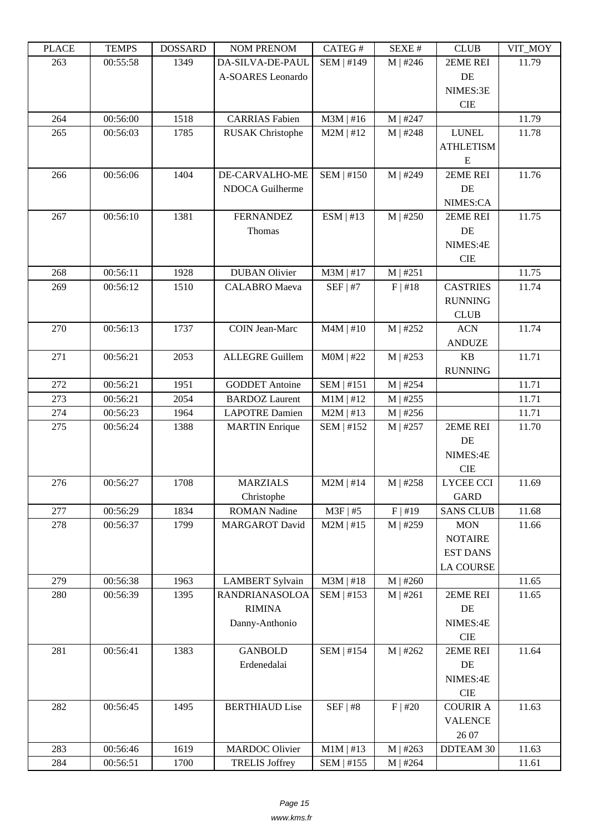| LLAVE | L LIVIII IJ | <u> טעדעמטרע</u> | <b>NUMERIAN ON</b>      | <b>CATLOT</b>     | <b>DLAL T</b> | CLUD             | VII_MUI |
|-------|-------------|------------------|-------------------------|-------------------|---------------|------------------|---------|
| 263   | 00:55:58    | 1349             | DA-SILVA-DE-PAUL        | SEM   #149        | M   #246      | 2EME REI         | 11.79   |
|       |             |                  | A-SOARES Leonardo       |                   |               | DE               |         |
|       |             |                  |                         |                   |               | NIMES:3E         |         |
|       |             |                  |                         |                   |               | <b>CIE</b>       |         |
| 264   | 00:56:00    | 1518             | <b>CARRIAS</b> Fabien   | $M3M$   #16       | $M$   #247    |                  | 11.79   |
| 265   | 00:56:03    | 1785             | <b>RUSAK</b> Christophe | $M2M$   #12       | M   #248      | <b>LUNEL</b>     | 11.78   |
|       |             |                  |                         |                   |               | <b>ATHLETISM</b> |         |
|       |             |                  |                         |                   |               | E                |         |
| 266   | 00:56:06    | 1404             | DE-CARVALHO-ME          | <b>SEM   #150</b> | $M$   #249    | 2EME REI         | 11.76   |
|       |             |                  | NDOCA Guilherme         |                   |               | DE               |         |
|       |             |                  |                         |                   |               | NIMES:CA         |         |
| 267   | 00:56:10    | 1381             | <b>FERNANDEZ</b>        | ESM   #13         | M   #250      | 2EME REI         | 11.75   |
|       |             |                  | Thomas                  |                   |               | DE               |         |
|       |             |                  |                         |                   |               | NIMES:4E         |         |
|       |             |                  |                         |                   |               | <b>CIE</b>       |         |
| 268   | 00:56:11    | 1928             | <b>DUBAN</b> Olivier    | $M3M$   #17       | M   #251      |                  | 11.75   |
| 269   | 00:56:12    | 1510             | <b>CALABRO</b> Maeva    | SEF   #7          | F   #18       | <b>CASTRIES</b>  | 11.74   |
|       |             |                  |                         |                   |               | <b>RUNNING</b>   |         |
|       |             |                  |                         |                   |               | <b>CLUB</b>      |         |
| 270   | 00:56:13    | 1737             | <b>COIN Jean-Marc</b>   | $M4M$   #10       | M   #252      | <b>ACN</b>       | 11.74   |
|       |             |                  |                         |                   |               | <b>ANDUZE</b>    |         |
| 271   | 00:56:21    | 2053             | <b>ALLEGRE Guillem</b>  | $MOM$   #22       | M   #253      | <b>KB</b>        | 11.71   |
|       |             |                  |                         |                   |               | <b>RUNNING</b>   |         |
| 272   | 00:56:21    | 1951             | <b>GODDET</b> Antoine   | SEM   #151        | $M$   #254    |                  | 11.71   |
| 273   | 00:56:21    | 2054             | <b>BARDOZ</b> Laurent   | $M1M$   #12       | M   #255      |                  | 11.71   |
| 274   | 00:56:23    | 1964             | <b>LAPOTRE Damien</b>   | $M2M$   #13       | $M$   #256    |                  | 11.71   |
| 275   | 00:56:24    | 1388             | <b>MARTIN</b> Enrique   | SEM   #152        | $M$   #257    | 2EME REI         | 11.70   |
|       |             |                  |                         |                   |               | DE               |         |
|       |             |                  |                         |                   |               | NIMES:4E         |         |
|       |             |                  |                         |                   |               | <b>CIE</b>       |         |
| 276   | 00:56:27    | 1708             | <b>MARZIALS</b>         | $M2M$   #14       | $M$   #258    | <b>LYCEE CCI</b> | 11.69   |
|       |             |                  | Christophe              |                   |               | <b>GARD</b>      |         |
| 277   | 00:56:29    | 1834             | <b>ROMAN Nadine</b>     | $M3F$   #5        | F   #19       | <b>SANS CLUB</b> | 11.68   |
| 278   | 00:56:37    | 1799             | <b>MARGAROT</b> David   | $M2M$   #15       | $M$   #259    | <b>MON</b>       | 11.66   |
|       |             |                  |                         |                   |               | <b>NOTAIRE</b>   |         |
|       |             |                  |                         |                   |               | <b>EST DANS</b>  |         |
|       |             |                  |                         |                   |               | <b>LA COURSE</b> |         |
| 279   | 00:56:38    | 1963             | <b>LAMBERT Sylvain</b>  | $M3M$   #18       | M   #260      |                  | 11.65   |
| 280   | 00:56:39    | 1395             | <b>RANDRIANASOLOA</b>   | SEM   #153        | M   #261      | 2EME REI         | 11.65   |
|       |             |                  | <b>RIMINA</b>           |                   |               | DE               |         |
|       |             |                  | Danny-Anthonio          |                   |               | NIMES:4E         |         |
|       |             |                  |                         |                   |               | <b>CIE</b>       |         |
| 281   | 00:56:41    | 1383             | <b>GANBOLD</b>          | SEM   #154        | M   #262      | 2EME REI         | 11.64   |
|       |             |                  | Erdenedalai             |                   |               | DE               |         |
|       |             |                  |                         |                   |               | NIMES:4E         |         |
|       |             |                  |                         |                   |               | <b>CIE</b>       |         |
| 282   | 00:56:45    | 1495             | <b>BERTHIAUD Lise</b>   | $SEF$   #8        | F   #20       | <b>COURIR A</b>  | 11.63   |
|       |             |                  |                         |                   |               | <b>VALENCE</b>   |         |
|       |             |                  |                         |                   |               | 26 07            |         |
| 283   | 00:56:46    | 1619             | <b>MARDOC</b> Olivier   | $M1M$   #13       | M   #263      | <b>DDTEAM 30</b> | 11.63   |
| 284   | 00:56:51    | 1700             | <b>TRELIS Joffrey</b>   | SEM   #155        | $M$   #264    |                  | 11.61   |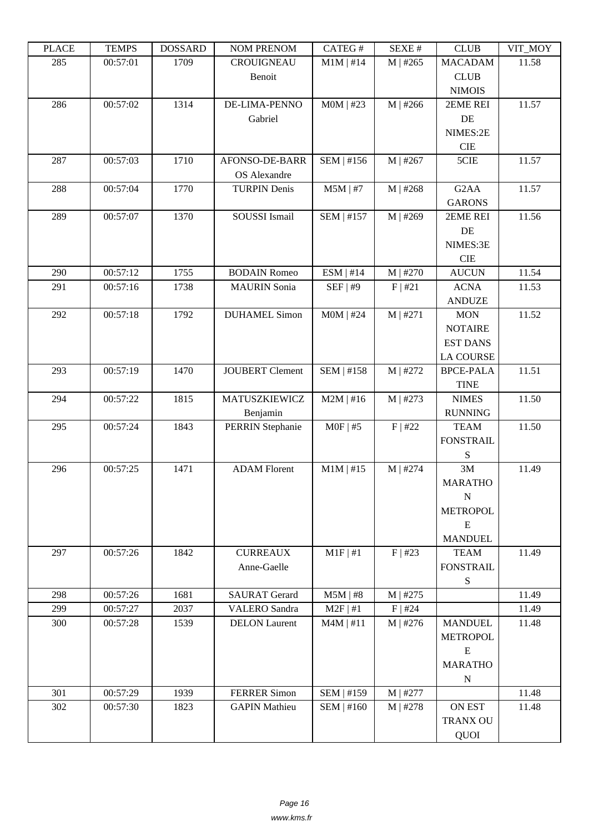| ם המדו | <b>TEIATI</b> 2 | <b>DOPPULP</b> | <b>INUINE LINEINUINE</b> | $CALU \pi$        | JLΛL π     | <b>CEOD</b>                   | $V11$ $V1$ |
|--------|-----------------|----------------|--------------------------|-------------------|------------|-------------------------------|------------|
| 285    | 00:57:01        | 1709           | <b>CROUIGNEAU</b>        | $M1M$   #14       | M   #265   | <b>MACADAM</b>                | 11.58      |
|        |                 |                | Benoit                   |                   |            | CLUB                          |            |
|        |                 |                |                          |                   |            | <b>NIMOIS</b>                 |            |
| 286    | 00:57:02        | 1314           | DE-LIMA-PENNO            | $MOM$   #23       | $M$   #266 | 2EME REI                      | 11.57      |
|        |                 |                | Gabriel                  |                   |            | $\rm DE$                      |            |
|        |                 |                |                          |                   |            | NIMES:2E                      |            |
|        |                 |                |                          |                   |            | <b>CIE</b>                    |            |
| 287    | 00:57:03        | 1710           | AFONSO-DE-BARR           | SEM   #156        | M   #267   | 5CIE                          | 11.57      |
|        |                 |                | OS Alexandre             |                   |            |                               |            |
| 288    | 00:57:04        | 1770           | <b>TURPIN Denis</b>      | $M5M$   #7        | M   #268   | G <sub>2</sub> A <sub>A</sub> | 11.57      |
|        |                 |                |                          |                   |            | <b>GARONS</b>                 |            |
| 289    | 00:57:07        | 1370           | SOUSSI Ismail            | SEM   #157        | M   #269   | 2EME REI                      | 11.56      |
|        |                 |                |                          |                   |            | DE                            |            |
|        |                 |                |                          |                   |            | NIMES:3E                      |            |
|        |                 |                |                          |                   |            | <b>CIE</b>                    |            |
| 290    | 00:57:12        | 1755           | <b>BODAIN Romeo</b>      | ESM   #14         | M   #270   | <b>AUCUN</b>                  | 11.54      |
| 291    | 00:57:16        | 1738           | <b>MAURIN</b> Sonia      | SEF   #9          | F   #21    | <b>ACNA</b>                   | 11.53      |
|        |                 |                |                          |                   |            | <b>ANDUZE</b>                 |            |
| 292    | 00:57:18        | 1792           | <b>DUHAMEL Simon</b>     | $MOM$   #24       | M   #271   | <b>MON</b>                    | 11.52      |
|        |                 |                |                          |                   |            | <b>NOTAIRE</b>                |            |
|        |                 |                |                          |                   |            | <b>EST DANS</b>               |            |
|        |                 |                |                          |                   |            | <b>LA COURSE</b>              |            |
| 293    | 00:57:19        | 1470           | <b>JOUBERT Clement</b>   | <b>SEM   #158</b> | M   #272   | <b>BPCE-PALA</b>              | 11.51      |
|        |                 |                |                          |                   |            | <b>TINE</b>                   |            |
| 294    | 00:57:22        | 1815           | MATUSZKIEWICZ            | $M2M$   #16       | M   #273   | <b>NIMES</b>                  | 11.50      |
|        |                 |                | Benjamin                 |                   |            | <b>RUNNING</b>                |            |
| 295    | 00:57:24        | 1843           | <b>PERRIN Stephanie</b>  | $MOF$   #5        | F   #22    | <b>TEAM</b>                   | 11.50      |
|        |                 |                |                          |                   |            | <b>FONSTRAIL</b>              |            |
|        |                 |                |                          |                   |            | ${\bf S}$                     |            |
| 296    | 00:57:25        | 1471           | <b>ADAM Florent</b>      | $M1M$   #15       | $M$   #274 | 3M                            | 11.49      |
|        |                 |                |                          |                   |            | <b>MARATHO</b>                |            |
|        |                 |                |                          |                   |            | ${\bf N}$                     |            |
|        |                 |                |                          |                   |            | <b>METROPOL</b>               |            |
|        |                 |                |                          |                   |            | E                             |            |
|        |                 |                |                          |                   |            | <b>MANDUEL</b>                |            |
| 297    | 00:57:26        | 1842           | <b>CURREAUX</b>          | $M1F$   #1        | $F$   #23  | <b>TEAM</b>                   | 11.49      |
|        |                 |                | Anne-Gaelle              |                   |            | <b>FONSTRAIL</b>              |            |
|        |                 |                |                          |                   |            | ${\bf S}$                     |            |
| 298    | 00:57:26        | 1681           | <b>SAURAT Gerard</b>     | $M5M$   #8        | $M$   #275 |                               | 11.49      |
| 299    | 00:57:27        | 2037           | <b>VALERO</b> Sandra     | $M2F$   #1        | $F$   #24  |                               | 11.49      |
| 300    | 00:57:28        | 1539           | <b>DELON</b> Laurent     | $M4M$   #11       | M   #276   | <b>MANDUEL</b>                | 11.48      |
|        |                 |                |                          |                   |            | <b>METROPOL</b>               |            |
|        |                 |                |                          |                   |            | E                             |            |
|        |                 |                |                          |                   |            | <b>MARATHO</b>                |            |
|        |                 |                |                          |                   |            | ${\bf N}$                     |            |
| 301    | 00:57:29        | 1939           | <b>FERRER Simon</b>      | SEM   #159        | $M$   #277 |                               | 11.48      |
| 302    | 00:57:30        | 1823           | <b>GAPIN Mathieu</b>     | SEM   #160        | M   #278   | ON EST                        | 11.48      |
|        |                 |                |                          |                   |            | <b>TRANX OU</b>               |            |
|        |                 |                |                          |                   |            | QUOI                          |            |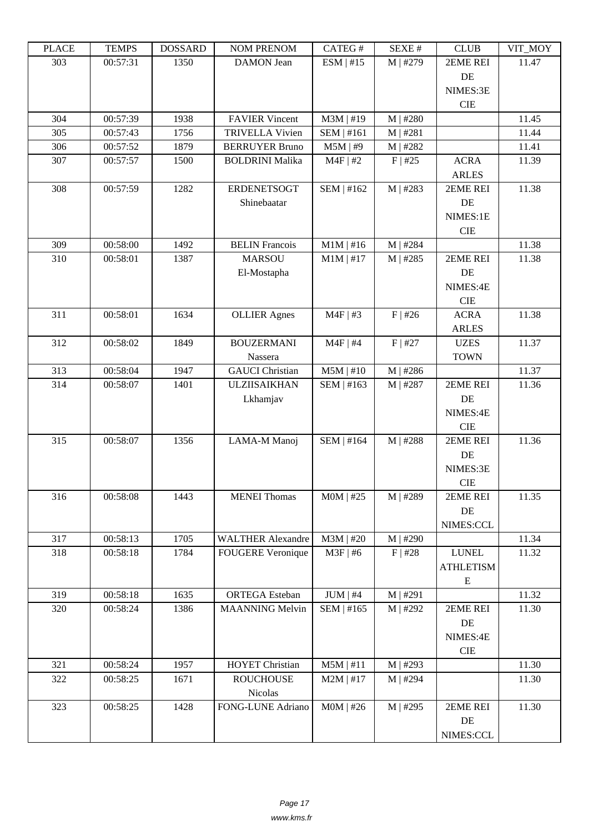| LEUCE | L LIVIII IJ | <u> תעדיממטע</u> | I VUNI I I NEI VUNI      | <b>CATLOT</b>  | NL/AL π    | CLUD             | VII_MUI |
|-------|-------------|------------------|--------------------------|----------------|------------|------------------|---------|
| 303   | 00:57:31    | 1350             | <b>DAMON</b> Jean        | $ESM$   #15    | M   #279   | 2EME REI         | 11.47   |
|       |             |                  |                          |                |            | DE               |         |
|       |             |                  |                          |                |            | NIMES:3E         |         |
|       |             |                  |                          |                |            | <b>CIE</b>       |         |
| 304   | 00:57:39    | 1938             | <b>FAVIER Vincent</b>    | $M3M$   #19    | $M$   #280 |                  | 11.45   |
| 305   | 00:57:43    | 1756             | <b>TRIVELLA Vivien</b>   | SEM   #161     | M   #281   |                  | 11.44   |
| 306   | 00:57:52    | 1879             | <b>BERRUYER Bruno</b>    | $M5M$   #9     | $M$   #282 |                  | 11.41   |
| 307   | 00:57:57    | 1500             | <b>BOLDRINI Malika</b>   | $M4F$   #2     | $F$   #25  | <b>ACRA</b>      | 11.39   |
|       |             |                  |                          |                |            | <b>ARLES</b>     |         |
| 308   | 00:57:59    | 1282             | <b>ERDENETSOGT</b>       | SEM   #162     | M   #283   | 2EME REI         | 11.38   |
|       |             |                  |                          |                |            |                  |         |
|       |             |                  | Shinebaatar              |                |            | DE               |         |
|       |             |                  |                          |                |            | NIMES:1E         |         |
|       |             |                  |                          |                |            | <b>CIE</b>       |         |
| 309   | 00:58:00    | 1492             | <b>BELIN</b> Francois    | $M1M \mid #16$ | M   #284   |                  | 11.38   |
| 310   | 00:58:01    | 1387             | <b>MARSOU</b>            | $M1M$   #17    | M   #285   | 2EME REI         | 11.38   |
|       |             |                  | El-Mostapha              |                |            | DE               |         |
|       |             |                  |                          |                |            | NIMES:4E         |         |
|       |             |                  |                          |                |            | <b>CIE</b>       |         |
| 311   | 00:58:01    | 1634             | <b>OLLIER</b> Agnes      | $M4F$   #3     | F   #26    | <b>ACRA</b>      | 11.38   |
|       |             |                  |                          |                |            | <b>ARLES</b>     |         |
| 312   | 00:58:02    | 1849             | <b>BOUZERMANI</b>        | $M4F$   #4     | $F$   #27  | <b>UZES</b>      | 11.37   |
|       |             |                  | Nassera                  |                |            | <b>TOWN</b>      |         |
| 313   | 00:58:04    | 1947             | <b>GAUCI</b> Christian   | $M5M$   #10    | $M$   #286 |                  | 11.37   |
| 314   | 00:58:07    | 1401             | ULZIISAIKHAN             | SEM   #163     | $M$   #287 | 2EME REI         | 11.36   |
|       |             |                  | Lkhamjav                 |                |            | DE               |         |
|       |             |                  |                          |                |            | NIMES:4E         |         |
|       |             |                  |                          |                |            | <b>CIE</b>       |         |
| 315   | 00:58:07    | 1356             | LAMA-M Manoj             | SEM   #164     | M   #288   | 2EME REI         | 11.36   |
|       |             |                  |                          |                |            | DE               |         |
|       |             |                  |                          |                |            | NIMES:3E         |         |
|       |             |                  |                          |                |            | <b>CIE</b>       |         |
| 316   | 00:58:08    | 1443             | <b>MENEI</b> Thomas      | $MOM$   #25    | M   #289   | 2EME REI         | 11.35   |
|       |             |                  |                          |                |            | DE               |         |
|       |             |                  |                          |                |            | NIMES:CCL        |         |
| 317   | 00:58:13    | 1705             | <b>WALTHER Alexandre</b> | $M3M$   #20    | M   #290   |                  | 11.34   |
|       |             |                  |                          |                |            | <b>LUNEL</b>     |         |
| 318   | 00:58:18    | 1784             | <b>FOUGERE Veronique</b> | $M3F$   #6     | $F$   #28  |                  | 11.32   |
|       |             |                  |                          |                |            | <b>ATHLETISM</b> |         |
|       |             |                  |                          |                |            | E                |         |
| 319   | 00:58:18    | 1635             | <b>ORTEGA</b> Esteban    | $JUM$   #4     | M   #291   |                  | 11.32   |
| 320   | 00:58:24    | 1386             | <b>MAANNING Melvin</b>   | SEM   #165     | M   #292   | 2EME REI         | 11.30   |
|       |             |                  |                          |                |            | $\rm DE$         |         |
|       |             |                  |                          |                |            | NIMES:4E         |         |
|       |             |                  |                          |                |            | <b>CIE</b>       |         |
| 321   | 00:58:24    | 1957             | <b>HOYET Christian</b>   | $M5M$   #11    | M   #293   |                  | 11.30   |
| 322   | 00:58:25    | 1671             | <b>ROUCHOUSE</b>         | $M2M$   #17    | M   #294   |                  | 11.30   |
|       |             |                  | Nicolas                  |                |            |                  |         |
| 323   | 00:58:25    | 1428             | FONG-LUNE Adriano        | $MOM$   #26    | M   #295   | 2EME REI         | 11.30   |
|       |             |                  |                          |                |            | DE               |         |
|       |             |                  |                          |                |            | NIMES:CCL        |         |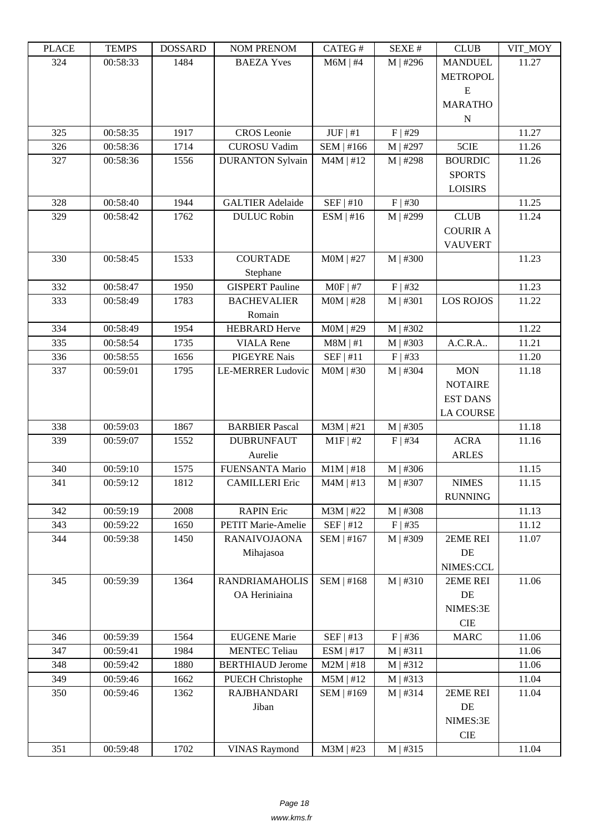| LLAUL | ר נוגודו | <b>UUDDAIND</b> | KUWU U WAKUWI                           | CATLO T       | יד שבלש    | CLUD             | VII_MUI |
|-------|----------|-----------------|-----------------------------------------|---------------|------------|------------------|---------|
| 324   | 00:58:33 | 1484            | <b>BAEZA Yves</b>                       | $M6M$   #4    | $M$   #296 | <b>MANDUEL</b>   | 11.27   |
|       |          |                 |                                         |               |            | <b>METROPOL</b>  |         |
|       |          |                 |                                         |               |            | E                |         |
|       |          |                 |                                         |               |            | <b>MARATHO</b>   |         |
|       |          |                 |                                         |               |            | ${\bf N}$        |         |
| 325   | 00:58:35 | 1917            | <b>CROS</b> Leonie                      | $JUF \mid #1$ | F   #29    |                  | 11.27   |
|       |          |                 |                                         |               |            |                  |         |
| 326   | 00:58:36 | 1714            | <b>CUROSU Vadim</b>                     | SEM   #166    | M   #297   | 5CIE             | 11.26   |
| 327   | 00:58:36 | 1556            | <b>DURANTON Sylvain</b>                 | $M4M$   #12   | M   #298   | <b>BOURDIC</b>   | 11.26   |
|       |          |                 |                                         |               |            | <b>SPORTS</b>    |         |
|       |          |                 |                                         |               |            | <b>LOISIRS</b>   |         |
| 328   | 00:58:40 | 1944            | <b>GALTIER Adelaide</b>                 | SEF   #10     | $F$   #30  |                  | 11.25   |
| 329   | 00:58:42 | 1762            | <b>DULUC Robin</b>                      | ESM   #16     | M   #299   | <b>CLUB</b>      | 11.24   |
|       |          |                 |                                         |               |            | <b>COURIR A</b>  |         |
|       |          |                 |                                         |               |            | <b>VAUVERT</b>   |         |
| 330   | 00:58:45 | 1533            | <b>COURTADE</b>                         | $MOM$   #27   | $M$   #300 |                  | 11.23   |
|       |          |                 | Stephane                                |               |            |                  |         |
| 332   | 00:58:47 | 1950            | <b>GISPERT Pauline</b>                  | $MOF$   #7    | F   #32    |                  | 11.23   |
| 333   | 00:58:49 | 1783            | <b>BACHEVALIER</b>                      | $MOM$   #28   | $M$   #301 | <b>LOS ROJOS</b> | 11.22   |
|       |          |                 |                                         |               |            |                  |         |
|       |          |                 | Romain                                  |               |            |                  |         |
| 334   | 00:58:49 | 1954            | <b>HEBRARD Herve</b>                    | $MOM$   #29   | M   #302   |                  | 11.22   |
| 335   | 00:58:54 | 1735            | <b>VIALA Rene</b>                       | $M8M$   #1    | $M$   #303 | A.C.R.A.         | 11.21   |
| 336   | 00:58:55 | 1656            | <b>PIGEYRE Nais</b>                     | SEF   #11     | $F$   #33  |                  | 11.20   |
| 337   | 00:59:01 | 1795            | <b>LE-MERRER Ludovic</b>                | $MOM$   #30   | $M$   #304 | <b>MON</b>       | 11.18   |
|       |          |                 |                                         |               |            | <b>NOTAIRE</b>   |         |
|       |          |                 |                                         |               |            | <b>EST DANS</b>  |         |
|       |          |                 |                                         |               |            | <b>LA COURSE</b> |         |
| 338   | 00:59:03 | 1867            | <b>BARBIER Pascal</b>                   | $M3M$   #21   | $M$   #305 |                  | 11.18   |
| 339   | 00:59:07 | 1552            | <b>DUBRUNFAUT</b>                       | $M1F$   #2    | $F$   #34  | <b>ACRA</b>      | 11.16   |
|       |          |                 | Aurelie                                 |               |            | <b>ARLES</b>     |         |
| 340   | 00:59:10 | 1575            | <b>FUENSANTA Mario</b>                  | $M1M$   #18   | $M$   #306 |                  | 11.15   |
| 341   | 00:59:12 | 1812            | <b>CAMILLERI</b> Eric                   | $M4M$   #13   | $M$   #307 | <b>NIMES</b>     | 11.15   |
|       |          |                 |                                         |               |            | <b>RUNNING</b>   |         |
| 342   | 00:59:19 | 2008            |                                         |               |            |                  |         |
|       |          |                 | <b>RAPIN Eric</b><br>PETIT Marie-Amelie | M3M   #22     | M   #308   |                  | 11.13   |
| 343   | 00:59:22 | 1650            |                                         | SEF   #12     | $F$   #35  |                  | 11.12   |
| 344   | 00:59:38 | 1450            | <b>RANAIVOJAONA</b>                     | SEM   #167    | $M$   #309 | 2EME REI         | 11.07   |
|       |          |                 | Mihajasoa                               |               |            | DE               |         |
|       |          |                 |                                         |               |            | NIMES:CCL        |         |
| 345   | 00:59:39 | 1364            | <b>RANDRIAMAHOLIS</b>                   | SEM   #168    | M   #310   | 2EME REI         | 11.06   |
|       |          |                 | OA Heriniaina                           |               |            | DE               |         |
|       |          |                 |                                         |               |            | NIMES:3E         |         |
|       |          |                 |                                         |               |            | CIE              |         |
| 346   | 00:59:39 | 1564            | <b>EUGENE</b> Marie                     | SEF   #13     | $F$   #36  | <b>MARC</b>      | 11.06   |
| 347   | 00:59:41 | 1984            | <b>MENTEC Teliau</b>                    | $ESM$   #17   | M   #311   |                  | 11.06   |
| 348   | 00:59:42 | 1880            | <b>BERTHIAUD Jerome</b>                 | $M2M$   #18   | M   #312   |                  | 11.06   |
| 349   | 00:59:46 | 1662            | <b>PUECH Christophe</b>                 | $M5M$   #12   | M   #313   |                  | 11.04   |
| 350   | 00:59:46 | 1362            | <b>RAJBHANDARI</b>                      | SEM   #169    | M   #314   | 2EME REI         | 11.04   |
|       |          |                 | Jiban                                   |               |            | DE               |         |
|       |          |                 |                                         |               |            | NIMES:3E         |         |
|       |          |                 |                                         |               |            |                  |         |
|       |          |                 |                                         |               |            | $\rm CIE$        |         |
| 351   | 00:59:48 | 1702            | <b>VINAS Raymond</b>                    | $M3M$   #23   | $M$   #315 |                  | 11.04   |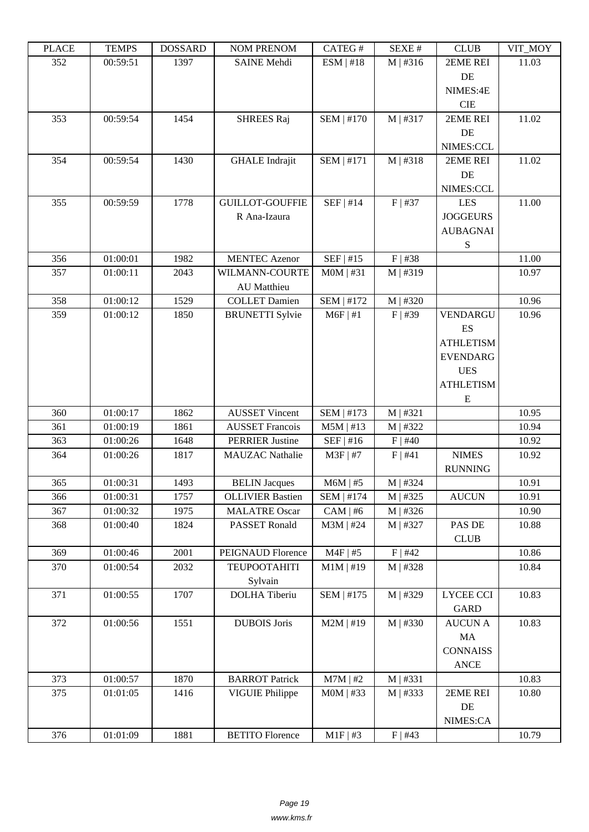| i lati | ט וואדד ו | חשממחת | <b>INOINET IVERFOINE</b> | $CALU \pi$        | л سد                   | <b>CLOD</b>      | VII IVIUI |
|--------|-----------|--------|--------------------------|-------------------|------------------------|------------------|-----------|
| 352    | 00:59:51  | 1397   | <b>SAINE Mehdi</b>       | $ESM$   #18       | M   #316               | 2EME REI         | 11.03     |
|        |           |        |                          |                   |                        | DE               |           |
|        |           |        |                          |                   |                        | NIMES:4E         |           |
|        |           |        |                          |                   |                        | <b>CIE</b>       |           |
| 353    | 00:59:54  | 1454   | <b>SHREES Raj</b>        | <b>SEM   #170</b> | M   #317               | 2EME REI         | 11.02     |
|        |           |        |                          |                   |                        | DE               |           |
|        |           |        |                          |                   |                        | NIMES:CCL        |           |
| 354    | 00:59:54  | 1430   | <b>GHALE</b> Indrajit    | SEM   #171        | M   #318               | 2EME REI         | 11.02     |
|        |           |        |                          |                   |                        | DE               |           |
|        |           |        |                          |                   |                        | NIMES:CCL        |           |
| 355    | 00:59:59  | 1778   | <b>GUILLOT-GOUFFIE</b>   | $SEF$   #14       | $F$   #37              | <b>LES</b>       | 11.00     |
|        |           |        | R Ana-Izaura             |                   |                        | <b>JOGGEURS</b>  |           |
|        |           |        |                          |                   |                        | <b>AUBAGNAI</b>  |           |
|        |           |        |                          |                   |                        | S                |           |
| 356    | 01:00:01  | 1982   | <b>MENTEC Azenor</b>     | SEF   #15         | $F$   #38              |                  | 11.00     |
| 357    | 01:00:11  | 2043   | WILMANN-COURTE           | $MOM$   #31       | M   #319               |                  | 10.97     |
|        |           |        | <b>AU</b> Matthieu       |                   |                        |                  |           |
| 358    | 01:00:12  | 1529   | <b>COLLET Damien</b>     | SEM   #172        | M   #320               |                  | 10.96     |
| 359    | 01:00:12  | 1850   | <b>BRUNETTI Sylvie</b>   | $M6F$   #1        | $F$   #39              | <b>VENDARGU</b>  | 10.96     |
|        |           |        |                          |                   |                        | ES               |           |
|        |           |        |                          |                   |                        | <b>ATHLETISM</b> |           |
|        |           |        |                          |                   |                        | <b>EVENDARG</b>  |           |
|        |           |        |                          |                   |                        | <b>UES</b>       |           |
|        |           |        |                          |                   |                        | <b>ATHLETISM</b> |           |
| 360    | 01:00:17  | 1862   | <b>AUSSET Vincent</b>    | SEM   #173        |                        | E                | 10.95     |
| 361    | 01:00:19  | 1861   | <b>AUSSET Francois</b>   | $M5M$   #13       | M   #321<br>$M$   #322 |                  | 10.94     |
| 363    | 01:00:26  | 1648   | <b>PERRIER Justine</b>   | $SEF$   #16       | $F$   #40              |                  | 10.92     |
| 364    | 01:00:26  | 1817   | <b>MAUZAC</b> Nathalie   | $M3F$   #7        | F   #41                | <b>NIMES</b>     | 10.92     |
|        |           |        |                          |                   |                        | <b>RUNNING</b>   |           |
| 365    | 01:00:31  | 1493   | <b>BELIN</b> Jacques     | $M6M$   #5        | M   #324               |                  | 10.91     |
| 366    | 01:00:31  | 1757   | <b>OLLIVIER Bastien</b>  | $SEM$   #174      | $M$   #325             | <b>AUCUN</b>     | 10.91     |
| 367    | 01:00:32  | 1975   | <b>MALATRE Oscar</b>     | $CAM \mid #6$     | M   #326               |                  | 10.90     |
| 368    | 01:00:40  | 1824   | <b>PASSET Ronald</b>     | $M3M$   #24       | M   #327               | PAS DE           | 10.88     |
|        |           |        |                          |                   |                        | <b>CLUB</b>      |           |
| 369    | 01:00:46  | 2001   | PEIGNAUD Florence        | $M4F$   #5        | $F$   #42              |                  | 10.86     |
| 370    | 01:00:54  | 2032   | <b>TEUPOOTAHITI</b>      | $M1M$   #19       | M   #328               |                  | 10.84     |
|        |           |        | Sylvain                  |                   |                        |                  |           |
| 371    | 01:00:55  | 1707   | DOLHA Tiberiu            | SEM   #175        | M   #329               | <b>LYCEE CCI</b> | 10.83     |
|        |           |        |                          |                   |                        | <b>GARD</b>      |           |
| 372    | 01:00:56  | 1551   | <b>DUBOIS</b> Joris      | $M2M$   #19       | M   #330               | <b>AUCUN A</b>   | 10.83     |
|        |           |        |                          |                   |                        | MA               |           |
|        |           |        |                          |                   |                        | <b>CONNAISS</b>  |           |
|        |           |        |                          |                   |                        | <b>ANCE</b>      |           |
| 373    | 01:00:57  | 1870   | <b>BARROT Patrick</b>    | $M7M$   #2        | M   #331               |                  | 10.83     |
| 375    | 01:01:05  | 1416   | <b>VIGUIE Philippe</b>   | $MOM$   #33       | M   #333               | 2EME REI         | 10.80     |
|        |           |        |                          |                   |                        | DE               |           |
|        |           |        |                          |                   |                        | NIMES:CA         |           |
| 376    | 01:01:09  | 1881   | <b>BETITO Florence</b>   | $M1F$ #3          | $F$   #43              |                  | 10.79     |
|        |           |        |                          |                   |                        |                  |           |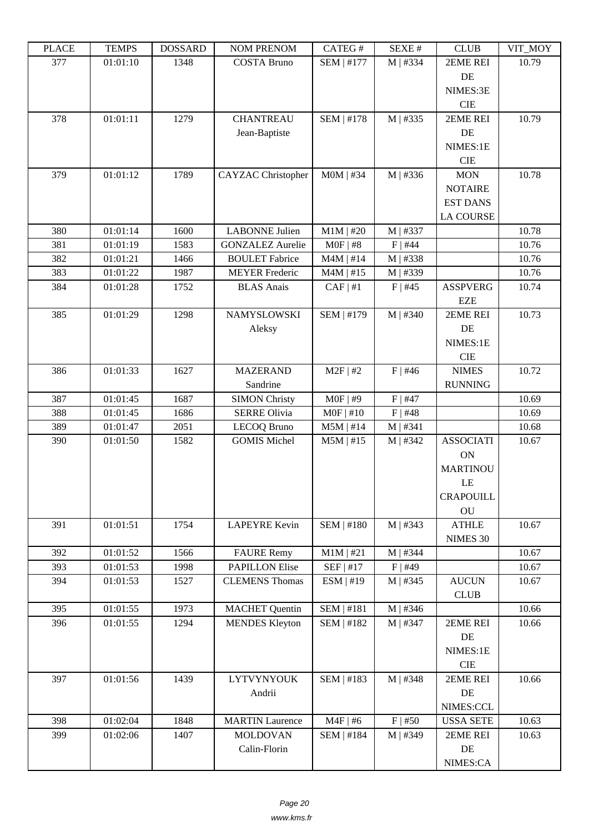| i lati | ט וואדד ו | חשממחת | TAARTEE LATERAART         | $CALU \pi$        | π تىدىد    | <b>CLUD</b>      | $V11$ $N1$ |
|--------|-----------|--------|---------------------------|-------------------|------------|------------------|------------|
| 377    | 01:01:10  | 1348   | <b>COSTA Bruno</b>        | SEM   #177        | M   #334   | 2EME REI         | 10.79      |
|        |           |        |                           |                   |            | DE               |            |
|        |           |        |                           |                   |            | NIMES:3E         |            |
|        |           |        |                           |                   |            | <b>CIE</b>       |            |
| 378    | 01:01:11  | 1279   | <b>CHANTREAU</b>          | <b>SEM   #178</b> | $M$   #335 | 2EME REI         | 10.79      |
|        |           |        | Jean-Baptiste             |                   |            | DE               |            |
|        |           |        |                           |                   |            | NIMES:1E         |            |
|        |           |        |                           |                   |            | <b>CIE</b>       |            |
| 379    | 01:01:12  | 1789   | <b>CAYZAC</b> Christopher | $MOM$   #34       | M   #336   | <b>MON</b>       | 10.78      |
|        |           |        |                           |                   |            | <b>NOTAIRE</b>   |            |
|        |           |        |                           |                   |            | <b>EST DANS</b>  |            |
|        |           |        |                           |                   |            | <b>LA COURSE</b> |            |
| 380    | 01:01:14  | 1600   | <b>LABONNE</b> Julien     | $M1M$   #20       | M   #337   |                  | 10.78      |
| 381    | 01:01:19  | 1583   | <b>GONZALEZ Aurelie</b>   | $MOF$   #8        | $F$   #44  |                  | 10.76      |
| 382    | 01:01:21  | 1466   | <b>BOULET</b> Fabrice     | $M4M$   #14       | M   #338   |                  | 10.76      |
| 383    | 01:01:22  | 1987   | <b>MEYER</b> Frederic     | $M4M$   #15       | $M$   #339 |                  | 10.76      |
| 384    | 01:01:28  | 1752   | <b>BLAS</b> Anais         | CAF   #1          | $F$   #45  | <b>ASSPVERG</b>  | 10.74      |
|        |           |        |                           |                   |            | <b>EZE</b>       |            |
| 385    | 01:01:29  | 1298   | <b>NAMYSLOWSKI</b>        | SEM   #179        | M   #340   | 2EME REI         | 10.73      |
|        |           |        | Aleksy                    |                   |            | DE               |            |
|        |           |        |                           |                   |            | NIMES:1E         |            |
|        |           |        |                           |                   |            | <b>CIE</b>       |            |
| 386    | 01:01:33  | 1627   | <b>MAZERAND</b>           | $M2F$ #2          | $F$   #46  | $\rm NIMES$      | 10.72      |
|        |           |        | Sandrine                  |                   |            | <b>RUNNING</b>   |            |
| 387    | 01:01:45  | 1687   | <b>SIMON Christy</b>      | $MOF$   #9        | $F$   #47  |                  | 10.69      |
| 388    | 01:01:45  | 1686   | <b>SERRE Olivia</b>       | $MOF$   #10       | $F$   #48  |                  | 10.69      |
| 389    | 01:01:47  | 2051   | LECOQ Bruno               | $M5M$   #14       | M   #341   |                  | 10.68      |
| 390    | 01:01:50  | 1582   | <b>GOMIS Michel</b>       | $M5M$   #15       | M   #342   | <b>ASSOCIATI</b> | 10.67      |
|        |           |        |                           |                   |            | <b>ON</b>        |            |
|        |           |        |                           |                   |            | <b>MARTINOU</b>  |            |
|        |           |        |                           |                   |            | LE               |            |
|        |           |        |                           |                   |            | <b>CRAPOUILL</b> |            |
|        |           |        |                           |                   |            | OU               |            |
| 391    | 01:01:51  | 1754   | <b>LAPEYRE Kevin</b>      | <b>SEM   #180</b> | M   #343   | <b>ATHLE</b>     | 10.67      |
|        |           |        |                           |                   |            | NIMES 30         |            |
| 392    | 01:01:52  | 1566   | <b>FAURE</b> Remy         | $M1M$   #21       | M   #344   |                  | 10.67      |
| 393    | 01:01:53  | 1998   | <b>PAPILLON Elise</b>     | SEF   #17         | $F$   #49  |                  | 10.67      |
| 394    | 01:01:53  | 1527   | <b>CLEMENS Thomas</b>     | $ESM$   #19       | $M$   #345 | <b>AUCUN</b>     | 10.67      |
|        |           |        |                           |                   |            | <b>CLUB</b>      |            |
| 395    | 01:01:55  | 1973   | <b>MACHET</b> Quentin     | SEM   #181        | $M$   #346 |                  | 10.66      |
| 396    | 01:01:55  | 1294   | <b>MENDES Kleyton</b>     | SEM   #182        | M   #347   | 2EME REI         | 10.66      |
|        |           |        |                           |                   |            | DE               |            |
|        |           |        |                           |                   |            | NIMES:1E         |            |
|        |           |        |                           |                   |            | CIE              |            |
| 397    | 01:01:56  | 1439   | <b>LYTVYNYOUK</b>         | SEM   #183        | M   #348   | 2EME REI         | 10.66      |
|        |           |        | Andrii                    |                   |            | DE               |            |
|        |           |        |                           |                   |            | NIMES:CCL        |            |
| 398    | 01:02:04  | 1848   | <b>MARTIN Laurence</b>    | $M4F$   #6        | $F$   #50  | <b>USSA SETE</b> | 10.63      |
|        |           |        |                           |                   |            |                  |            |
| 399    | 01:02:06  | 1407   | <b>MOLDOVAN</b>           | SEM   #184        | M   #349   | 2EME REI         | 10.63      |
|        |           |        | Calin-Florin              |                   |            | DE               |            |
|        |           |        |                           |                   |            | NIMES:CA         |            |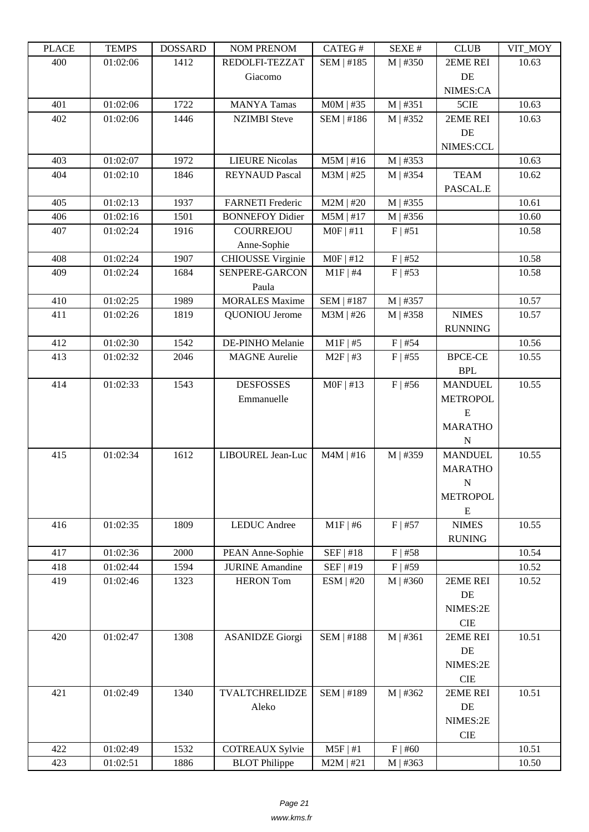| LEACE | L LIVIII IJ | <u> תעדיממטע</u> | <b>INUINI I INEINUINI</b> | CATLOT            | DL/AL π    | CLUD            | YII_MUI |
|-------|-------------|------------------|---------------------------|-------------------|------------|-----------------|---------|
| 400   | 01:02:06    | 1412             | REDOLFI-TEZZAT            | SEM   #185        | M   #350   | 2EME REI        | 10.63   |
|       |             |                  | Giacomo                   |                   |            | DE              |         |
|       |             |                  |                           |                   |            | NIMES:CA        |         |
| 401   | 01:02:06    | 1722             | <b>MANYA</b> Tamas        | $MOM$   #35       | M   #351   | 5CIE            | 10.63   |
| 402   | 01:02:06    | 1446             | <b>NZIMBI</b> Steve       | SEM   #186        | M   #352   | 2EME REI        | 10.63   |
|       |             |                  |                           |                   |            | DE              |         |
|       |             |                  |                           |                   |            | NIMES:CCL       |         |
| 403   | 01:02:07    | 1972             | <b>LIEURE Nicolas</b>     | $M5M$   #16       | $M$   #353 |                 | 10.63   |
| 404   | 01:02:10    | 1846             | <b>REYNAUD Pascal</b>     | $M3M$   #25       | $M$   #354 | <b>TEAM</b>     | 10.62   |
|       |             |                  |                           |                   |            | PASCAL.E        |         |
| 405   | 01:02:13    | 1937             | <b>FARNETI</b> Frederic   | $M2M$   #20       | M   #355   |                 | 10.61   |
| 406   | 01:02:16    | 1501             | <b>BONNEFOY Didier</b>    | $M5M$   #17       | M   #356   |                 | 10.60   |
| 407   | 01:02:24    | 1916             | COURREJOU                 | $MOF$   #11       | F   #51    |                 | 10.58   |
|       |             |                  | Anne-Sophie               |                   |            |                 |         |
| 408   | 01:02:24    | 1907             | <b>CHIOUSSE Virginie</b>  | $MOF$   #12       | $F$   #52  |                 | 10.58   |
| 409   | 01:02:24    | 1684             | <b>SENPERE-GARCON</b>     | $M1F$   #4        | $F$   #53  |                 | 10.58   |
|       |             |                  | Paula                     |                   |            |                 |         |
| 410   | 01:02:25    | 1989             | <b>MORALES Maxime</b>     | SEM   #187        | M   #357   |                 | 10.57   |
| 411   | 01:02:26    | 1819             | QUONIOU Jerome            | $M3M$   #26       | M   #358   | <b>NIMES</b>    | 10.57   |
|       |             |                  |                           |                   |            | <b>RUNNING</b>  |         |
| 412   | 01:02:30    | 1542             | DE-PINHO Melanie          | $M1F$   #5        | $F$   #54  |                 | 10.56   |
| 413   | 01:02:32    | 2046             | <b>MAGNE</b> Aurelie      |                   | $F$   #55  | <b>BPCE-CE</b>  | 10.55   |
|       |             |                  |                           | $M2F$   #3        |            |                 |         |
|       |             |                  |                           |                   |            | <b>BPL</b>      |         |
| 414   | 01:02:33    | 1543             | <b>DESFOSSES</b>          | $MOF$   #13       | $F$   #56  | <b>MANDUEL</b>  | 10.55   |
|       |             |                  | Emmanuelle                |                   |            | <b>METROPOL</b> |         |
|       |             |                  |                           |                   |            | E               |         |
|       |             |                  |                           |                   |            | <b>MARATHO</b>  |         |
|       |             |                  |                           |                   |            | N               |         |
| 415   | 01:02:34    | 1612             | LIBOUREL Jean-Luc         | $M4M$   #16       | M   #359   | <b>MANDUEL</b>  | 10.55   |
|       |             |                  |                           |                   |            | <b>MARATHO</b>  |         |
|       |             |                  |                           |                   |            | $\mathbf N$     |         |
|       |             |                  |                           |                   |            | <b>METROPOL</b> |         |
|       |             |                  |                           |                   |            | ${\bf E}$       |         |
| 416   | 01:02:35    | 1809             | <b>LEDUC</b> Andree       | $M1F$ #6          | $F$   #57  | <b>NIMES</b>    | 10.55   |
|       |             |                  |                           |                   |            | <b>RUNING</b>   |         |
| 417   | 01:02:36    | 2000             | PEAN Anne-Sophie          | SEF   #18         | $F$   #58  |                 | 10.54   |
| 418   | 01:02:44    | 1594             | <b>JURINE</b> Amandine    | SEF   #19         | $F$ #59    |                 | 10.52   |
| 419   | 01:02:46    | 1323             | <b>HERON</b> Tom          | ESM   #20         | M   #360   | 2EME REI        | 10.52   |
|       |             |                  |                           |                   |            | DE              |         |
|       |             |                  |                           |                   |            | NIMES:2E        |         |
|       |             |                  |                           |                   |            | <b>CIE</b>      |         |
| 420   | 01:02:47    | 1308             | <b>ASANIDZE</b> Giorgi    | <b>SEM   #188</b> | M   #361   | 2EME REI        | 10.51   |
|       |             |                  |                           |                   |            | DE              |         |
|       |             |                  |                           |                   |            | NIMES:2E        |         |
|       |             |                  |                           |                   |            | <b>CIE</b>      |         |
| 421   | 01:02:49    | 1340             | TVALTCHRELIDZE            | SEM   #189        | M   #362   | 2EME REI        | 10.51   |
|       |             |                  | Aleko                     |                   |            | DE              |         |
|       |             |                  |                           |                   |            | NIMES:2E        |         |
|       |             |                  |                           |                   |            | <b>CIE</b>      |         |
| 422   | 01:02:49    | 1532             | <b>COTREAUX Sylvie</b>    | $M5F$   #1        | F   #60    |                 | 10.51   |
| 423   | 01:02:51    | 1886             | <b>BLOT</b> Philippe      | $M2M$   #21       | M   #363   |                 | 10.50   |
|       |             |                  |                           |                   |            |                 |         |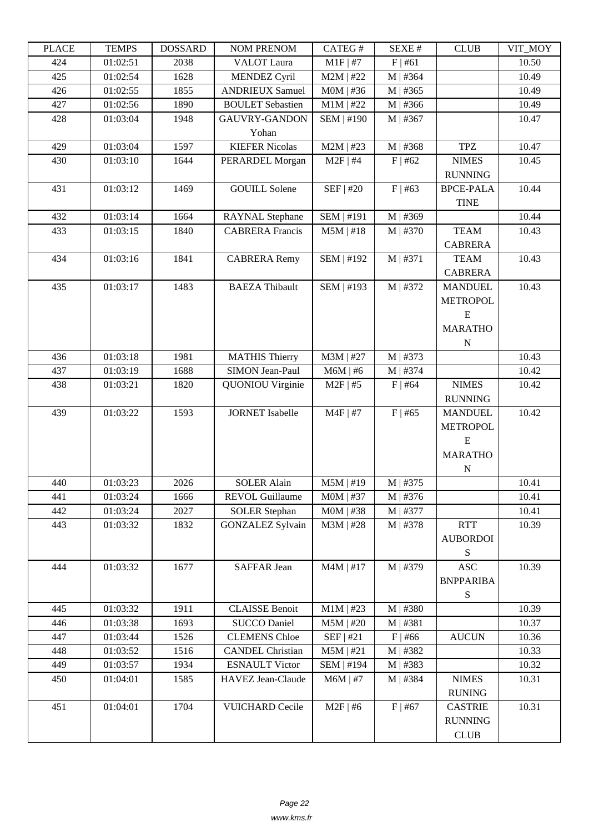| LLAUD | L LIVII I J | <u> תעדיממטע</u> | <b>NUMERENUM</b>        | <b>CATLOT</b>    | DL/AL π    | CLUD             | VII_MUI |
|-------|-------------|------------------|-------------------------|------------------|------------|------------------|---------|
| 424   | 01:02:51    | 2038             | VALOT Laura             | $M1F$   #7       | F   #61    |                  | 10.50   |
| 425   | 01:02:54    | 1628             | <b>MENDEZ Cyril</b>     | $M2M$   #22      | $M$   #364 |                  | 10.49   |
| 426   | 01:02:55    | 1855             | <b>ANDRIEUX Samuel</b>  | $MOM$   #36      | $M$   #365 |                  | 10.49   |
| 427   | 01:02:56    | 1890             | <b>BOULET</b> Sebastien | $M1M$   #22      | M   #366   |                  | 10.49   |
| 428   | 01:03:04    | 1948             | <b>GAUVRY-GANDON</b>    | SEM   #190       | $M$   #367 |                  | 10.47   |
|       |             |                  | Yohan                   |                  |            |                  |         |
| 429   | 01:03:04    | 1597             | <b>KIEFER Nicolas</b>   | $M2M$   #23      | M   #368   | <b>TPZ</b>       | 10.47   |
| 430   | 01:03:10    | 1644             | PERARDEL Morgan         | $M2F$   #4       | F   #62    | <b>NIMES</b>     | 10.45   |
|       |             |                  |                         |                  |            | <b>RUNNING</b>   |         |
| 431   | 01:03:12    | 1469             | <b>GOUILL Solene</b>    | <b>SEF   #20</b> | $F$   #63  | <b>BPCE-PALA</b> | 10.44   |
|       |             |                  |                         |                  |            | <b>TINE</b>      |         |
| 432   | 01:03:14    | 1664             | <b>RAYNAL Stephane</b>  | SEM   #191       | M   #369   |                  | 10.44   |
| 433   | 01:03:15    | 1840             | <b>CABRERA Francis</b>  | $M5M$   #18      | M   #370   | <b>TEAM</b>      | 10.43   |
|       |             |                  |                         |                  |            | <b>CABRERA</b>   |         |
| 434   | 01:03:16    | 1841             | <b>CABRERA Remy</b>     | SEM   #192       | M   #371   | <b>TEAM</b>      | 10.43   |
|       |             |                  |                         |                  |            | <b>CABRERA</b>   |         |
| 435   | 01:03:17    | 1483             | <b>BAEZA Thibault</b>   | SEM   #193       | M   #372   | <b>MANDUEL</b>   | 10.43   |
|       |             |                  |                         |                  |            | <b>METROPOL</b>  |         |
|       |             |                  |                         |                  |            | E                |         |
|       |             |                  |                         |                  |            |                  |         |
|       |             |                  |                         |                  |            | <b>MARATHO</b>   |         |
|       |             |                  |                         |                  |            | $\mathbf N$      |         |
| 436   | 01:03:18    | 1981             | <b>MATHIS Thierry</b>   | M3M   #27        | M   #373   |                  | 10.43   |
| 437   | 01:03:19    | 1688             | <b>SIMON Jean-Paul</b>  | $M6M$   #6       | M   #374   |                  | 10.42   |
| 438   | 01:03:21    | 1820             | <b>QUONIOU Virginie</b> | $M2F$   #5       | $F$   #64  | <b>NIMES</b>     | 10.42   |
|       |             |                  |                         |                  |            | <b>RUNNING</b>   |         |
| 439   | 01:03:22    | 1593             | <b>JORNET</b> Isabelle  | $M4F$   #7       | $F$   #65  | <b>MANDUEL</b>   | 10.42   |
|       |             |                  |                         |                  |            | <b>METROPOL</b>  |         |
|       |             |                  |                         |                  |            | ${\bf E}$        |         |
|       |             |                  |                         |                  |            | <b>MARATHO</b>   |         |
|       |             |                  |                         |                  |            | ${\bf N}$        |         |
| 440   | 01:03:23    | 2026             | <b>SOLER Alain</b>      | $M5M$   #19      | $M$   #375 |                  | 10.41   |
| 441   | 01:03:24    | 1666             | <b>REVOL Guillaume</b>  | $MOM$   #37      | $M$   #376 |                  | 10.41   |
| 442   | 01:03:24    | 2027             | <b>SOLER Stephan</b>    | $MOM$   #38      | M   #377   |                  | 10.41   |
| 443   | 01:03:32    | 1832             | <b>GONZALEZ Sylvain</b> | $M3M$   #28      | $M$   #378 | <b>RTT</b>       | 10.39   |
|       |             |                  |                         |                  |            | <b>AUBORDOI</b>  |         |
|       |             |                  |                         |                  |            | S                |         |
| 444   | 01:03:32    | 1677             | SAFFAR Jean             | $M4M$   #17      | M   #379   | <b>ASC</b>       | 10.39   |
|       |             |                  |                         |                  |            | <b>BNPPARIBA</b> |         |
|       |             |                  |                         |                  |            | ${\bf S}$        |         |
| 445   | 01:03:32    | 1911             | <b>CLAISSE Benoit</b>   | $M1M$   #23      | $M$   #380 |                  | 10.39   |
| 446   | 01:03:38    | 1693             | <b>SUCCO Daniel</b>     | $M5M$   #20      | M   #381   |                  | 10.37   |
| 447   | 01:03:44    | 1526             | <b>CLEMENS Chloe</b>    | SEF   #21        | $F$   #66  | <b>AUCUN</b>     | 10.36   |
| 448   | 01:03:52    | 1516             | <b>CANDEL Christian</b> | $M5M$   #21      | M   #382   |                  | 10.33   |
| 449   | 01:03:57    | 1934             | <b>ESNAULT Victor</b>   | SEM   #194       | $M$   #383 |                  | 10.32   |
| 450   | 01:04:01    | 1585             | HAVEZ Jean-Claude       | $M6M$   #7       | $M$   #384 | <b>NIMES</b>     | 10.31   |
|       |             |                  |                         |                  |            | <b>RUNING</b>    |         |
| 451   | 01:04:01    | 1704             | <b>VUICHARD Cecile</b>  | $M2F$   #6       | $F$   #67  | <b>CASTRIE</b>   | 10.31   |
|       |             |                  |                         |                  |            | <b>RUNNING</b>   |         |
|       |             |                  |                         |                  |            | <b>CLUB</b>      |         |
|       |             |                  |                         |                  |            |                  |         |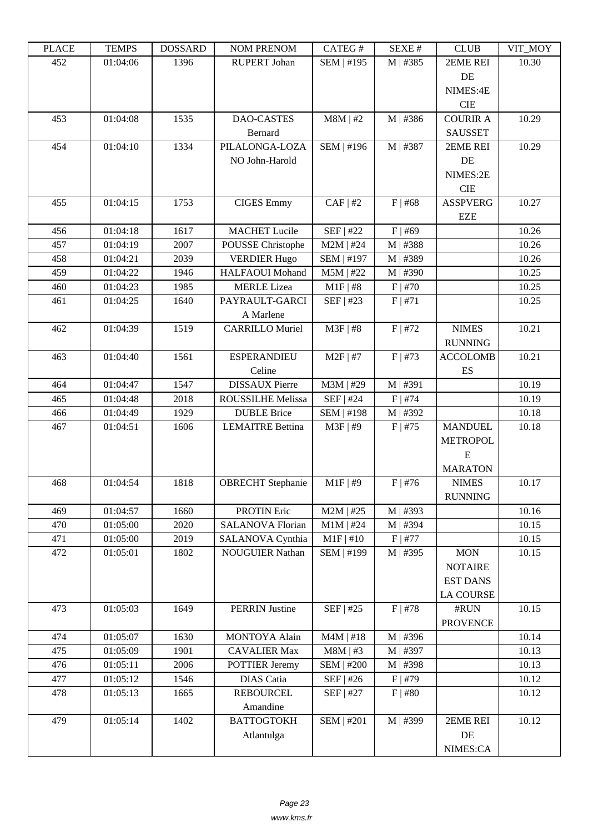| LEACE | <b>TENTI D</b> | <u> חשדיממה ח</u> | <b>INUMER INLINUM</b>    | CATLO T           | NL/NL π    | CLUD             | VII_MUI |
|-------|----------------|-------------------|--------------------------|-------------------|------------|------------------|---------|
| 452   | 01:04:06       | 1396              | <b>RUPERT Johan</b>      | SEM   #195        | $M$   #385 | 2EME REI         | 10.30   |
|       |                |                   |                          |                   |            | DE               |         |
|       |                |                   |                          |                   |            | NIMES:4E         |         |
|       |                |                   |                          |                   |            | <b>CIE</b>       |         |
| 453   | 01:04:08       | 1535              | <b>DAO-CASTES</b>        | $M8M$   #2        | M   #386   | <b>COURIR A</b>  | 10.29   |
|       |                |                   | Bernard                  |                   |            | <b>SAUSSET</b>   |         |
| 454   | 01:04:10       | 1334              | PILALONGA-LOZA           | SEM   #196        | M   #387   | 2EME REI         | 10.29   |
|       |                |                   | NO John-Harold           |                   |            | DE               |         |
|       |                |                   |                          |                   |            | NIMES:2E         |         |
|       |                |                   |                          |                   |            | <b>CIE</b>       |         |
| 455   | 01:04:15       | 1753              | <b>CIGES Emmy</b>        | $CAF$   #2        | $F$   #68  | <b>ASSPVERG</b>  | 10.27   |
|       |                |                   |                          |                   |            | <b>EZE</b>       |         |
| 456   | 01:04:18       | 1617              | <b>MACHET Lucile</b>     | SEF   #22         | $F$   #69  |                  | 10.26   |
| 457   | 01:04:19       | 2007              | POUSSE Christophe        | $M2M$   #24       | M   #388   |                  | 10.26   |
| 458   | 01:04:21       | 2039              | <b>VERDIER Hugo</b>      | SEM   #197        | M   #389   |                  | 10.26   |
| 459   |                |                   | <b>HALFAOUI</b> Mohand   |                   |            |                  | 10.25   |
|       | 01:04:22       | 1946              |                          | $M5M$   #22       | M   #390   |                  |         |
| 460   | 01:04:23       | 1985              | <b>MERLE</b> Lizea       | $M1F$ #8          | $F$   #70  |                  | 10.25   |
| 461   | 01:04:25       | 1640              | PAYRAULT-GARCI           | SEF   #23         | F   #71    |                  | 10.25   |
|       |                |                   | A Marlene                |                   |            |                  |         |
| 462   | 01:04:39       | 1519              | <b>CARRILLO Muriel</b>   | $M3F$   #8        | $F$   #72  | <b>NIMES</b>     | 10.21   |
|       |                |                   |                          |                   |            | <b>RUNNING</b>   |         |
| 463   | 01:04:40       | 1561              | <b>ESPERANDIEU</b>       | $M2F$   #7        | $F$   #73  | <b>ACCOLOMB</b>  | 10.21   |
|       |                |                   | Celine                   |                   |            | ES               |         |
| 464   | 01:04:47       | 1547              | <b>DISSAUX Pierre</b>    | M3M   #29         | M   #391   |                  | 10.19   |
| 465   | 01:04:48       | 2018              | <b>ROUSSILHE Melissa</b> | SEF   #24         | $F$   #74  |                  | 10.19   |
| 466   | 01:04:49       | 1929              | <b>DUBLE Brice</b>       | SEM   #198        | M   #392   |                  | 10.18   |
| 467   | 01:04:51       | 1606              | <b>LEMAITRE Bettina</b>  | M3F   #9          | $F$   #75  | <b>MANDUEL</b>   | 10.18   |
|       |                |                   |                          |                   |            | <b>METROPOL</b>  |         |
|       |                |                   |                          |                   |            | E                |         |
|       |                |                   |                          |                   |            | <b>MARATON</b>   |         |
| 468   | 01:04:54       | 1818              | <b>OBRECHT</b> Stephanie | $M1F$ #9          | $F$   #76  | <b>NIMES</b>     | 10.17   |
|       |                |                   |                          |                   |            | <b>RUNNING</b>   |         |
| 469   | 01:04:57       | 1660              | PROTIN Eric              | $M2M$   #25       | M   #393   |                  | 10.16   |
| 470   | 01:05:00       | 2020              | <b>SALANOVA Florian</b>  | $M1M$   #24       | M   #394   |                  | 10.15   |
| 471   | 01:05:00       | 2019              | SALANOVA Cynthia         | $M1F$   #10       | $F$   #77  |                  | 10.15   |
| 472   | 01:05:01       | 1802              | NOUGUIER Nathan          | SEM   #199        | $M$   #395 | <b>MON</b>       | 10.15   |
|       |                |                   |                          |                   |            | <b>NOTAIRE</b>   |         |
|       |                |                   |                          |                   |            | <b>EST DANS</b>  |         |
|       |                |                   |                          |                   |            | <b>LA COURSE</b> |         |
| 473   | 01:05:03       | 1649              | <b>PERRIN Justine</b>    | $SEF$   #25       | $F$   #78  | #RUN             | 10.15   |
|       |                |                   |                          |                   |            | <b>PROVENCE</b>  |         |
| 474   | 01:05:07       | 1630              | MONTOYA Alain            | $M4M$   #18       | M   #396   |                  | 10.14   |
| 475   | 01:05:09       | 1901              | <b>CAVALIER Max</b>      | $M8M$   #3        | M   #397   |                  | 10.13   |
| 476   | 01:05:11       | 2006              | POTTIER Jeremy           | <b>SEM   #200</b> | M   #398   |                  | 10.13   |
| 477   | 01:05:12       | 1546              | <b>DIAS</b> Catia        | SEF   #26         | $F$   #79  |                  | 10.12   |
| 478   | 01:05:13       | 1665              | <b>REBOURCEL</b>         | SEF   #27         | $F$   #80  |                  | 10.12   |
|       |                |                   |                          |                   |            |                  |         |
|       |                |                   | Amandine                 |                   |            |                  |         |
| 479   | 01:05:14       | 1402              | <b>BATTOGTOKH</b>        | <b>SEM   #201</b> | M   #399   | 2EME REI         | 10.12   |
|       |                |                   | Atlantulga               |                   |            | DE               |         |
|       |                |                   |                          |                   |            | NIMES:CA         |         |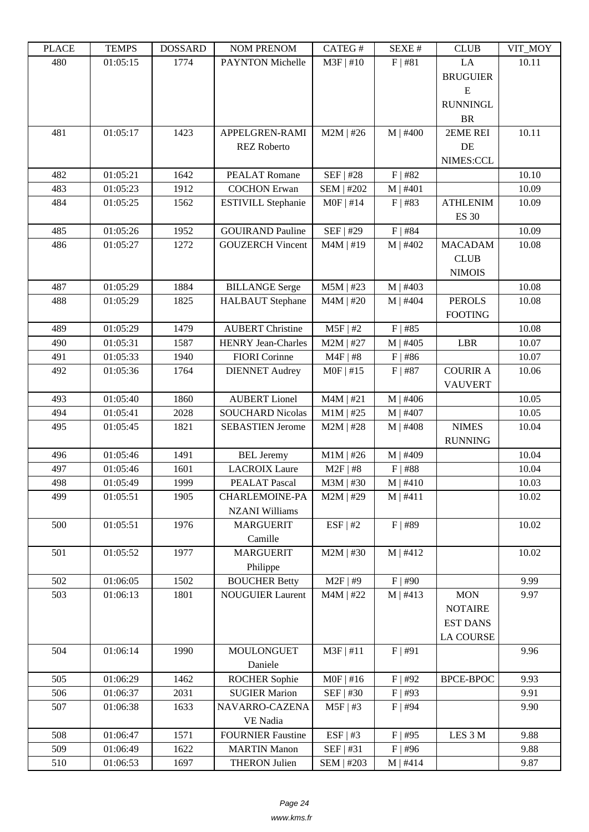| LLAUD      | L LIVIII IJ          | <u> חשדיממה ח</u> | <b>INUINT I INEINUINI</b>                          | CΛ1 LU π            | DL/AL π    | CLUD             | <sup>™</sup> ™∩≀≀ |
|------------|----------------------|-------------------|----------------------------------------------------|---------------------|------------|------------------|-------------------|
| 480        | 01:05:15             | 1774              | <b>PAYNTON Michelle</b>                            | M3F   #10           | F   #81    | LA               | 10.11             |
|            |                      |                   |                                                    |                     |            | <b>BRUGUIER</b>  |                   |
|            |                      |                   |                                                    |                     |            | ${\bf E}$        |                   |
|            |                      |                   |                                                    |                     |            | <b>RUNNINGL</b>  |                   |
|            |                      |                   |                                                    |                     |            | <b>BR</b>        |                   |
| 481        | 01:05:17             | 1423              | APPELGREN-RAMI                                     | $M2M$   #26         | $M$   #400 | 2EME REI         | 10.11             |
|            |                      |                   | <b>REZ Roberto</b>                                 |                     |            | DE               |                   |
|            |                      |                   |                                                    |                     |            | NIMES:CCL        |                   |
| 482        | 01:05:21             | 1642              | <b>PEALAT Romane</b>                               | <b>SEF</b>   #28    | $F$   #82  |                  | 10.10             |
| 483        | 01:05:23             | 1912              | <b>COCHON</b> Erwan                                | SEM   #202          | M   #401   |                  | 10.09             |
| 484        | 01:05:25             | 1562              | <b>ESTIVILL Stephanie</b>                          | $MOF$   #14         | $F$   #83  | <b>ATHLENIM</b>  | 10.09             |
|            |                      |                   |                                                    |                     |            | <b>ES 30</b>     |                   |
| 485        | 01:05:26             | 1952              | <b>GOUIRAND Pauline</b>                            | SEF   #29           | $F$   #84  |                  | 10.09             |
| 486        | 01:05:27             | 1272              | <b>GOUZERCH Vincent</b>                            | $M4M$   #19         | $M$   #402 | <b>MACADAM</b>   | 10.08             |
|            |                      |                   |                                                    |                     |            | <b>CLUB</b>      |                   |
|            |                      |                   |                                                    |                     |            | <b>NIMOIS</b>    |                   |
| 487        | 01:05:29             | 1884              | <b>BILLANGE</b> Serge                              | $M5M$   #23         | $M$   #403 |                  | 10.08             |
| 488        | 01:05:29             | 1825              | <b>HALBAUT</b> Stephane                            | $M4M$   #20         | $M$   #404 | <b>PEROLS</b>    | 10.08             |
|            |                      |                   |                                                    |                     |            | <b>FOOTING</b>   |                   |
| 489        | 01:05:29             | 1479              | <b>AUBERT Christine</b>                            | $M5F$   #2          | $F$   #85  |                  | 10.08             |
| 490        | 01:05:31             | 1587              | <b>HENRY Jean-Charles</b>                          | $M2M$   #27         | $M$   #405 | <b>LBR</b>       | 10.07             |
| 491        | 01:05:33             | 1940              | <b>FIORI</b> Corinne                               | $M4F$   #8          | $F$   #86  |                  | 10.07             |
| 492        | 01:05:36             | 1764              | <b>DIENNET</b> Audrey                              | $MOF$   #15         | $F$   #87  | <b>COURIR A</b>  | 10.06             |
|            |                      |                   | <b>AUBERT</b> Lionel                               |                     |            | <b>VAUVERT</b>   |                   |
| 493        | 01:05:40             | 1860              |                                                    | $M4M$   #21         | $M$   #406 |                  | 10.05             |
| 494<br>495 | 01:05:41<br>01:05:45 | 2028<br>1821      | <b>SOUCHARD Nicolas</b><br><b>SEBASTIEN Jerome</b> | $M1M$   #25         | $M$   #407 | <b>NIMES</b>     | 10.05<br>10.04    |
|            |                      |                   |                                                    | $M2M$   #28         | $M$   #408 | <b>RUNNING</b>   |                   |
| 496        | 01:05:46             | 1491              | <b>BEL</b> Jeremy                                  | $M1M$   #26         | $M$   #409 |                  | 10.04             |
| 497        | 01:05:46             | 1601              | <b>LACROIX</b> Laure                               | $M2F$   #8          | $F$   #88  |                  | 10.04             |
| 498        | 01:05:49             | 1999              | PEALAT Pascal                                      | M3M   #30           | M   #410   |                  | 10.03             |
| 499        | 01:05:51             | 1905              | <b>CHARLEMOINE-PA</b>                              | $M2M$   #29         | M   #411   |                  | 10.02             |
|            |                      |                   | <b>NZANI Williams</b>                              |                     |            |                  |                   |
| 500        | 01:05:51             | 1976              | <b>MARGUERIT</b>                                   | ESF   #2            | $F$   #89  |                  | 10.02             |
|            |                      |                   | Camille                                            |                     |            |                  |                   |
| 501        | 01:05:52             | 1977              | <b>MARGUERIT</b>                                   | $M2M$   #30         | M   #412   |                  | 10.02             |
|            |                      |                   | Philippe                                           |                     |            |                  |                   |
| 502        | 01:06:05             | 1502              | <b>BOUCHER Betty</b>                               | $\overline{M2F}$ #9 | $F$   #90  |                  | 9.99              |
| 503        | 01:06:13             | 1801              | <b>NOUGUIER Laurent</b>                            | $M4M$   #22         | M   #413   | <b>MON</b>       | 9.97              |
|            |                      |                   |                                                    |                     |            | <b>NOTAIRE</b>   |                   |
|            |                      |                   |                                                    |                     |            | <b>EST DANS</b>  |                   |
|            |                      |                   |                                                    |                     |            | <b>LA COURSE</b> |                   |
| 504        | 01:06:14             | 1990              | MOULONGUET                                         | $M3F$   #11         | F   #91    |                  | 9.96              |
|            |                      |                   | Daniele                                            |                     |            |                  |                   |
| 505        | 01:06:29             | 1462              | <b>ROCHER Sophie</b>                               | $MOF$   #16         | $F$   #92  | <b>BPCE-BPOC</b> | 9.93              |
| 506        | 01:06:37             | 2031              | <b>SUGIER Marion</b>                               | SEF   #30           | $F$   #93  |                  | 9.91              |
| 507        | 01:06:38             | 1633              | NAVARRO-CAZENA                                     | $M5F$   #3          | $F$   #94  |                  | 9.90              |
|            |                      |                   | VE Nadia                                           |                     |            |                  |                   |
| 508        | 01:06:47             | 1571              | <b>FOURNIER Faustine</b>                           | ESF   #3            | $F$   #95  | LES 3 M          | 9.88              |
| 509        | 01:06:49             | 1622              | <b>MARTIN Manon</b>                                | SEF   #31           | $F$ #96    |                  | 9.88              |
| 510        | 01:06:53             | 1697              | <b>THERON Julien</b>                               | SEM   #203          | M   #414   |                  | 9.87              |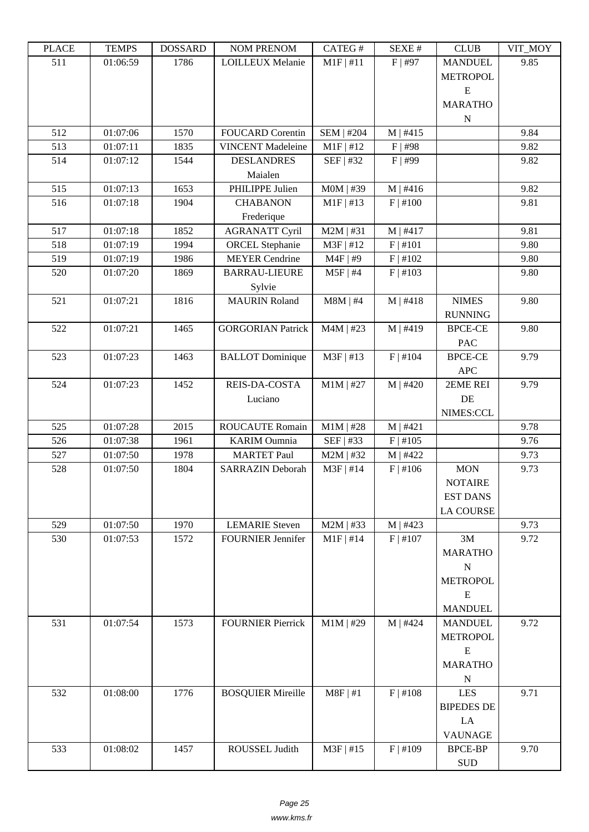| LLAUL | <u>רי דומדיד ד</u> | <b>UUUUUUU</b> | <b>INUINI I INEINUINI</b> | CΛ1 LU π          | DL/AL π    | CLUD              | VII_IVIO I |
|-------|--------------------|----------------|---------------------------|-------------------|------------|-------------------|------------|
| 511   | 01:06:59           | 1786           | <b>LOILLEUX Melanie</b>   | $M1F$   #11       | $F$   #97  | <b>MANDUEL</b>    | 9.85       |
|       |                    |                |                           |                   |            | <b>METROPOL</b>   |            |
|       |                    |                |                           |                   |            | E                 |            |
|       |                    |                |                           |                   |            | <b>MARATHO</b>    |            |
|       |                    |                |                           |                   |            | ${\bf N}$         |            |
| 512   | 01:07:06           | 1570           | <b>FOUCARD</b> Corentin   | <b>SEM   #204</b> | M   #415   |                   | 9.84       |
| 513   | 01:07:11           | 1835           | <b>VINCENT</b> Madeleine  | $M1F$ #12         | $F$   #98  |                   | 9.82       |
| 514   | 01:07:12           | 1544           | <b>DESLANDRES</b>         | SEF   #32         | $F$   #99  |                   | 9.82       |
|       |                    |                | Maialen                   |                   |            |                   |            |
| 515   | 01:07:13           | 1653           | PHILIPPE Julien           | $MOM$   #39       | M   #416   |                   | 9.82       |
| 516   | 01:07:18           | 1904           | <b>CHABANON</b>           | $M1F$   #13       | $F$   #100 |                   | 9.81       |
|       |                    |                | Frederique                |                   |            |                   |            |
| 517   | 01:07:18           | 1852           | <b>AGRANATT Cyril</b>     | $M2M$   #31       | M   #417   |                   | 9.81       |
| 518   | 01:07:19           | 1994           | <b>ORCEL Stephanie</b>    | M3F   #12         | F   #101   |                   | 9.80       |
| 519   | 01:07:19           | 1986           | <b>MEYER Cendrine</b>     | $M4F$   #9        | F   #102   |                   | 9.80       |
| 520   | 01:07:20           | 1869           | <b>BARRAU-LIEURE</b>      | $M5F$   #4        | F   #103   |                   | 9.80       |
|       |                    |                | Sylvie                    |                   |            |                   |            |
| 521   | 01:07:21           | 1816           | <b>MAURIN Roland</b>      | $M8M$   #4        | M   #418   | <b>NIMES</b>      | 9.80       |
|       |                    |                |                           |                   |            | <b>RUNNING</b>    |            |
| 522   | 01:07:21           | 1465           | <b>GORGORIAN Patrick</b>  | $M4M$   #23       | $M$   #419 | <b>BPCE-CE</b>    | 9.80       |
|       |                    |                |                           |                   |            | <b>PAC</b>        |            |
| 523   | 01:07:23           | 1463           | <b>BALLOT</b> Dominique   | $M3F$   #13       | $F$   #104 | <b>BPCE-CE</b>    | 9.79       |
|       |                    |                |                           |                   |            | <b>APC</b>        |            |
| 524   | 01:07:23           | 1452           | REIS-DA-COSTA             | $M1M$   #27       | $M$   #420 | 2EME REI          | 9.79       |
|       |                    |                | Luciano                   |                   |            | DE                |            |
|       |                    |                |                           |                   |            | NIMES:CCL         |            |
| 525   | 01:07:28           | 2015           | <b>ROUCAUTE Romain</b>    | $M1M$   #28       | M   #421   |                   | 9.78       |
| 526   | 01:07:38           | 1961           | <b>KARIM Oumnia</b>       | SEF   #33         | F   #105   |                   | 9.76       |
| 527   | 01:07:50           | 1978           | <b>MARTET Paul</b>        | $M2M$   #32       | $M$   #422 |                   | 9.73       |
| 528   | 01:07:50           | 1804           | <b>SARRAZIN Deborah</b>   | $M3F$   #14       | F   #106   | <b>MON</b>        | 9.73       |
|       |                    |                |                           |                   |            | <b>NOTAIRE</b>    |            |
|       |                    |                |                           |                   |            | <b>EST DANS</b>   |            |
|       |                    |                |                           |                   |            | <b>LA COURSE</b>  |            |
| 529   | 01:07:50           | 1970           | <b>LEMARIE</b> Steven     | $M2M$   #33       | $M$   #423 |                   | 9.73       |
| 530   | 01:07:53           | 1572           | <b>FOURNIER Jennifer</b>  | $M1F$   #14       | F   #107   | 3M                | 9.72       |
|       |                    |                |                           |                   |            | <b>MARATHO</b>    |            |
|       |                    |                |                           |                   |            | ${\bf N}$         |            |
|       |                    |                |                           |                   |            | <b>METROPOL</b>   |            |
|       |                    |                |                           |                   |            | ${\bf E}$         |            |
|       |                    |                |                           |                   |            | <b>MANDUEL</b>    |            |
| 531   | 01:07:54           | 1573           | <b>FOURNIER Pierrick</b>  | $M1M$   #29       | $M$   #424 | <b>MANDUEL</b>    | 9.72       |
|       |                    |                |                           |                   |            | <b>METROPOL</b>   |            |
|       |                    |                |                           |                   |            | E                 |            |
|       |                    |                |                           |                   |            | <b>MARATHO</b>    |            |
|       |                    |                |                           |                   |            | ${\bf N}$         |            |
| 532   | 01:08:00           | 1776           | <b>BOSQUIER Mireille</b>  | $M8F$   #1        | F   #108   | <b>LES</b>        | 9.71       |
|       |                    |                |                           |                   |            | <b>BIPEDES DE</b> |            |
|       |                    |                |                           |                   |            | LA                |            |
|       |                    |                |                           |                   |            | <b>VAUNAGE</b>    |            |
| 533   | 01:08:02           | 1457           | ROUSSEL Judith            | $M3F$   #15       | F   #109   | <b>BPCE-BP</b>    | 9.70       |
|       |                    |                |                           |                   |            | <b>SUD</b>        |            |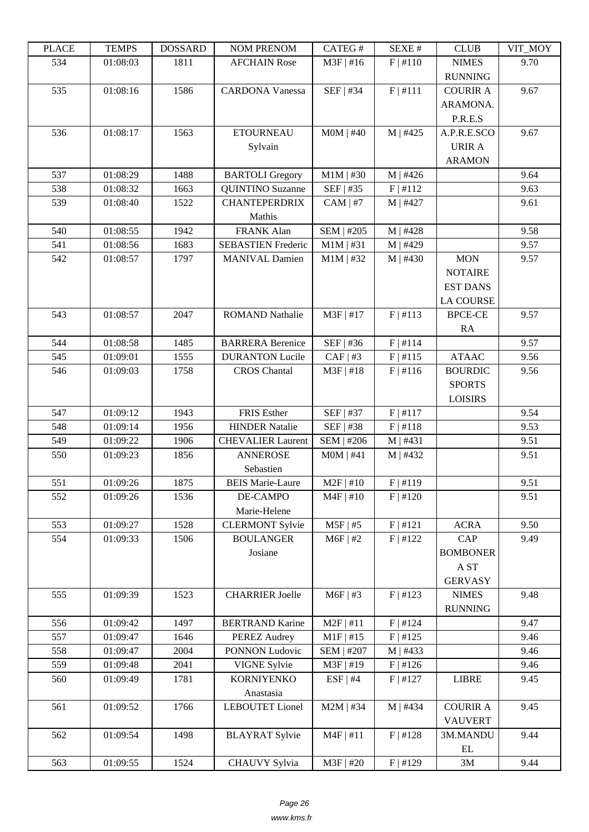| LLAUL | <u>ר דוגודו</u> | <u> חשדיממה ח</u> | KUWU U WAKUWI             | $C$ $A$ $B$ $C$ $T$ $T$ $T$ | DL/AL π    | CLUD             | VII_MUI |
|-------|-----------------|-------------------|---------------------------|-----------------------------|------------|------------------|---------|
| 534   | 01:08:03        | 1811              | <b>AFCHAIN Rose</b>       | $M3F$   #16                 | F   #110   | <b>NIMES</b>     | 9.70    |
|       |                 |                   |                           |                             |            | <b>RUNNING</b>   |         |
| 535   | 01:08:16        | 1586              | <b>CARDONA Vanessa</b>    | SEF   #34                   | F   #111   | <b>COURIR A</b>  | 9.67    |
|       |                 |                   |                           |                             |            | ARAMONA.         |         |
|       |                 |                   |                           |                             |            | P.R.E.S          |         |
| 536   | 01:08:17        | 1563              | <b>ETOURNEAU</b>          | $MOM$   #40                 | M   #425   | A.P.R.E.SCO      | 9.67    |
|       |                 |                   | Sylvain                   |                             |            | <b>URIRA</b>     |         |
|       |                 |                   |                           |                             |            | <b>ARAMON</b>    |         |
| 537   | 01:08:29        | 1488              | <b>BARTOLI</b> Gregory    | $M1M$   #30                 | M   #426   |                  | 9.64    |
| 538   | 01:08:32        | 1663              | <b>QUINTINO Suzanne</b>   | $SEF$   #35                 | F   #112   |                  | 9.63    |
| 539   | 01:08:40        | 1522              | <b>CHANTEPERDRIX</b>      | $CAM \mid #7$               | $M$   #427 |                  | 9.61    |
|       |                 |                   | Mathis                    |                             |            |                  |         |
|       |                 |                   |                           |                             |            |                  |         |
| 540   | 01:08:55        | 1942              | <b>FRANK Alan</b>         | SEM   #205                  | M   #428   |                  | 9.58    |
| 541   | 01:08:56        | 1683              | <b>SEBASTIEN Frederic</b> | $M1M$   #31                 | M   #429   |                  | 9.57    |
| 542   | 01:08:57        | 1797              | <b>MANIVAL Damien</b>     | $M1M$   #32                 | M   #430   | <b>MON</b>       | 9.57    |
|       |                 |                   |                           |                             |            | <b>NOTAIRE</b>   |         |
|       |                 |                   |                           |                             |            | <b>EST DANS</b>  |         |
|       |                 |                   |                           |                             |            | <b>LA COURSE</b> |         |
| 543   | 01:08:57        | 2047              | <b>ROMAND Nathalie</b>    | $M3F$   #17                 | F   #113   | <b>BPCE-CE</b>   | 9.57    |
|       |                 |                   |                           |                             |            | RA               |         |
| 544   | 01:08:58        | 1485              | <b>BARRERA</b> Berenice   | SEF   #36                   | F   #114   |                  | 9.57    |
| 545   | 01:09:01        | 1555              | <b>DURANTON Lucile</b>    | CAF   #3                    | F   #115   | <b>ATAAC</b>     | 9.56    |
| 546   | 01:09:03        | 1758              | <b>CROS</b> Chantal       | $M3F$   #18                 | $F$ #116   | <b>BOURDIC</b>   | 9.56    |
|       |                 |                   |                           |                             |            | <b>SPORTS</b>    |         |
|       |                 |                   |                           |                             |            | <b>LOISIRS</b>   |         |
| 547   | 01:09:12        | 1943              | FRIS Esther               | SEF   #37                   | F   #117   |                  | 9.54    |
| 548   | 01:09:14        | 1956              | <b>HINDER Natalie</b>     | SEF   #38                   | F   #118   |                  | 9.53    |
| 549   | 01:09:22        | 1906              | <b>CHEVALIER Laurent</b>  | SEM   #206                  | M   #431   |                  | 9.51    |
| 550   | 01:09:23        | 1856              | <b>ANNEROSE</b>           | $MOM$   #41                 | M   #432   |                  | 9.51    |
|       |                 |                   |                           |                             |            |                  |         |
|       |                 |                   | Sebastien                 |                             |            |                  |         |
| 551   | 01:09:26        | 1875              | <b>BEIS Marie-Laure</b>   | $M2F$   #10                 | F   #119   |                  | 9.51    |
| 552   | 01:09:26        | 1536              | DE-CAMPO                  | $M4F$   #10                 | F   #120   |                  | 9.51    |
|       |                 |                   | Marie-Helene              |                             |            |                  |         |
| 553   | 01:09:27        | 1528              | <b>CLERMONT Sylvie</b>    | $M5F$   #5                  | F   #121   | <b>ACRA</b>      | 9.50    |
| 554   | 01:09:33        | 1506              | <b>BOULANGER</b>          | $M6F$   #2                  | F   #122   | CAP              | 9.49    |
|       |                 |                   | Josiane                   |                             |            | <b>BOMBONER</b>  |         |
|       |                 |                   |                           |                             |            | A ST             |         |
|       |                 |                   |                           |                             |            | <b>GERVASY</b>   |         |
| 555   | 01:09:39        | 1523              | <b>CHARRIER Joelle</b>    | $M6F$   #3                  | F   #123   | <b>NIMES</b>     | 9.48    |
|       |                 |                   |                           |                             |            | <b>RUNNING</b>   |         |
| 556   | 01:09:42        | 1497              | <b>BERTRAND Karine</b>    | $M2F$   #11                 | F   #124   |                  | 9.47    |
| 557   | 01:09:47        | 1646              | <b>PEREZ Audrey</b>       | $M1F$   #15                 | F   #125   |                  | 9.46    |
| 558   | 01:09:47        | 2004              | PONNON Ludovic            | SEM   #207                  | $M$   #433 |                  | 9.46    |
| 559   | 01:09:48        | 2041              | <b>VIGNE Sylvie</b>       | $M3F$   #19                 | F   #126   |                  | 9.46    |
| 560   | 01:09:49        | 1781              | <b>KORNIYENKO</b>         | ESF   #4                    | F   #127   | <b>LIBRE</b>     | 9.45    |
|       |                 |                   | Anastasia                 |                             |            |                  |         |
| 561   | 01:09:52        | 1766              | <b>LEBOUTET</b> Lionel    | $M2M$   #34                 | $M$   #434 | <b>COURIR A</b>  | 9.45    |
|       |                 |                   |                           |                             |            | <b>VAUVERT</b>   |         |
| 562   | 01:09:54        | 1498              | <b>BLAYRAT Sylvie</b>     | $M4F$   #11                 | F   #128   | 3M.MANDU         | 9.44    |
|       |                 |                   |                           |                             |            |                  |         |
|       |                 |                   |                           |                             |            | EL               |         |
| 563   | 01:09:55        | 1524              | <b>CHAUVY Sylvia</b>      | M3F   #20                   | F   #129   | 3M               | 9.44    |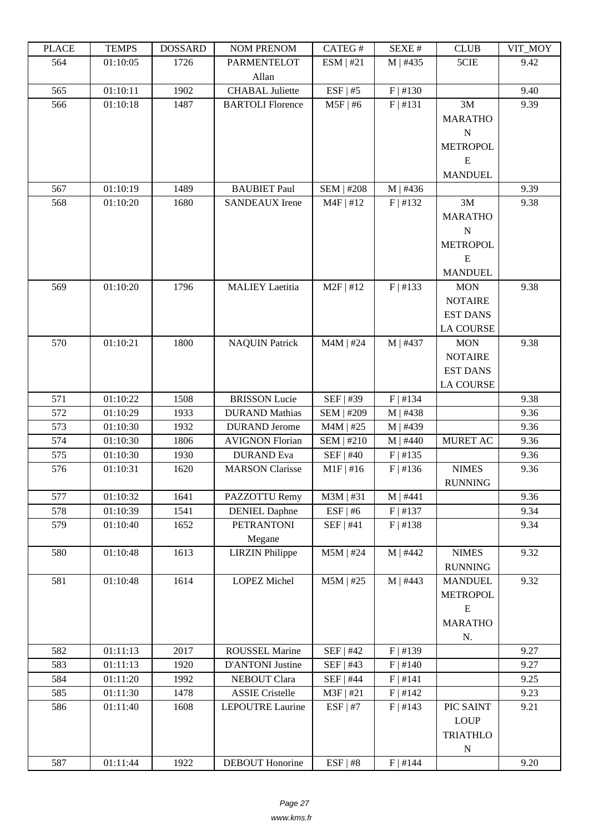| TLAUD | L LIVII J | <b><i>ANURGOA</i></b> | I'UM I KLIVUM           | CATLOT            | NL/AL π    | CLUD             | VII_MUI |
|-------|-----------|-----------------------|-------------------------|-------------------|------------|------------------|---------|
| 564   | 01:10:05  | 1726                  | <b>PARMENTELOT</b>      | ESM   #21         | M   #435   | 5CIE             | 9.42    |
|       |           |                       | Allan                   |                   |            |                  |         |
| 565   | 01:10:11  | 1902                  | <b>CHABAL</b> Juliette  | $ESF$   #5        | F   #130   |                  | 9.40    |
| 566   | 01:10:18  | 1487                  | <b>BARTOLI Florence</b> | $M5F$   #6        | F   #131   | 3M               | 9.39    |
|       |           |                       |                         |                   |            | <b>MARATHO</b>   |         |
|       |           |                       |                         |                   |            | ${\bf N}$        |         |
|       |           |                       |                         |                   |            | <b>METROPOL</b>  |         |
|       |           |                       |                         |                   |            | E                |         |
|       |           |                       |                         |                   |            | <b>MANDUEL</b>   |         |
| 567   | 01:10:19  | 1489                  | <b>BAUBIET Paul</b>     | <b>SEM   #208</b> | $M$   #436 |                  | 9.39    |
| 568   | 01:10:20  | 1680                  | <b>SANDEAUX</b> Irene   | $M4F$   #12       | F   #132   | 3M               | 9.38    |
|       |           |                       |                         |                   |            | <b>MARATHO</b>   |         |
|       |           |                       |                         |                   |            | ${\bf N}$        |         |
|       |           |                       |                         |                   |            | <b>METROPOL</b>  |         |
|       |           |                       |                         |                   |            | E                |         |
|       |           |                       |                         |                   |            | <b>MANDUEL</b>   |         |
| 569   | 01:10:20  | 1796                  | <b>MALIEY Laetitia</b>  | $M2F$   #12       | F   #133   | <b>MON</b>       | 9.38    |
|       |           |                       |                         |                   |            | <b>NOTAIRE</b>   |         |
|       |           |                       |                         |                   |            | <b>EST DANS</b>  |         |
|       |           |                       |                         |                   |            | <b>LA COURSE</b> |         |
| 570   | 01:10:21  | 1800                  | <b>NAQUIN Patrick</b>   | $M4M$   #24       | M   #437   | <b>MON</b>       | 9.38    |
|       |           |                       |                         |                   |            | <b>NOTAIRE</b>   |         |
|       |           |                       |                         |                   |            | <b>EST DANS</b>  |         |
|       |           |                       |                         |                   |            | <b>LA COURSE</b> |         |
| 571   | 01:10:22  | 1508                  | <b>BRISSON Lucie</b>    | SEF   #39         | F   #134   |                  | 9.38    |
| 572   | 01:10:29  | 1933                  | <b>DURAND</b> Mathias   | SEM   #209        | M   #438   |                  | 9.36    |
| 573   | 01:10:30  | 1932                  | <b>DURAND</b> Jerome    | $M4M$   #25       | M   #439   |                  | 9.36    |
| 574   | 01:10:30  | 1806                  | <b>AVIGNON Florian</b>  | SEM   #210        | $M$   #440 | MURET AC         | 9.36    |
| 575   | 01:10:30  | 1930                  | <b>DURAND</b> Eva       | SEF   #40         | F   #135   |                  | 9.36    |
| 576   | 01:10:31  | 1620                  | <b>MARSON</b> Clarisse  | $M1F$   #16       | F   #136   | <b>NIMES</b>     | 9.36    |
|       |           |                       |                         |                   |            | <b>RUNNING</b>   |         |
| 577   | 01:10:32  | 1641                  | PAZZOTTU Remy           | $M3M$   #31       | M   #441   |                  | 9.36    |
| 578   | 01:10:39  | 1541                  | <b>DENIEL Daphne</b>    | ESF   #6          | F   #137   |                  | 9.34    |
| 579   | 01:10:40  | 1652                  | <b>PETRANTONI</b>       | SEF   #41         | F   #138   |                  | 9.34    |
|       |           |                       | Megane                  |                   |            |                  |         |
| 580   | 01:10:48  | 1613                  | <b>LIRZIN</b> Philippe  | $M5M$   #24       | $M$   #442 | <b>NIMES</b>     | 9.32    |
|       |           |                       |                         |                   |            | <b>RUNNING</b>   |         |
| 581   | 01:10:48  | 1614                  | <b>LOPEZ Michel</b>     | $M5M$   #25       | M   #443   | <b>MANDUEL</b>   | 9.32    |
|       |           |                       |                         |                   |            | <b>METROPOL</b>  |         |
|       |           |                       |                         |                   |            | E                |         |
|       |           |                       |                         |                   |            | <b>MARATHO</b>   |         |
|       |           |                       |                         |                   |            | N.               |         |
| 582   | 01:11:13  | 2017                  | ROUSSEL Marine          | SEF   #42         | F   #139   |                  | 9.27    |
| 583   | 01:11:13  | 1920                  | <b>D'ANTONI</b> Justine | SEF   #43         | F   #140   |                  | 9.27    |
| 584   | 01:11:20  | 1992                  | NEBOUT Clara            | SEF   #44         | F   #141   |                  | 9.25    |
| 585   | 01:11:30  | 1478                  | <b>ASSIE Cristelle</b>  | $M3F$   #21       | F   #142   |                  | 9.23    |
| 586   | 01:11:40  | 1608                  | <b>LEPOUTRE Laurine</b> | $ESF$   #7        | F   #143   | PIC SAINT        | 9.21    |
|       |           |                       |                         |                   |            | <b>LOUP</b>      |         |
|       |           |                       |                         |                   |            | <b>TRIATHLO</b>  |         |
|       |           |                       |                         |                   |            | ${\bf N}$        |         |
| 587   | 01:11:44  | 1922                  | <b>DEBOUT Honorine</b>  | $ESF$   #8        | F   #144   |                  | 9.20    |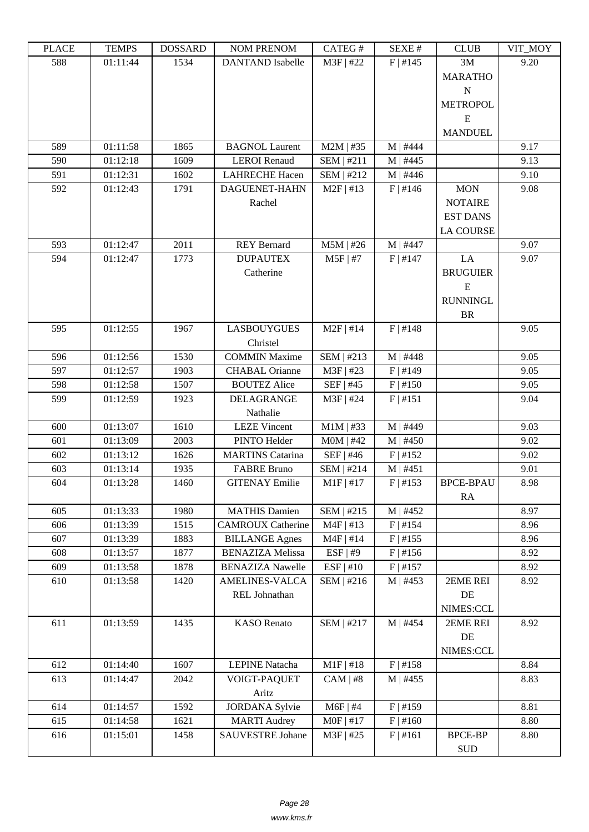| TLAUD | L LIVII D | <u> תעדיממטע</u> | <b>INUINI I INEINUINI</b> | CΛ1 LU π      | DL/AL π    | CLUD             | VII_WIO I |
|-------|-----------|------------------|---------------------------|---------------|------------|------------------|-----------|
| 588   | 01:11:44  | 1534             | <b>DANTAND</b> Isabelle   | M3F   #22     | F   #145   | 3M               | 9.20      |
|       |           |                  |                           |               |            | <b>MARATHO</b>   |           |
|       |           |                  |                           |               |            | $\mathbf N$      |           |
|       |           |                  |                           |               |            | <b>METROPOL</b>  |           |
|       |           |                  |                           |               |            | E                |           |
|       |           |                  |                           |               |            | <b>MANDUEL</b>   |           |
| 589   | 01:11:58  | 1865             | <b>BAGNOL Laurent</b>     | $M2M$   #35   | $M$   #444 |                  | 9.17      |
| 590   | 01:12:18  | 1609             | <b>LEROI</b> Renaud       | SEM   #211    | M   #445   |                  | 9.13      |
|       |           |                  | <b>LAHRECHE Hacen</b>     |               |            |                  |           |
| 591   | 01:12:31  | 1602             |                           | SEM   #212    | $M$   #446 |                  | 9.10      |
| 592   | 01:12:43  | 1791             | <b>DAGUENET-HAHN</b>      | $M2F$   #13   | F   #146   | <b>MON</b>       | 9.08      |
|       |           |                  | Rachel                    |               |            | <b>NOTAIRE</b>   |           |
|       |           |                  |                           |               |            | <b>EST DANS</b>  |           |
|       |           |                  |                           |               |            | <b>LA COURSE</b> |           |
| 593   | 01:12:47  | 2011             | <b>REY Bernard</b>        | $M5M$   #26   | M   #447   |                  | 9.07      |
| 594   | 01:12:47  | 1773             | <b>DUPAUTEX</b>           | $M5F$   #7    | F   #147   | LA               | 9.07      |
|       |           |                  | Catherine                 |               |            | <b>BRUGUIER</b>  |           |
|       |           |                  |                           |               |            | ${\bf E}$        |           |
|       |           |                  |                           |               |            | <b>RUNNINGL</b>  |           |
|       |           |                  |                           |               |            | $\rm{BR}$        |           |
| 595   | 01:12:55  | 1967             | <b>LASBOUYGUES</b>        | $M2F$   #14   | F   #148   |                  | 9.05      |
|       |           |                  | Christel                  |               |            |                  |           |
| 596   | 01:12:56  | 1530             | <b>COMMIN Maxime</b>      | SEM   #213    | M   #448   |                  | 9.05      |
| 597   | 01:12:57  | 1903             | <b>CHABAL</b> Orianne     | M3F   #23     | F   #149   |                  | 9.05      |
| 598   | 01:12:58  | 1507             | <b>BOUTEZ Alice</b>       | SEF   #45     | F   #150   |                  | 9.05      |
| 599   | 01:12:59  | 1923             | DELAGRANGE                | M3F   #24     | F   #151   |                  | 9.04      |
|       |           |                  | Nathalie                  |               |            |                  |           |
| 600   | 01:13:07  | 1610             | <b>LEZE Vincent</b>       | $M1M$   #33   | M   #449   |                  | 9.03      |
| 601   | 01:13:09  | 2003             | PINTO Helder              | $MOM$   #42   | $M$   #450 |                  | 9.02      |
| 602   | 01:13:12  | 1626             | <b>MARTINS Catarina</b>   | SEF   #46     | F   #152   |                  | 9.02      |
| 603   | 01:13:14  | 1935             | <b>FABRE Bruno</b>        | SEM   #214    | M   #451   |                  | 9.01      |
| 604   | 01:13:28  | 1460             | <b>GITENAY Emilie</b>     | $M1F$   #17   | F   #153   | <b>BPCE-BPAU</b> | 8.98      |
|       |           |                  |                           |               |            | RA               |           |
| 605   | 01:13:33  | 1980             | <b>MATHIS Damien</b>      | SEM   #215    | M   #452   |                  | 8.97      |
| 606   | 01:13:39  | 1515             | <b>CAMROUX Catherine</b>  | $M4F$   #13   | F   #154   |                  | 8.96      |
| 607   | 01:13:39  | 1883             | <b>BILLANGE Agnes</b>     | $M4F$   #14   | F   #155   |                  | 8.96      |
| 608   | 01:13:57  | 1877             | <b>BENAZIZA Melissa</b>   | ESF   #9      | F   #156   |                  | 8.92      |
| 609   | 01:13:58  | 1878             | <b>BENAZIZA Nawelle</b>   | ESF   #10     | F   #157   |                  | 8.92      |
| 610   | 01:13:58  | 1420             | AMELINES-VALCA            | SEM   #216    | M   #453   | 2EME REI         | 8.92      |
|       |           |                  |                           |               |            |                  |           |
|       |           |                  | REL Johnathan             |               |            | DE               |           |
|       |           |                  |                           |               |            | NIMES:CCL        |           |
| 611   | 01:13:59  | 1435             | <b>KASO</b> Renato        | SEM   #217    | $M$   #454 | 2EME REI         | 8.92      |
|       |           |                  |                           |               |            | DE               |           |
|       |           |                  |                           |               |            | NIMES:CCL        |           |
| 612   | 01:14:40  | 1607             | <b>LEPINE Natacha</b>     | $M1F$   #18   | F   #158   |                  | 8.84      |
| 613   | 01:14:47  | 2042             | VOIGT-PAQUET              | $CAM \mid #8$ | $M$   #455 |                  | 8.83      |
|       |           |                  | Aritz                     |               |            |                  |           |
| 614   | 01:14:57  | 1592             | <b>JORDANA</b> Sylvie     | $M6F$   #4    | F   #159   |                  | 8.81      |
| 615   | 01:14:58  | 1621             | <b>MARTI</b> Audrey       | $MOF$   #17   | F   #160   |                  | 8.80      |
| 616   | 01:15:01  | 1458             | <b>SAUVESTRE Johane</b>   | M3F   #25     | F   #161   | <b>BPCE-BP</b>   | 8.80      |
|       |           |                  |                           |               |            | <b>SUD</b>       |           |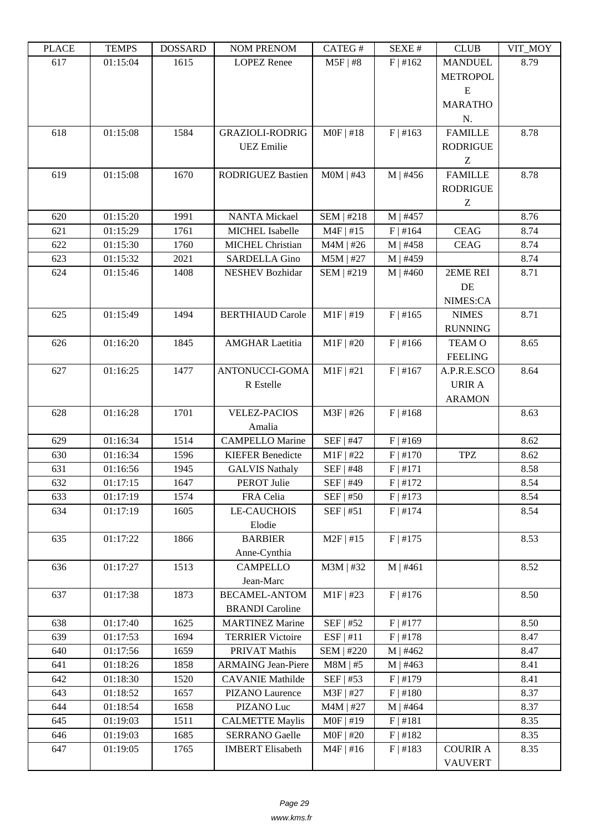| i lati | <u>ה דואים ד</u> | חשממחת | <b>INUINE LINEINUINE</b>  | $CALU \pi$        | JLΛL π     | <b>CLUD</b>     | $V11$ $V1$ |
|--------|------------------|--------|---------------------------|-------------------|------------|-----------------|------------|
| 617    | 01:15:04         | 1615   | <b>LOPEZ Renee</b>        | $M5F$   #8        | F   #162   | <b>MANDUEL</b>  | 8.79       |
|        |                  |        |                           |                   |            | <b>METROPOL</b> |            |
|        |                  |        |                           |                   |            | E               |            |
|        |                  |        |                           |                   |            | <b>MARATHO</b>  |            |
|        |                  |        |                           |                   |            | N.              |            |
| 618    | 01:15:08         | 1584   | <b>GRAZIOLI-RODRIG</b>    | $MOF$   #18       | F   #163   | <b>FAMILLE</b>  | 8.78       |
|        |                  |        | <b>UEZ</b> Emilie         |                   |            | <b>RODRIGUE</b> |            |
|        |                  |        |                           |                   |            | Z               |            |
| 619    | 01:15:08         | 1670   | <b>RODRIGUEZ Bastien</b>  | $MOM$   #43       | M   #456   | <b>FAMILLE</b>  | 8.78       |
|        |                  |        |                           |                   |            | <b>RODRIGUE</b> |            |
|        |                  |        |                           |                   |            | Z               |            |
| 620    | 01:15:20         | 1991   | <b>NANTA Mickael</b>      | SEM   #218        | M   #457   |                 | 8.76       |
| 621    | 01:15:29         | 1761   | MICHEL Isabelle           | $M4F$   #15       | F   #164   | <b>CEAG</b>     | 8.74       |
| 622    | 01:15:30         | 1760   | <b>MICHEL Christian</b>   | $M4M$   #26       | M   #458   | <b>CEAG</b>     | 8.74       |
| 623    | 01:15:32         | 2021   | <b>SARDELLA Gino</b>      | $M5M$   #27       | $M$   #459 |                 | 8.74       |
| 624    | 01:15:46         | 1408   | <b>NESHEV Bozhidar</b>    | SEM   #219        | $M$   #460 | 2EME REI        | 8.71       |
|        |                  |        |                           |                   |            | DE              |            |
|        |                  |        |                           |                   |            | NIMES:CA        |            |
| 625    | 01:15:49         | 1494   | <b>BERTHIAUD Carole</b>   | $M1F$  #19        | F   #165   | <b>NIMES</b>    | 8.71       |
|        |                  |        |                           |                   |            | <b>RUNNING</b>  |            |
| 626    | 01:16:20         | 1845   | <b>AMGHAR Laetitia</b>    | $M1F$   #20       | F   #166   | <b>TEAM O</b>   | 8.65       |
|        |                  |        |                           |                   |            | <b>FEELING</b>  |            |
| 627    | 01:16:25         | 1477   | ANTONUCCI-GOMA            | $M1F$ #21         | F   #167   | A.P.R.E.SCO     | 8.64       |
|        |                  |        | R Estelle                 |                   |            | <b>URIR A</b>   |            |
|        |                  |        |                           |                   |            | <b>ARAMON</b>   |            |
| 628    | 01:16:28         | 1701   | <b>VELEZ-PACIOS</b>       | M3F   #26         | F   #168   |                 | 8.63       |
|        |                  |        | Amalia                    |                   |            |                 |            |
| 629    | 01:16:34         | 1514   | <b>CAMPELLO Marine</b>    | SEF   #47         | F   #169   |                 | 8.62       |
| 630    | 01:16:34         | 1596   | <b>KIEFER Benedicte</b>   | $M1F$ #22         | F   #170   | <b>TPZ</b>      | 8.62       |
| 631    | 01:16:56         | 1945   |                           | SEF   #48         | F   #171   |                 | 8.58       |
|        |                  |        | <b>GALVIS Nathaly</b>     |                   |            |                 |            |
| 632    | 01:17:15         | 1647   | PEROT Julie               | SEF   #49         | F   #172   |                 | 8.54       |
| 633    | 01:17:19         | 1574   | FRA Celia                 | SEF   #50         | F   #173   |                 | 8.54       |
| 634    | 01:17:19         | 1605   | <b>LE-CAUCHOIS</b>        | SEF   #51         | F   #174   |                 | 8.54       |
|        |                  |        | Elodie                    |                   |            |                 |            |
| 635    | 01:17:22         | 1866   | <b>BARBIER</b>            | $M2F$   #15       | F   #175   |                 | 8.53       |
|        |                  |        | Anne-Cynthia              |                   |            |                 |            |
| 636    | 01:17:27         | 1513   | <b>CAMPELLO</b>           | M3M   #32         | M   #461   |                 | 8.52       |
|        |                  |        | Jean-Marc                 |                   |            |                 |            |
| 637    | 01:17:38         | 1873   | <b>BECAMEL-ANTOM</b>      | $M1F$ #23         | F   #176   |                 | 8.50       |
|        |                  |        | <b>BRANDI</b> Caroline    |                   |            |                 |            |
| 638    | 01:17:40         | 1625   | <b>MARTINEZ Marine</b>    | SEF   #52         | F   #177   |                 | 8.50       |
| 639    | 01:17:53         | 1694   | <b>TERRIER Victoire</b>   | ESF   #11         | F   #178   |                 | 8.47       |
| 640    | 01:17:56         | 1659   | PRIVAT Mathis             | <b>SEM   #220</b> | M   #462   |                 | 8.47       |
| 641    | 01:18:26         | 1858   | <b>ARMAING Jean-Piere</b> | $M8M$   #5        | $M$   #463 |                 | 8.41       |
| 642    | 01:18:30         | 1520   | <b>CAVANIE Mathilde</b>   | $SEF$   #53       | F   #179   |                 | 8.41       |
| 643    | 01:18:52         | 1657   | PIZANO Laurence           | M3F   #27         | F   #180   |                 | 8.37       |
| 644    | 01:18:54         | 1658   | PIZANO Luc                | $M4M$   #27       | $M$   #464 |                 | 8.37       |
| 645    | 01:19:03         | 1511   | <b>CALMETTE Maylis</b>    | $MOF$   #19       | F   #181   |                 | 8.35       |
| 646    | 01:19:03         | 1685   | <b>SERRANO</b> Gaelle     | $MOF$   #20       | F   #182   |                 | 8.35       |
| 647    | 01:19:05         | 1765   | <b>IMBERT</b> Elisabeth   | $M4F$   #16       | F   #183   | <b>COURIR A</b> | 8.35       |
|        |                  |        |                           |                   |            | <b>VAUVERT</b>  |            |
|        |                  |        |                           |                   |            |                 |            |